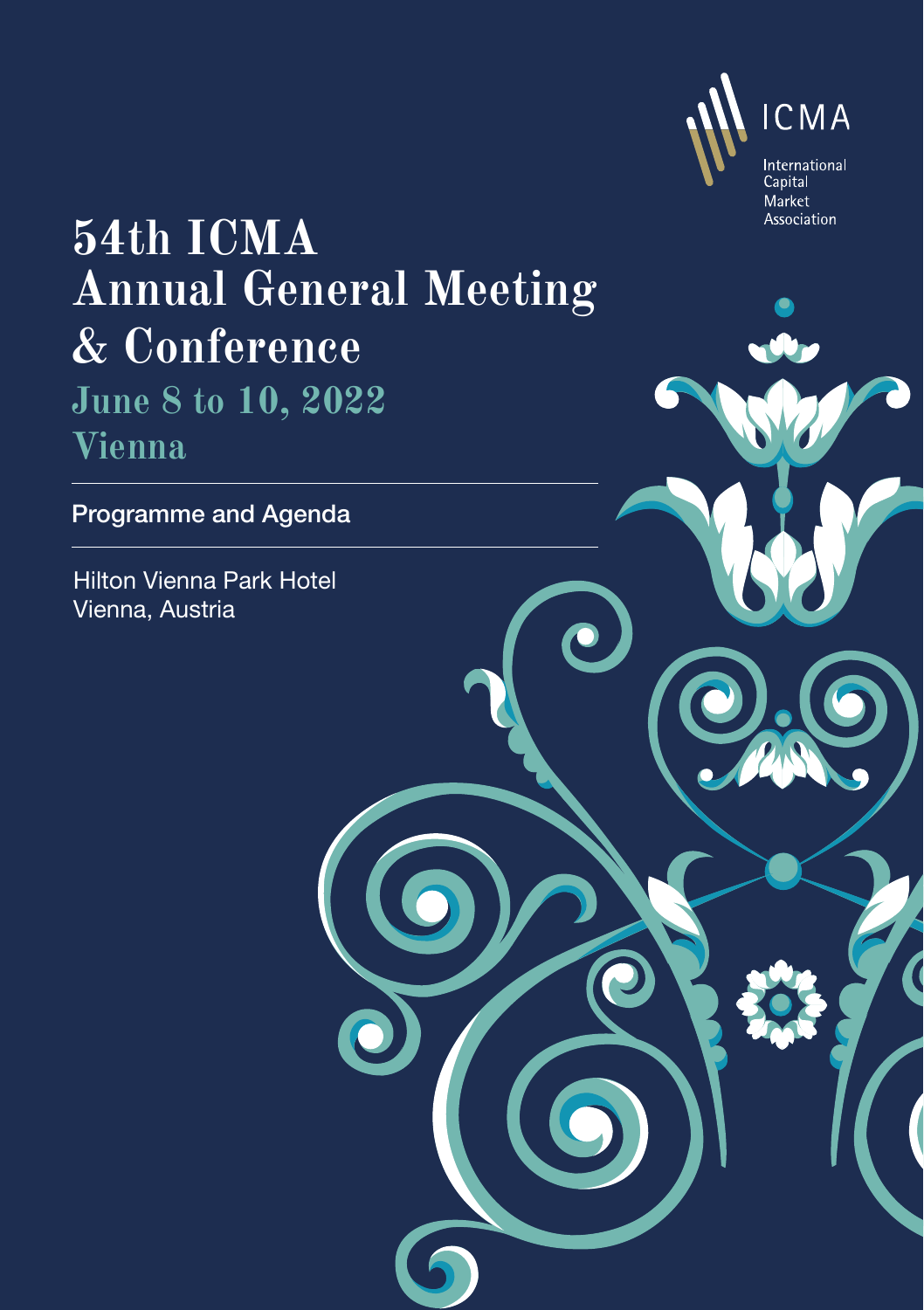

### **54th ICMA Annual General Meeting & Conference June 8 to 10, 2022 Vienna**

Programme and Agenda

Hilton Vienna Park Hotel Vienna, Austria

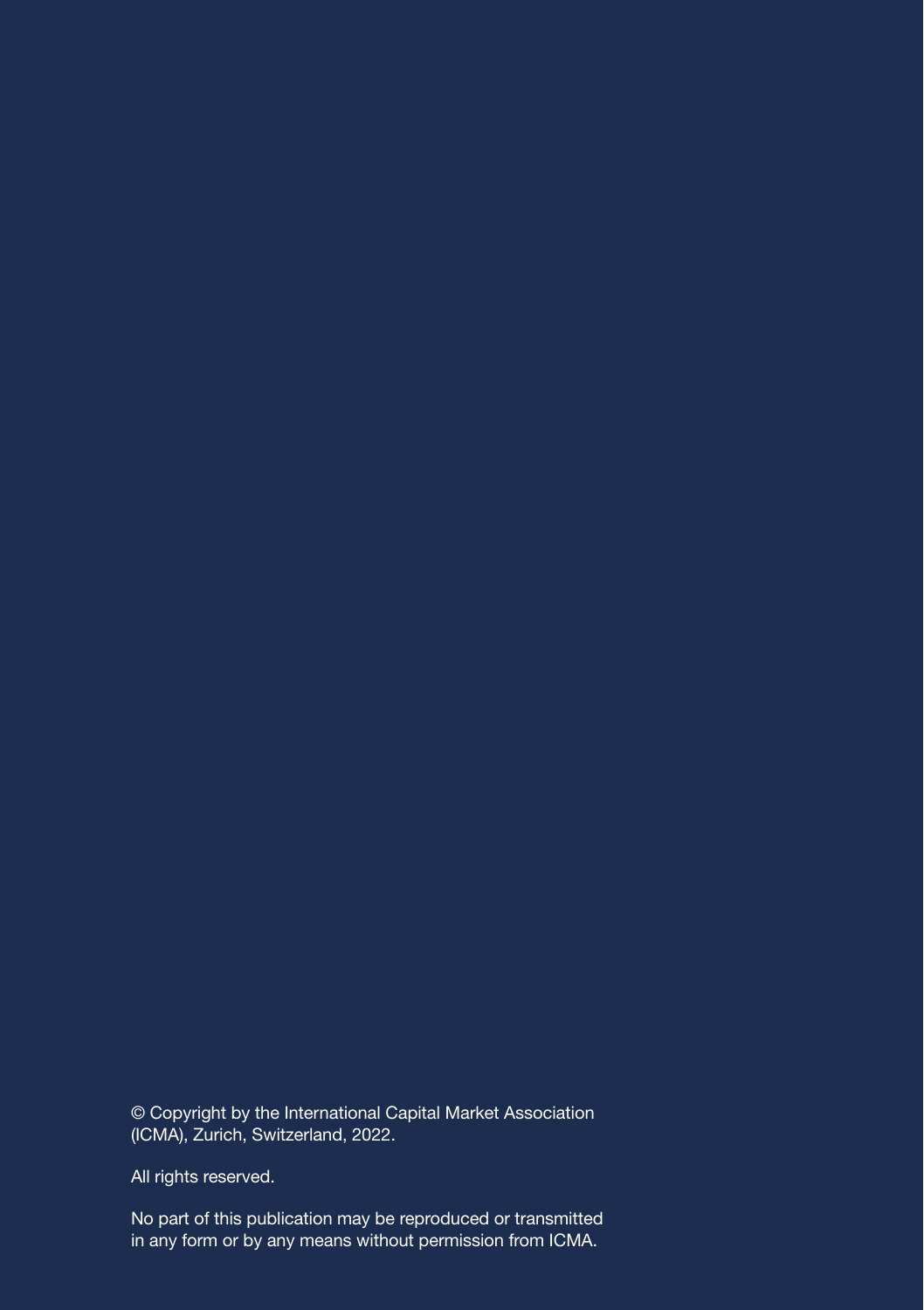© Copyright by the International Capital Market Association (ICMA), Zurich, Switzerland, 2022.

All rights reserved.

No part of this publication may be reproduced or transmitted in any form or by any means without permission from ICMA.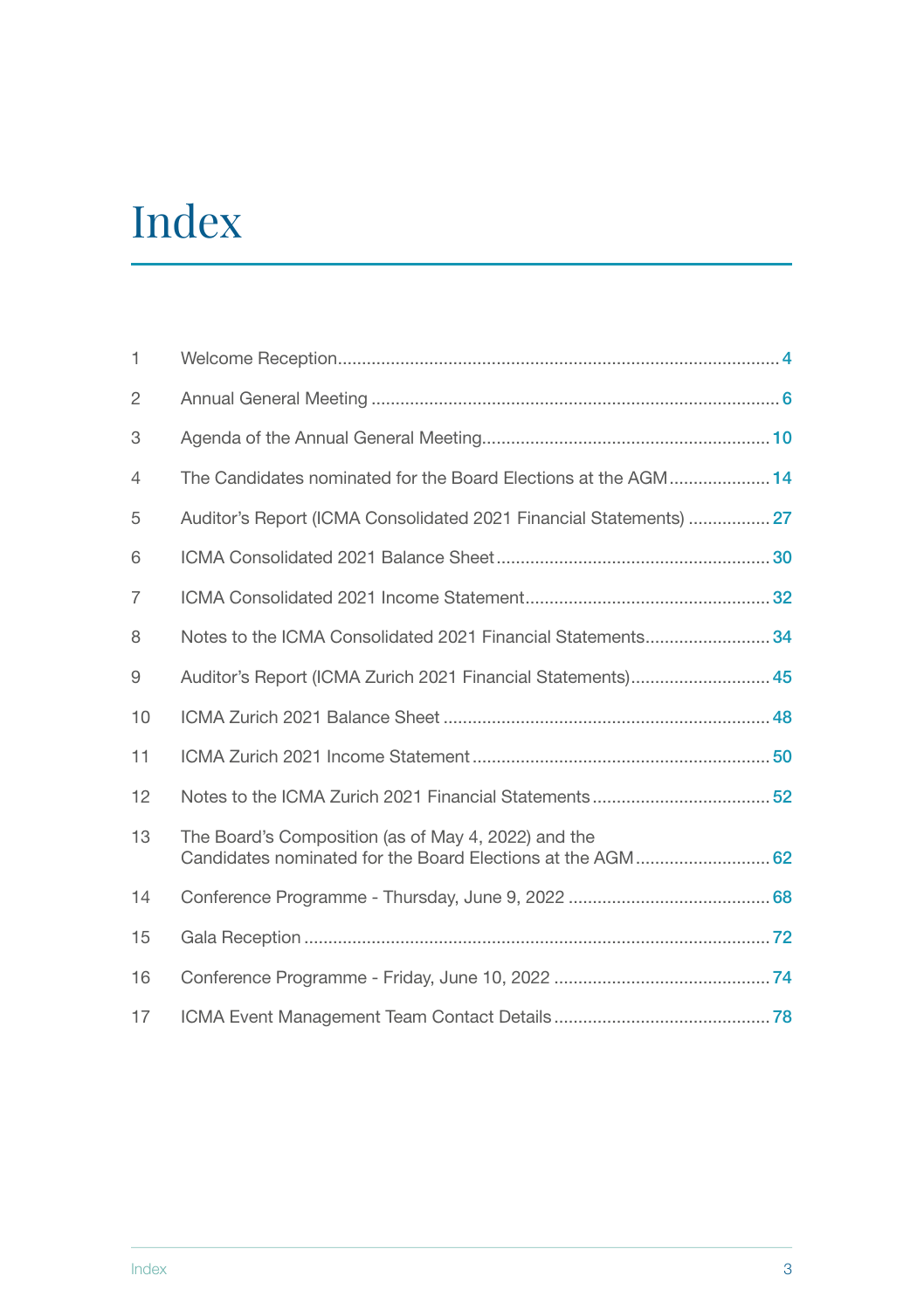# Index

| $\mathbf{1}$   |                                                                                                                   |
|----------------|-------------------------------------------------------------------------------------------------------------------|
| $\overline{2}$ |                                                                                                                   |
| 3              |                                                                                                                   |
| $\overline{4}$ | The Candidates nominated for the Board Elections at the AGM14                                                     |
| 5              | Auditor's Report (ICMA Consolidated 2021 Financial Statements) 27                                                 |
| 6              |                                                                                                                   |
| 7              |                                                                                                                   |
| 8              | Notes to the ICMA Consolidated 2021 Financial Statements34                                                        |
| 9              | Auditor's Report (ICMA Zurich 2021 Financial Statements) 45                                                       |
| 10             |                                                                                                                   |
| 11             |                                                                                                                   |
| 12             |                                                                                                                   |
| 13             | The Board's Composition (as of May 4, 2022) and the<br>Candidates nominated for the Board Elections at the AGM 62 |
| 14             |                                                                                                                   |
| 15             |                                                                                                                   |
| 16             |                                                                                                                   |
| 17             |                                                                                                                   |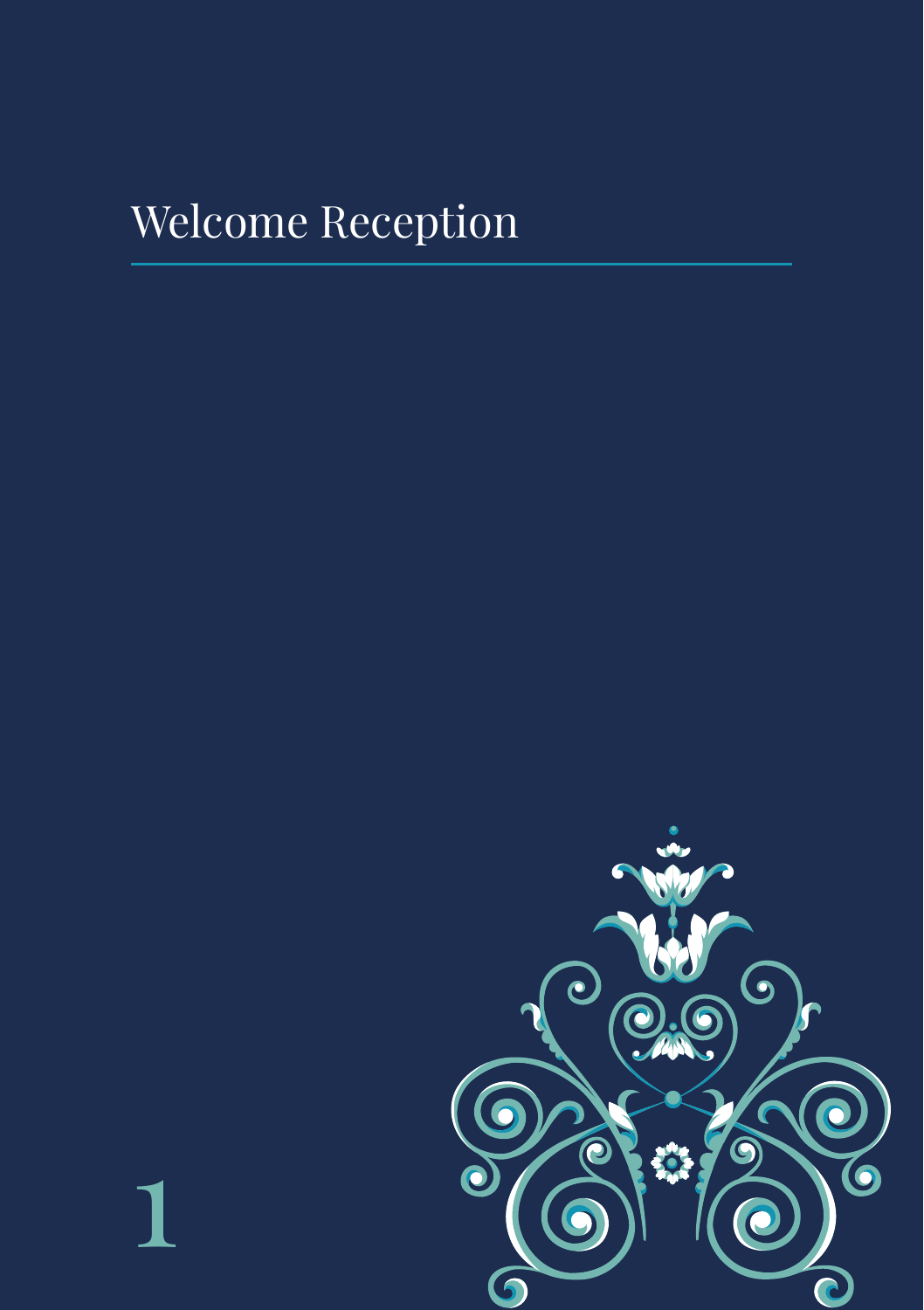# <span id="page-3-0"></span>Welcome Reception

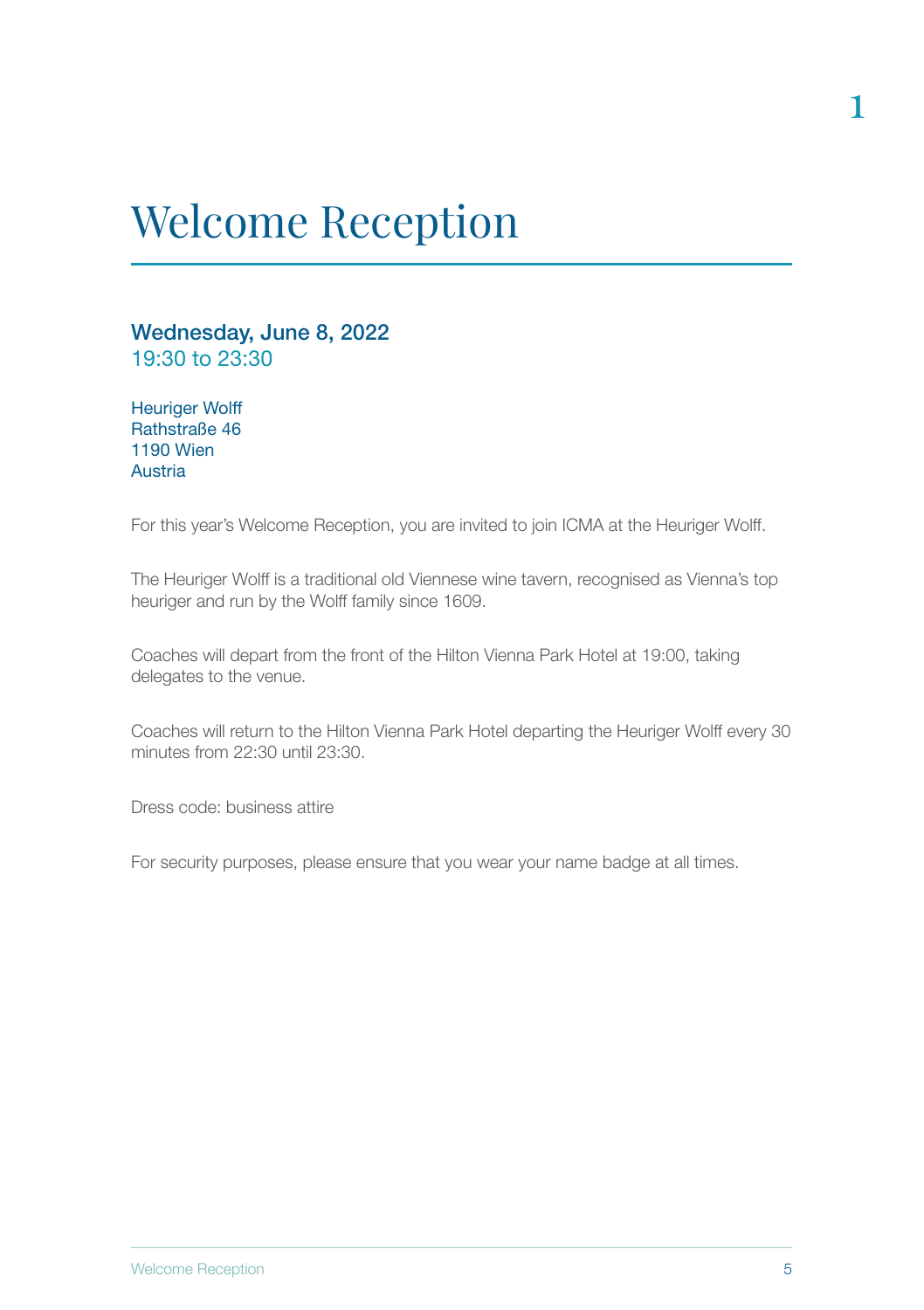### Welcome Reception

### Wednesday, June 8, 2022 19:30 to 23:30

Heuriger Wolff Rathstraße 46 1190 Wien Austria

For this year's Welcome Reception, you are invited to join ICMA at the Heuriger Wolff.

The Heuriger Wolff is a traditional old Viennese wine tavern, recognised as Vienna's top heuriger and run by the Wolff family since 1609.

Coaches will depart from the front of the Hilton Vienna Park Hotel at 19:00, taking delegates to the venue.

Coaches will return to the Hilton Vienna Park Hotel departing the Heuriger Wolff every 30 minutes from 22:30 until 23:30.

Dress code: business attire

For security purposes, please ensure that you wear your name badge at all times.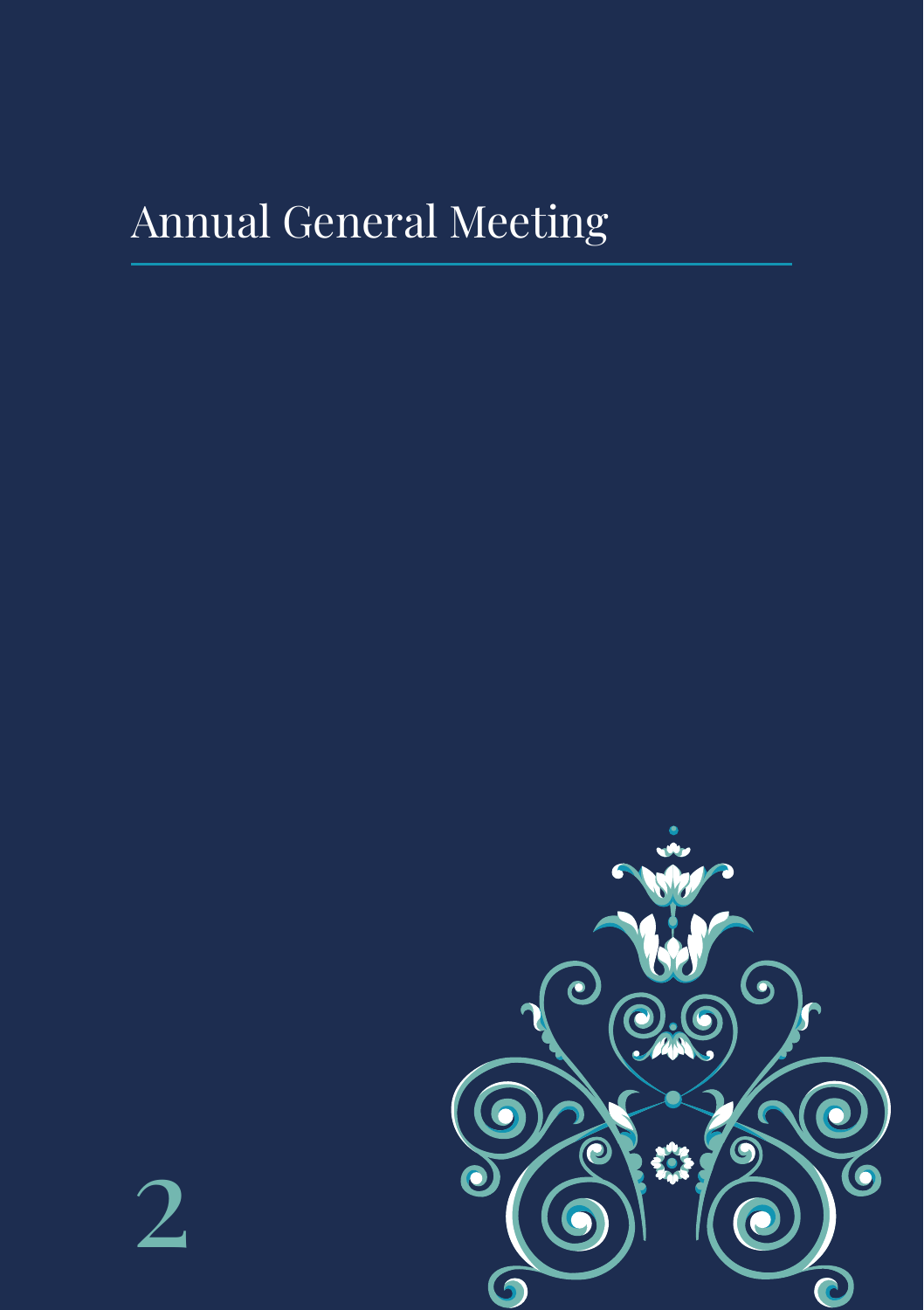<span id="page-5-0"></span>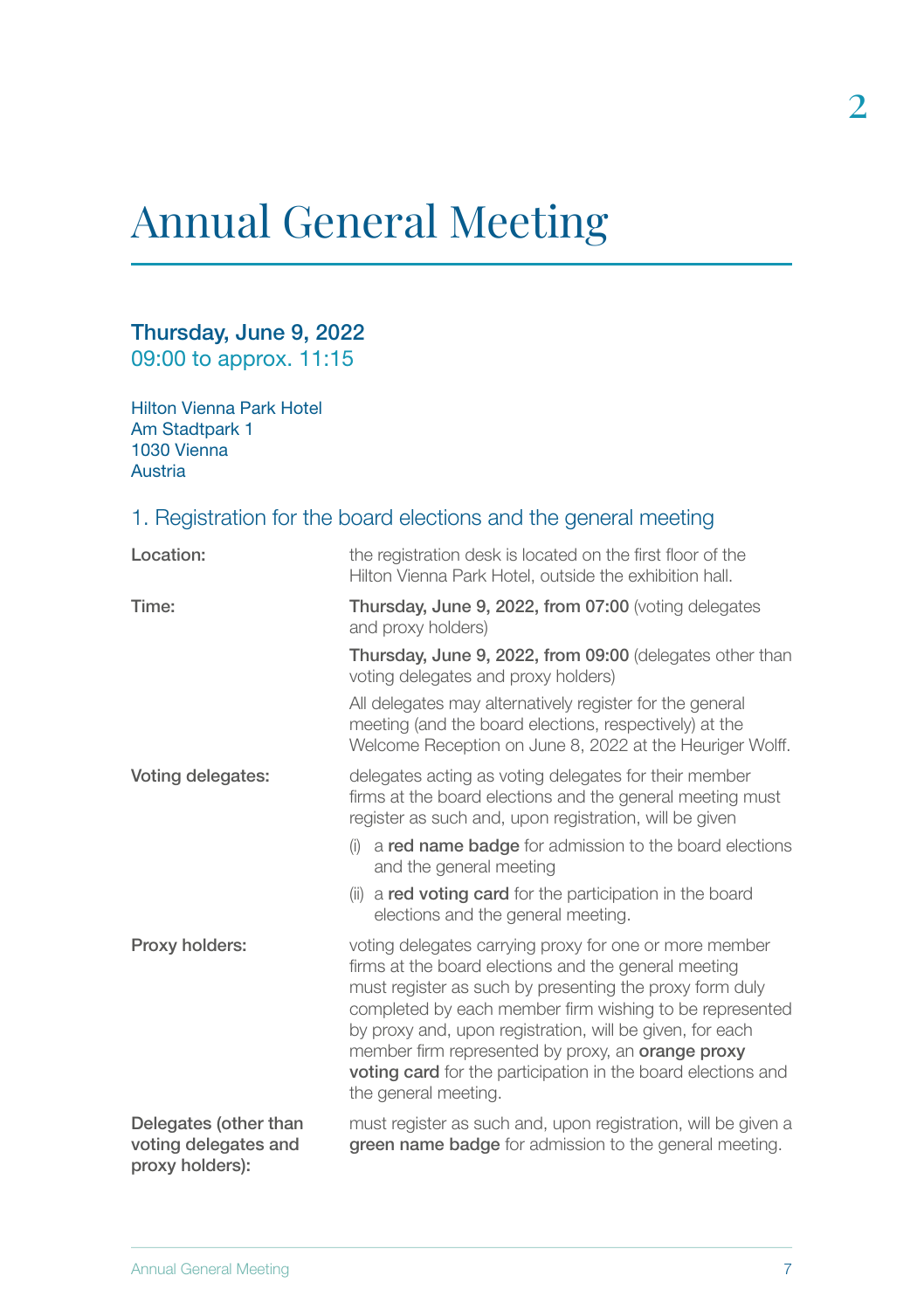### Thursday, June 9, 2022 09:00 to approx. 11:15

Hilton Vienna Park Hotel Am Stadtpark 1 1030 Vienna Austria

### 1. Registration for the board elections and the general meeting

| Location:                                                        | the registration desk is located on the first floor of the<br>Hilton Vienna Park Hotel, outside the exhibition hall.                                                                                                                                                                                                                                                                                                                                 |
|------------------------------------------------------------------|------------------------------------------------------------------------------------------------------------------------------------------------------------------------------------------------------------------------------------------------------------------------------------------------------------------------------------------------------------------------------------------------------------------------------------------------------|
| Time:                                                            | Thursday, June 9, 2022, from 07:00 (voting delegates<br>and proxy holders)                                                                                                                                                                                                                                                                                                                                                                           |
|                                                                  | Thursday, June 9, 2022, from 09:00 (delegates other than<br>voting delegates and proxy holders)                                                                                                                                                                                                                                                                                                                                                      |
|                                                                  | All delegates may alternatively register for the general<br>meeting (and the board elections, respectively) at the<br>Welcome Reception on June 8, 2022 at the Heuriger Wolff.                                                                                                                                                                                                                                                                       |
| Voting delegates:                                                | delegates acting as voting delegates for their member<br>firms at the board elections and the general meeting must<br>register as such and, upon registration, will be given                                                                                                                                                                                                                                                                         |
|                                                                  | $(i)$ a red name badge for admission to the board elections<br>and the general meeting                                                                                                                                                                                                                                                                                                                                                               |
|                                                                  | (ii) a <b>red voting card</b> for the participation in the board<br>elections and the general meeting.                                                                                                                                                                                                                                                                                                                                               |
| Proxy holders:                                                   | voting delegates carrying proxy for one or more member<br>firms at the board elections and the general meeting<br>must register as such by presenting the proxy form duly<br>completed by each member firm wishing to be represented<br>by proxy and, upon registration, will be given, for each<br>member firm represented by proxy, an orange proxy<br><b>voting card</b> for the participation in the board elections and<br>the general meeting. |
| Delegates (other than<br>voting delegates and<br>proxy holders): | must register as such and, upon registration, will be given a<br>green name badge for admission to the general meeting.                                                                                                                                                                                                                                                                                                                              |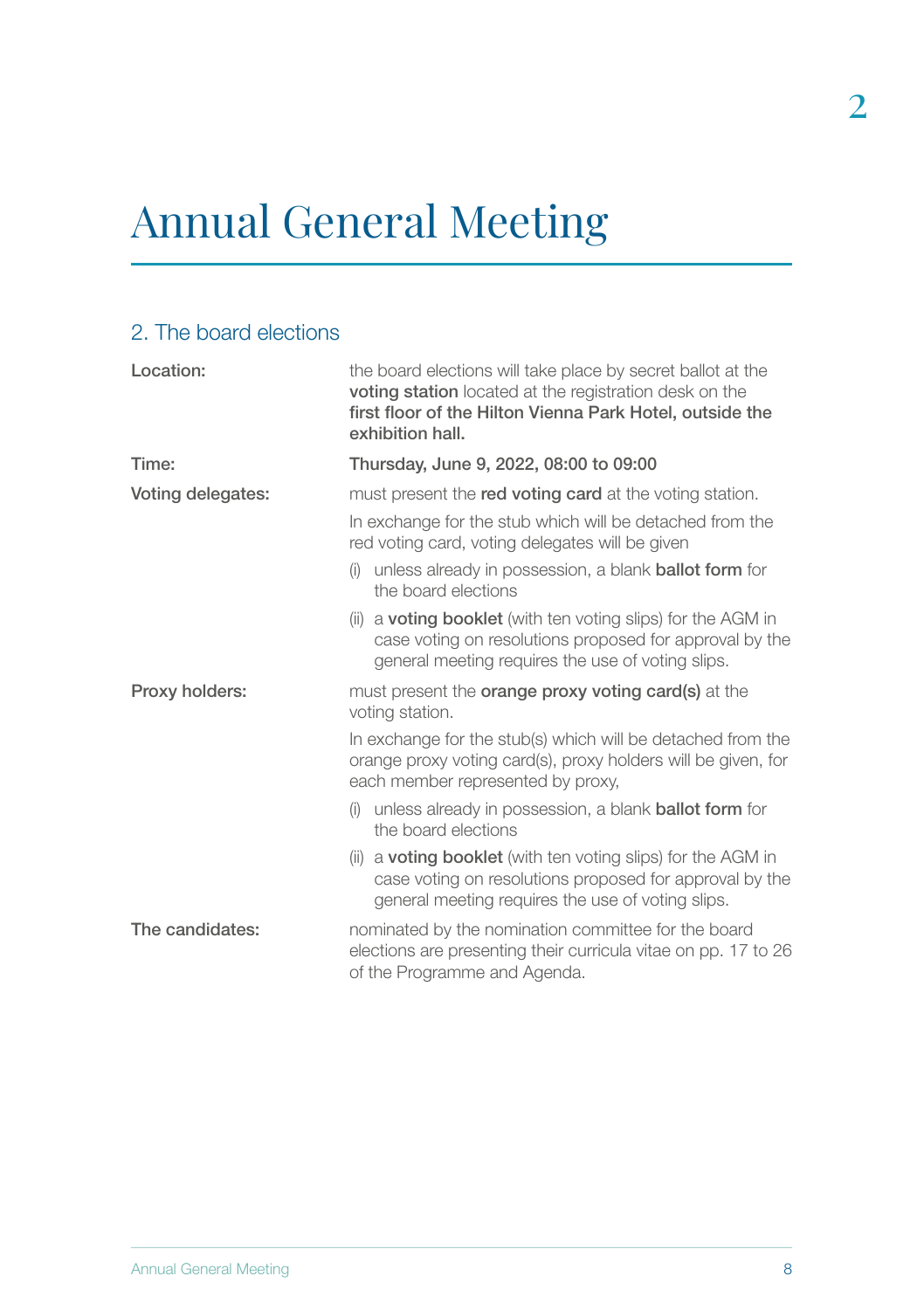### 2. The board elections

| Location:         | the board elections will take place by secret ballot at the<br>voting station located at the registration desk on the<br>first floor of the Hilton Vienna Park Hotel, outside the<br>exhibition hall. |
|-------------------|-------------------------------------------------------------------------------------------------------------------------------------------------------------------------------------------------------|
| Time:             | Thursday, June 9, 2022, 08:00 to 09:00                                                                                                                                                                |
| Voting delegates: | must present the <b>red voting card</b> at the voting station.                                                                                                                                        |
|                   | In exchange for the stub which will be detached from the<br>red voting card, voting delegates will be given                                                                                           |
|                   | unless already in possession, a blank <b>ballot form</b> for<br>(i)<br>the board elections                                                                                                            |
|                   | (ii) a <b>voting booklet</b> (with ten voting slips) for the AGM in<br>case voting on resolutions proposed for approval by the<br>general meeting requires the use of voting slips.                   |
| Proxy holders:    | must present the <b>orange proxy voting card(s)</b> at the<br>voting station.                                                                                                                         |
|                   | In exchange for the stub(s) which will be detached from the<br>orange proxy voting card(s), proxy holders will be given, for<br>each member represented by proxy,                                     |
|                   | $(i)$ unless already in possession, a blank <b>ballot form</b> for<br>the board elections                                                                                                             |
|                   | (ii) a <b>voting booklet</b> (with ten voting slips) for the AGM in<br>case voting on resolutions proposed for approval by the<br>general meeting requires the use of voting slips.                   |
| The candidates:   | nominated by the nomination committee for the board<br>elections are presenting their curricula vitae on pp. 17 to 26<br>of the Programme and Agenda.                                                 |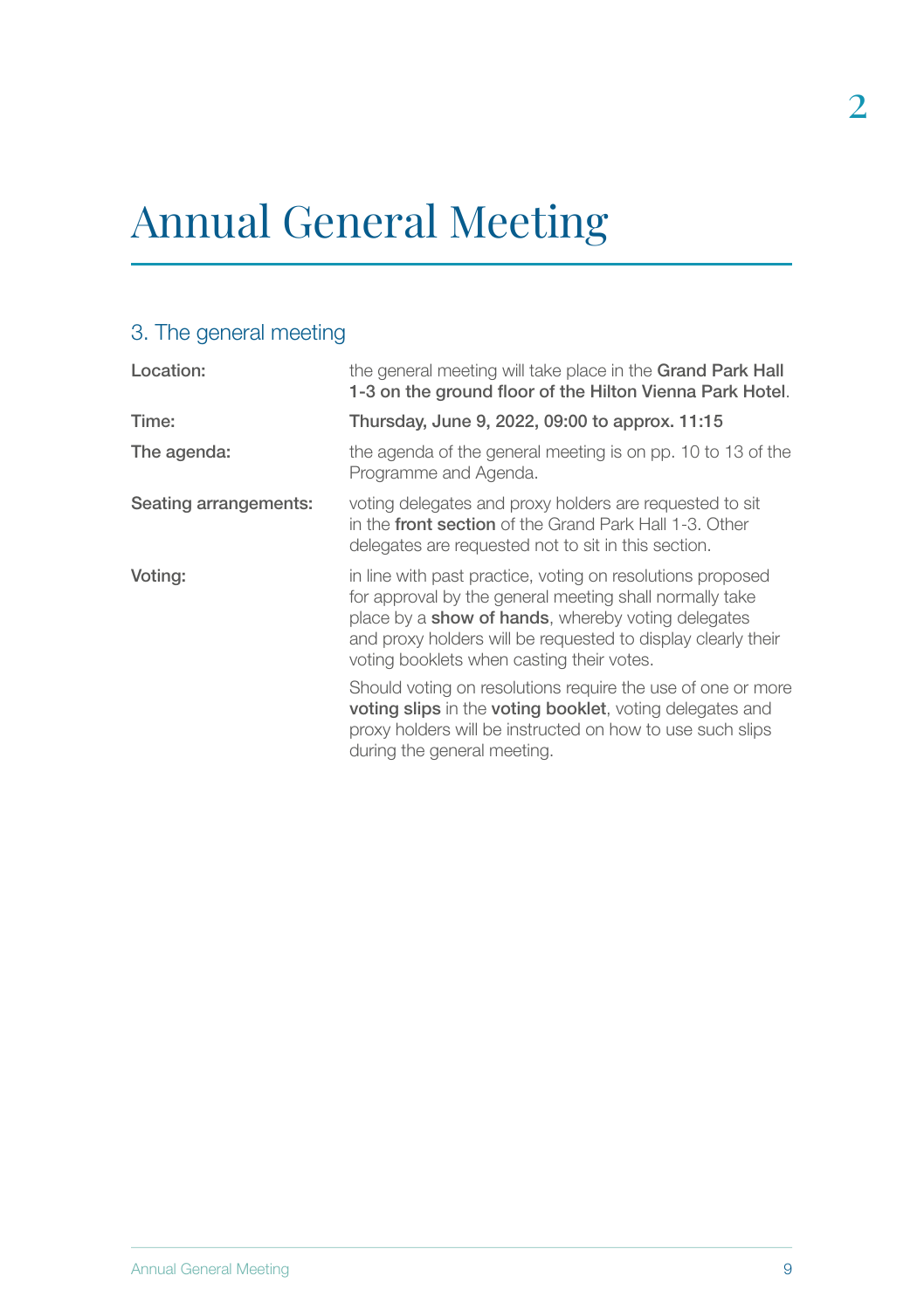### 3. The general meeting

| Location:             | the general meeting will take place in the Grand Park Hall<br>1-3 on the ground floor of the Hilton Vienna Park Hotel.                                                                                                                                                                           |
|-----------------------|--------------------------------------------------------------------------------------------------------------------------------------------------------------------------------------------------------------------------------------------------------------------------------------------------|
| Time:                 | Thursday, June 9, 2022, 09:00 to approx. 11:15                                                                                                                                                                                                                                                   |
| The agenda:           | the agenda of the general meeting is on pp. 10 to 13 of the<br>Programme and Agenda.                                                                                                                                                                                                             |
| Seating arrangements: | voting delegates and proxy holders are requested to sit<br>in the front section of the Grand Park Hall 1-3. Other<br>delegates are requested not to sit in this section.                                                                                                                         |
| Voting:               | in line with past practice, voting on resolutions proposed<br>for approval by the general meeting shall normally take<br>place by a <b>show of hands</b> , whereby voting delegates<br>and proxy holders will be requested to display clearly their<br>voting booklets when casting their votes. |
|                       | Should voting on resolutions require the use of one or more<br>voting slips in the voting booklet, voting delegates and<br>proxy holders will be instructed on how to use such slips<br>during the general meeting.                                                                              |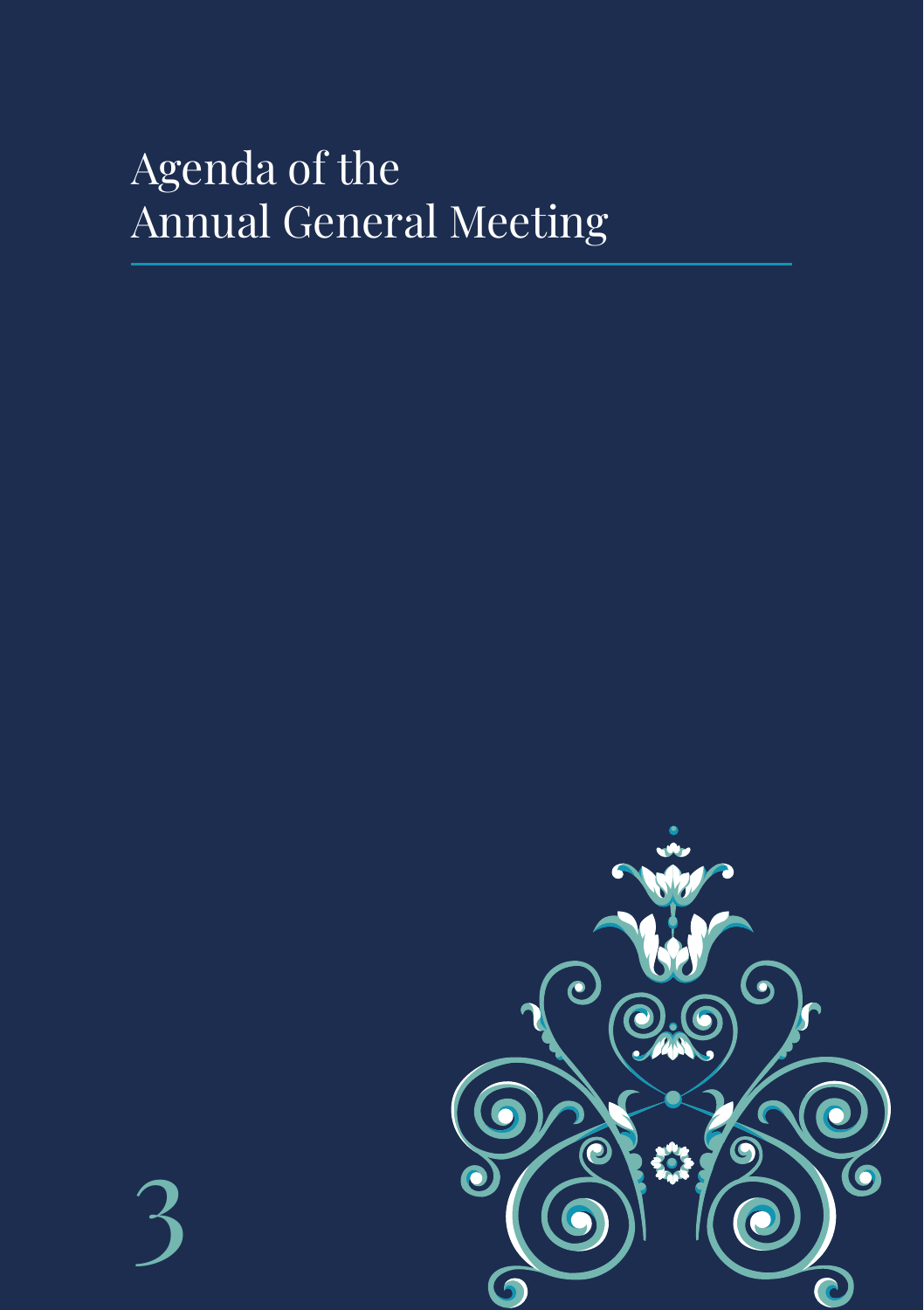<span id="page-9-0"></span>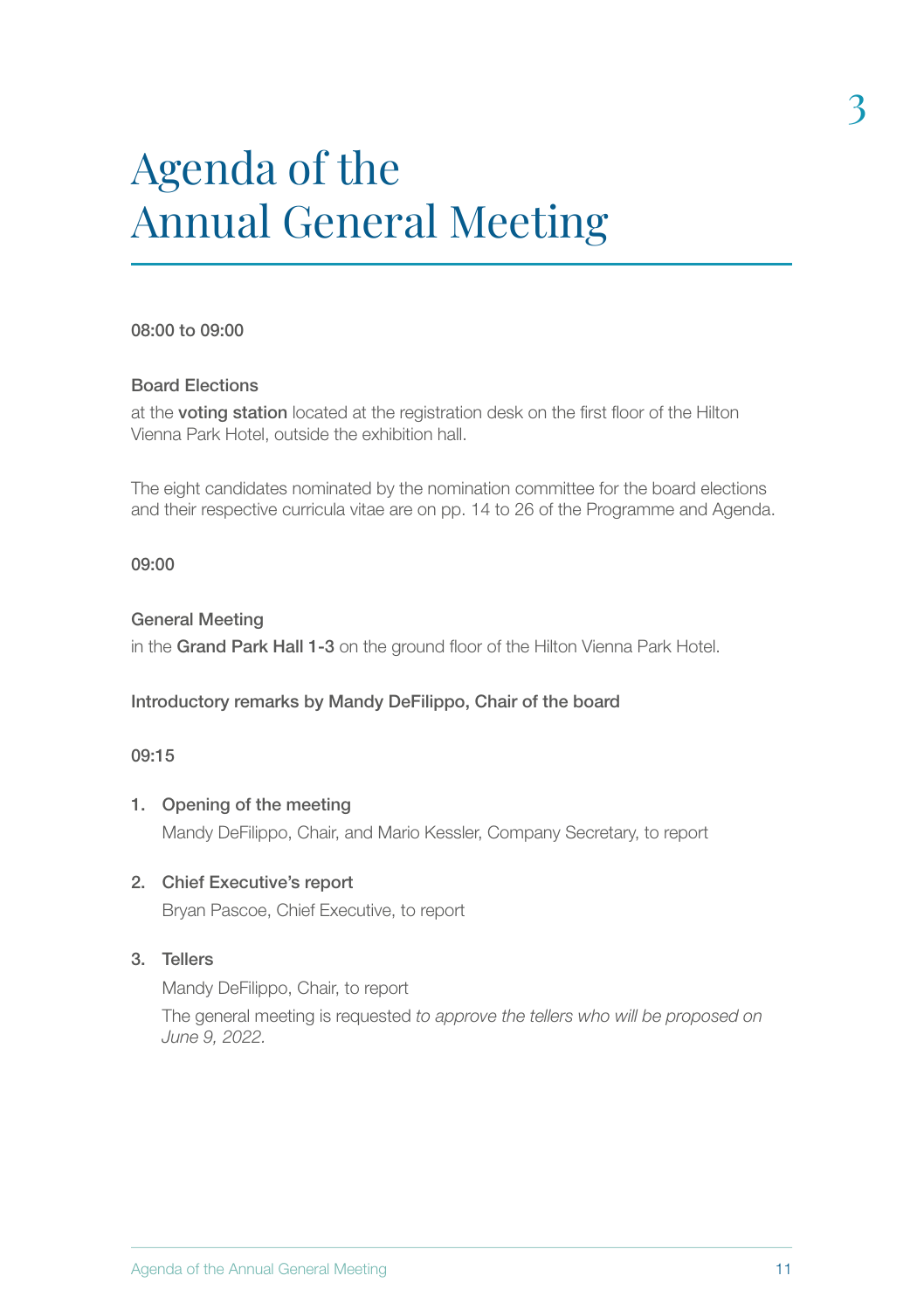#### 08:00 to 09:00

#### Board Elections

at the voting station located at the registration desk on the first floor of the Hilton Vienna Park Hotel, outside the exhibition hall.

The eight candidates nominated by the nomination committee for the board elections and their respective curricula vitae are on pp. 14 to 26 of the Programme and Agenda.

#### 09:00

#### General Meeting

in the Grand Park Hall 1-3 on the ground floor of the Hilton Vienna Park Hotel.

#### Introductory remarks by Mandy DeFilippo, Chair of the board

#### 09:15

#### 1. Opening of the meeting

Mandy DeFilippo, Chair, and Mario Kessler, Company Secretary, to report

#### 2. Chief Executive's report

Bryan Pascoe, Chief Executive, to report

### 3. Tellers

Mandy DeFilippo, Chair, to report

The general meeting is requested *to approve the tellers who will be proposed on June 9, 2022.*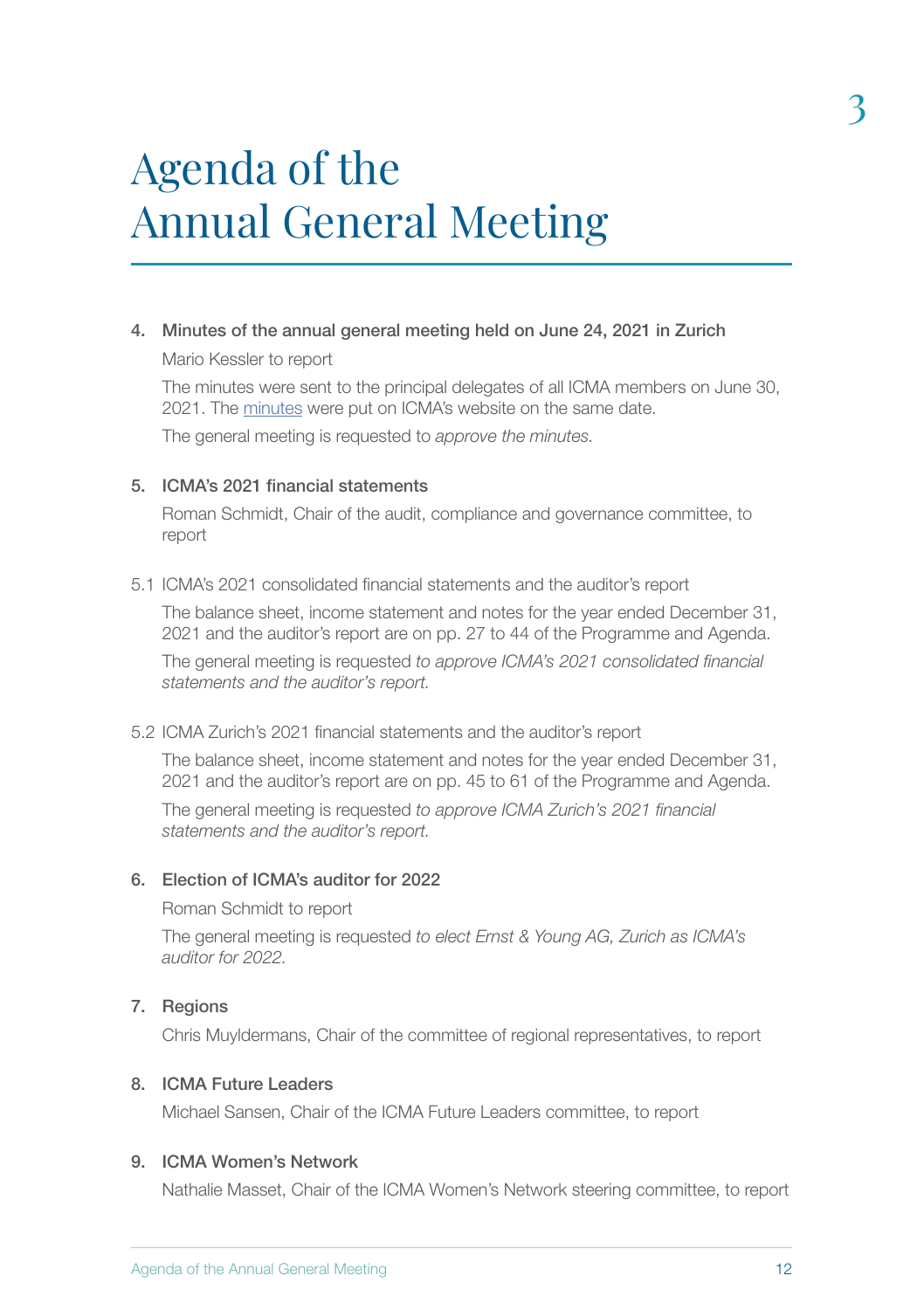### 4. Minutes of the annual general meeting held on June 24, 2021 in Zurich

Mario Kessler to report

The minutes were sent to the principal delegates of all ICMA members on June 30, 2021. The [minutes](https://www.icmagroup.org/Security/login?BackURL=%2Fassets%2Fdocuments%2FEvents%2FAGM-2021%2FLocked-for-members%2FMinutesICMA-AGM-2021Zurichincl-attachments-300621.pdf) were put on ICMA's website on the same date.

The general meeting is requested to *approve the minutes.*

#### 5. ICMA's 2021 financial statements

Roman Schmidt, Chair of the audit, compliance and governance committee, to report

#### 5.1 ICMA's 2021 consolidated financial statements and the auditor's report

The balance sheet, income statement and notes for the year ended December 31, 2021 and the auditor's report are on pp. 27 to 44 of the Programme and Agenda.

The general meeting is requested *to approve ICMA's 2021 consolidated financial statements and the auditor's report.*

#### 5.2 ICMA Zurich's 2021 financial statements and the auditor's report

The balance sheet, income statement and notes for the year ended December 31, 2021 and the auditor's report are on pp. 45 to 61 of the Programme and Agenda.

The general meeting is requested *to approve ICMA Zurich's 2021 financial statements and the auditor's report.*

#### 6. Election of ICMA's auditor for 2022

Roman Schmidt to report

The general meeting is requested *to elect Ernst & Young AG, Zurich as ICMA's auditor for 2022.*

#### 7. Regions

Chris Muyldermans, Chair of the committee of regional representatives, to report

#### 8. ICMA Future Leaders

Michael Sansen, Chair of the ICMA Future Leaders committee, to report

#### 9. ICMA Women's Network

Nathalie Masset, Chair of the ICMA Women's Network steering committee, to report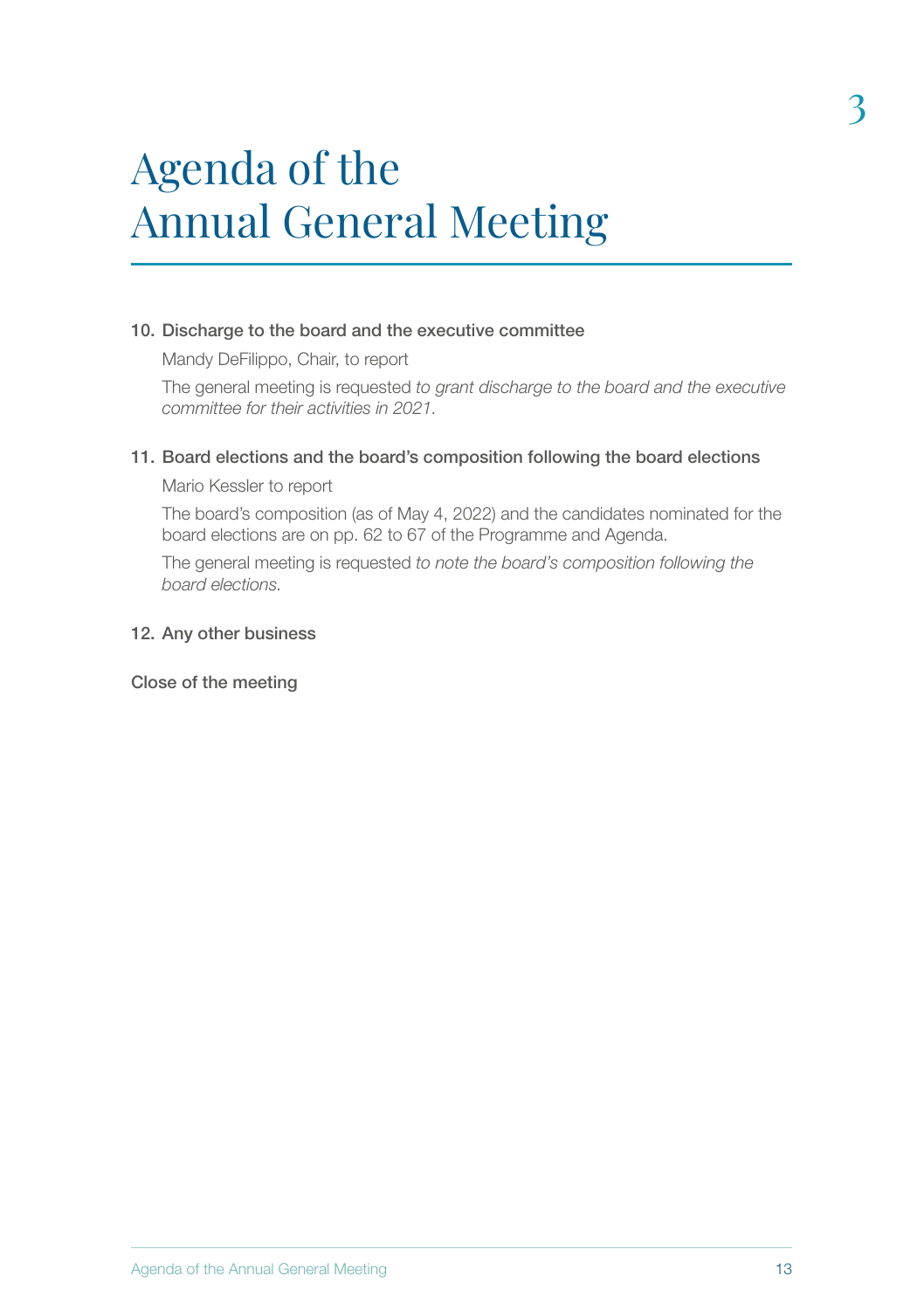#### 10. Discharge to the board and the executive committee

Mandy DeFilippo, Chair, to report

The general meeting is requested *to grant discharge to the board and the executive committee for their activities in 2021.*

#### 11. Board elections and the board's composition following the board elections

Mario Kessler to report

The board's composition (as of May 4, 2022) and the candidates nominated for the board elections are on pp. 62 to 67 of the Programme and Agenda.

The general meeting is requested *to note the board's composition following the board elections.*

#### 12. Any other business

Close of the meeting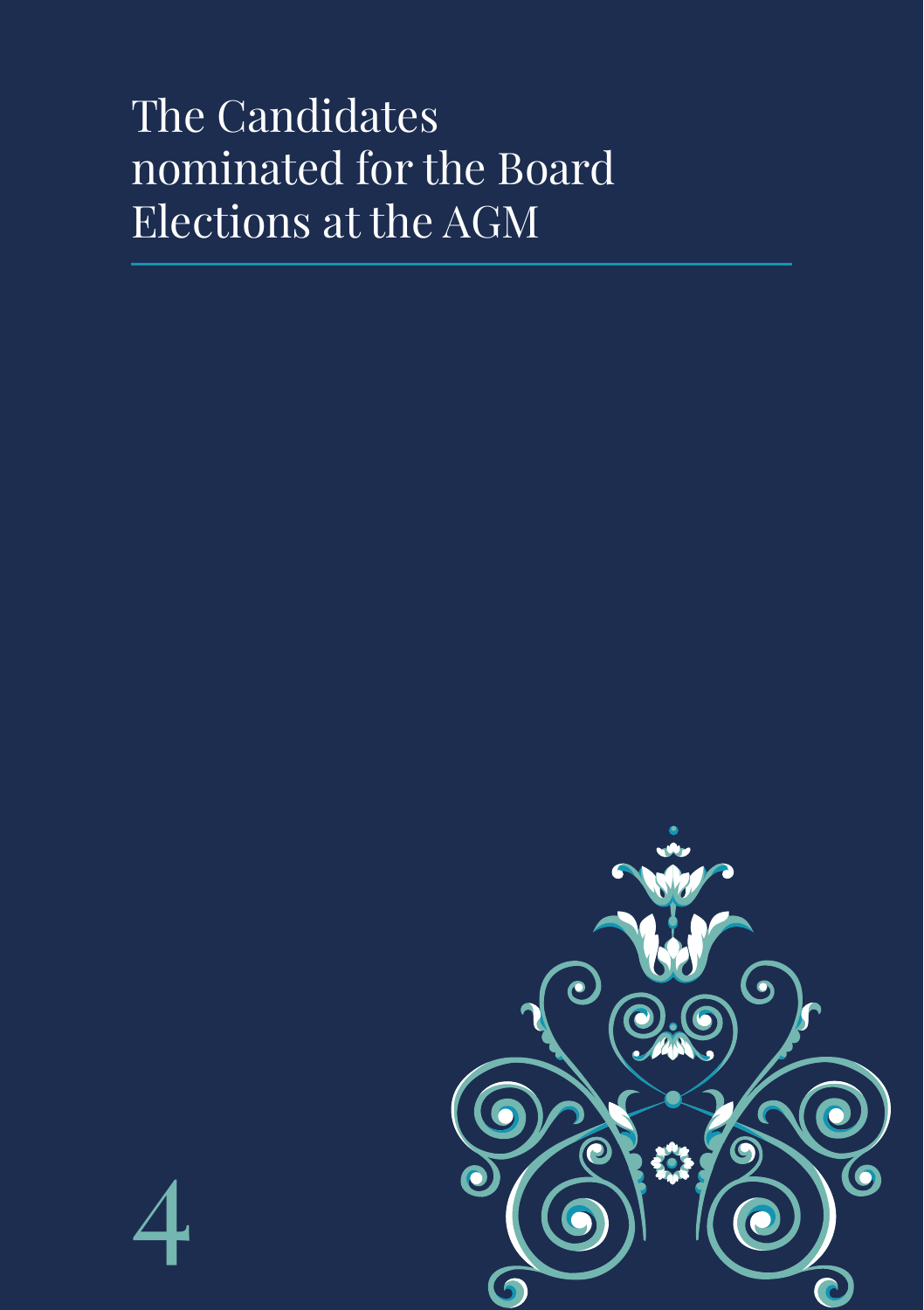<span id="page-13-0"></span>

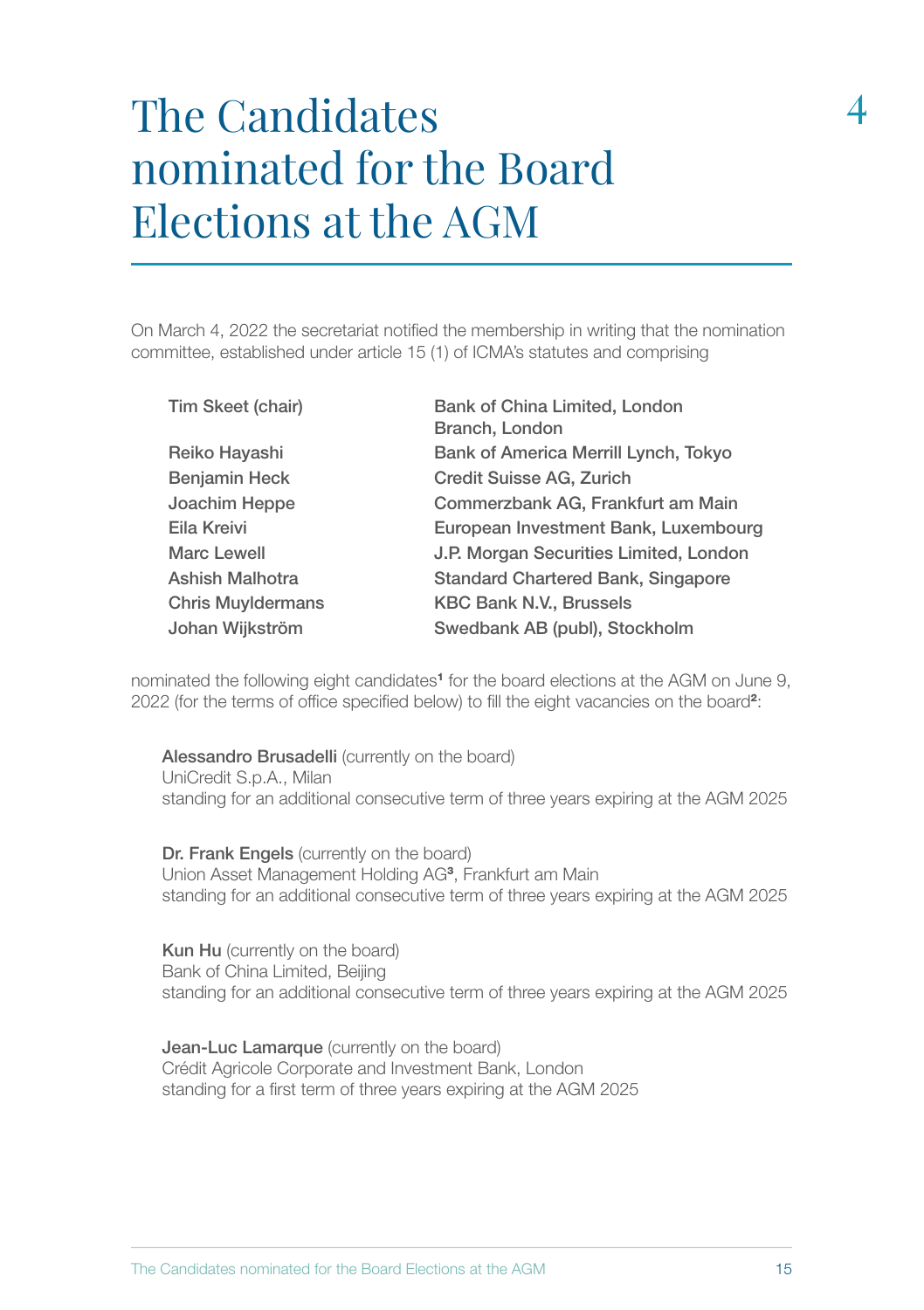On March 4, 2022 the secretariat notified the membership in writing that the nomination committee, established under article 15 (1) of ICMA's statutes and comprising

| Tim Skeet (chair)        | Bank of China Limited, London<br>Branch, London |
|--------------------------|-------------------------------------------------|
| Reiko Hayashi            | Bank of America Merrill Lynch, Tokyo            |
| <b>Benjamin Heck</b>     | Credit Suisse AG, Zurich                        |
| Joachim Heppe            | Commerzbank AG, Frankfurt am Main               |
| Eila Kreivi              | European Investment Bank, Luxembourg            |
| Marc Lewell              | J.P. Morgan Securities Limited, London          |
| Ashish Malhotra          | <b>Standard Chartered Bank, Singapore</b>       |
| <b>Chris Muyldermans</b> | <b>KBC Bank N.V., Brussels</b>                  |
| Johan Wijkström          | Swedbank AB (publ), Stockholm                   |

nominated the following eight candidates<sup>1</sup> for the board elections at the AGM on June 9, 2022 (for the terms of office specified below) to fill the eight vacancies on the board2:

Alessandro Brusadelli (currently on the board) UniCredit S.p.A., Milan standing for an additional consecutive term of three years expiring at the AGM 2025

Dr. Frank Engels (currently on the board) Union Asset Management Holding AG3, Frankfurt am Main standing for an additional consecutive term of three years expiring at the AGM 2025

Kun Hu (currently on the board) Bank of China Limited, Beijing standing for an additional consecutive term of three years expiring at the AGM 2025

**Jean-Luc Lamarque** (currently on the board) Crédit Agricole Corporate and Investment Bank, London standing for a first term of three years expiring at the AGM 2025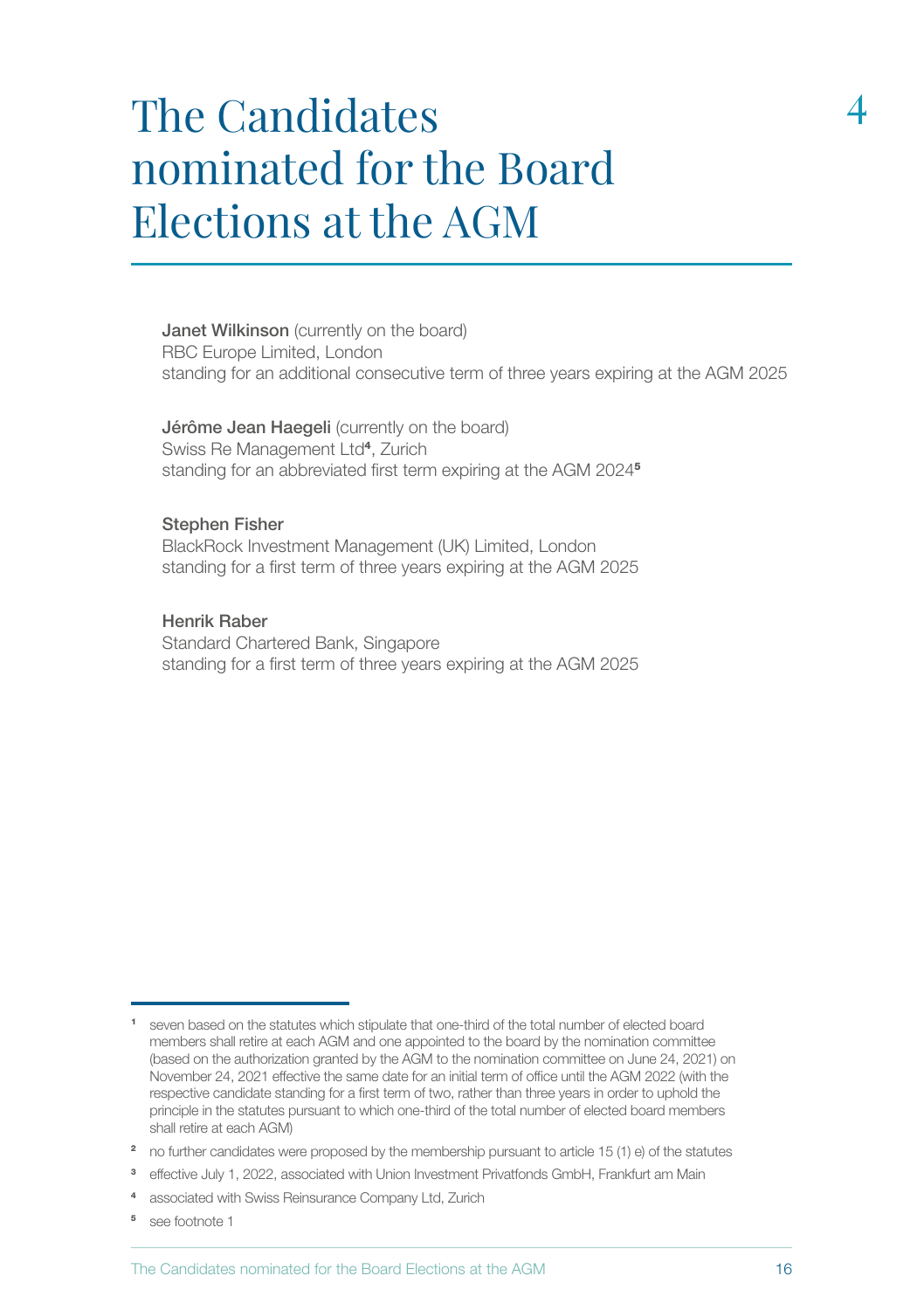Janet Wilkinson (currently on the board) RBC Europe Limited, London standing for an additional consecutive term of three years expiring at the AGM 2025

Jérôme Jean Haegeli (currently on the board) Swiss Re Management Ltd4, Zurich standing for an abbreviated first term expiring at the AGM 2024<sup>5</sup>

#### Stephen Fisher

BlackRock Investment Management (UK) Limited, London standing for a first term of three years expiring at the AGM 2025

#### Henrik Raber

Standard Chartered Bank, Singapore standing for a first term of three years expiring at the AGM 2025

<sup>1</sup> seven based on the statutes which stipulate that one-third of the total number of elected board members shall retire at each AGM and one appointed to the board by the nomination committee (based on the authorization granted by the AGM to the nomination committee on June 24, 2021) on November 24, 2021 effective the same date for an initial term of office until the AGM 2022 (with the respective candidate standing for a first term of two, rather than three years in order to uphold the principle in the statutes pursuant to which one-third of the total number of elected board members shall retire at each AGM)

<sup>&</sup>lt;sup>2</sup> no further candidates were proposed by the membership pursuant to article 15 (1) e) of the statutes

<sup>3</sup> effective July 1, 2022, associated with Union Investment Privatfonds GmbH, Frankfurt am Main

<sup>4</sup> associated with Swiss Reinsurance Company Ltd, Zurich

<sup>5</sup> see footnote 1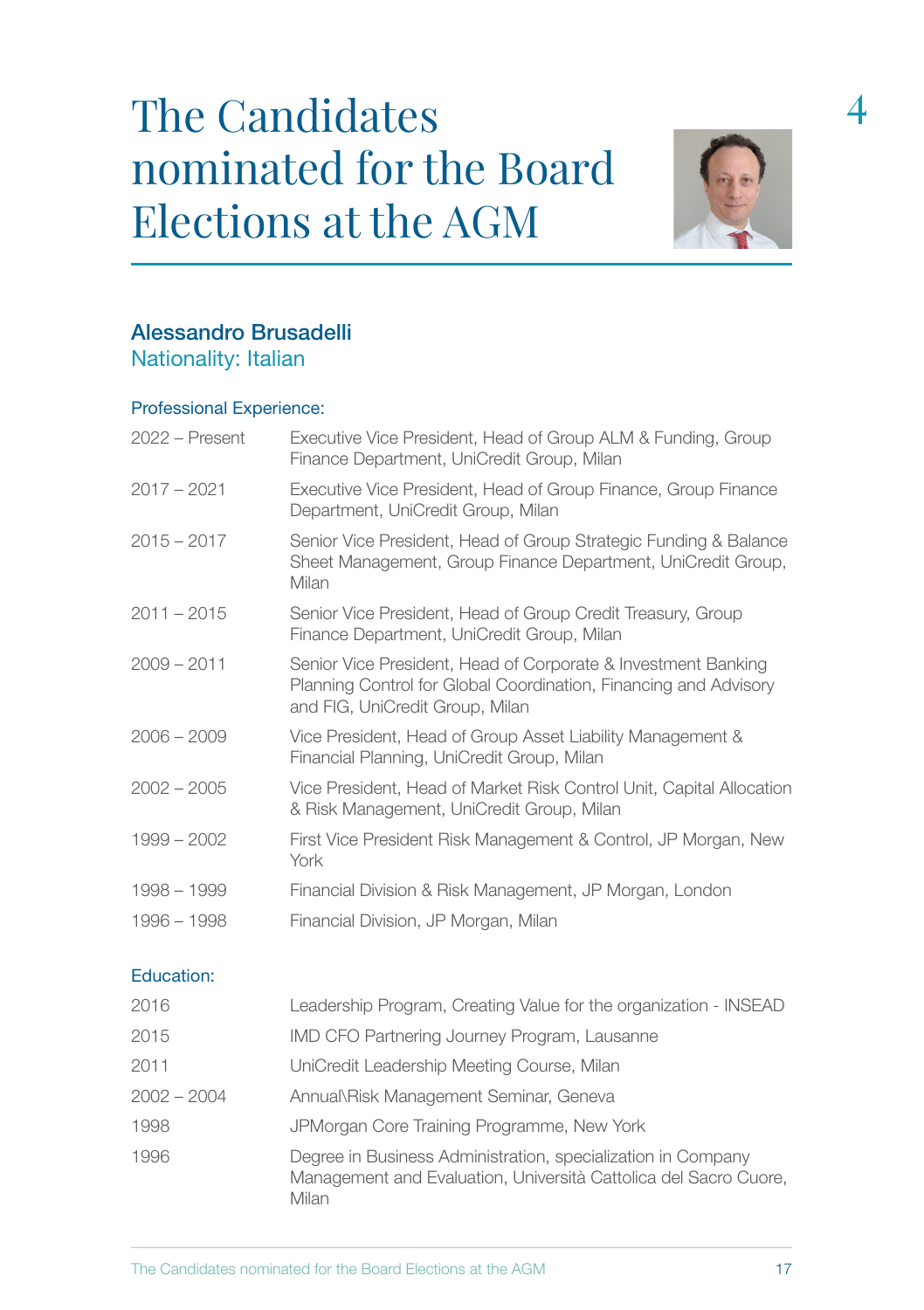

 $\boldsymbol{\varDelta}$ 

### Alessandro Brusadelli

Nationality: Italian

#### Professional Experience:

| $2022 -$ Present | Executive Vice President, Head of Group ALM & Funding, Group<br>Finance Department, UniCredit Group, Milan                                                           |
|------------------|----------------------------------------------------------------------------------------------------------------------------------------------------------------------|
| $2017 - 2021$    | Executive Vice President, Head of Group Finance, Group Finance<br>Department, UniCredit Group, Milan                                                                 |
| $2015 - 2017$    | Senior Vice President, Head of Group Strategic Funding & Balance<br>Sheet Management, Group Finance Department, UniCredit Group,<br>Milan                            |
| $2011 - 2015$    | Senior Vice President, Head of Group Credit Treasury, Group<br>Finance Department, UniCredit Group, Milan                                                            |
| $2009 - 2011$    | Senior Vice President, Head of Corporate & Investment Banking<br>Planning Control for Global Coordination, Financing and Advisory<br>and FIG, UniCredit Group, Milan |
| $2006 - 2009$    | Vice President, Head of Group Asset Liability Management &<br>Financial Planning, UniCredit Group, Milan                                                             |
| $2002 - 2005$    | Vice President, Head of Market Risk Control Unit, Capital Allocation<br>& Risk Management, UniCredit Group, Milan                                                    |
| $1999 - 2002$    | First Vice President Risk Management & Control, JP Morgan, New<br>York                                                                                               |
| 1998 - 1999      | Financial Division & Risk Management, JP Morgan, London                                                                                                              |
| 1996 - 1998      | Financial Division, JP Morgan, Milan                                                                                                                                 |

### Education:

| 2016          | Leadership Program, Creating Value for the organization - INSEAD                                                                          |
|---------------|-------------------------------------------------------------------------------------------------------------------------------------------|
| 2015          | <b>IMD CFO Partnering Journey Program, Lausanne</b>                                                                                       |
| 2011          | UniCredit Leadership Meeting Course, Milan                                                                                                |
| $2002 - 2004$ | Annual\Risk Management Seminar, Geneva                                                                                                    |
| 1998          | JPMorgan Core Training Programme, New York                                                                                                |
| 1996          | Degree in Business Administration, specialization in Company<br>Management and Evaluation, Università Cattolica del Sacro Cuore,<br>Milan |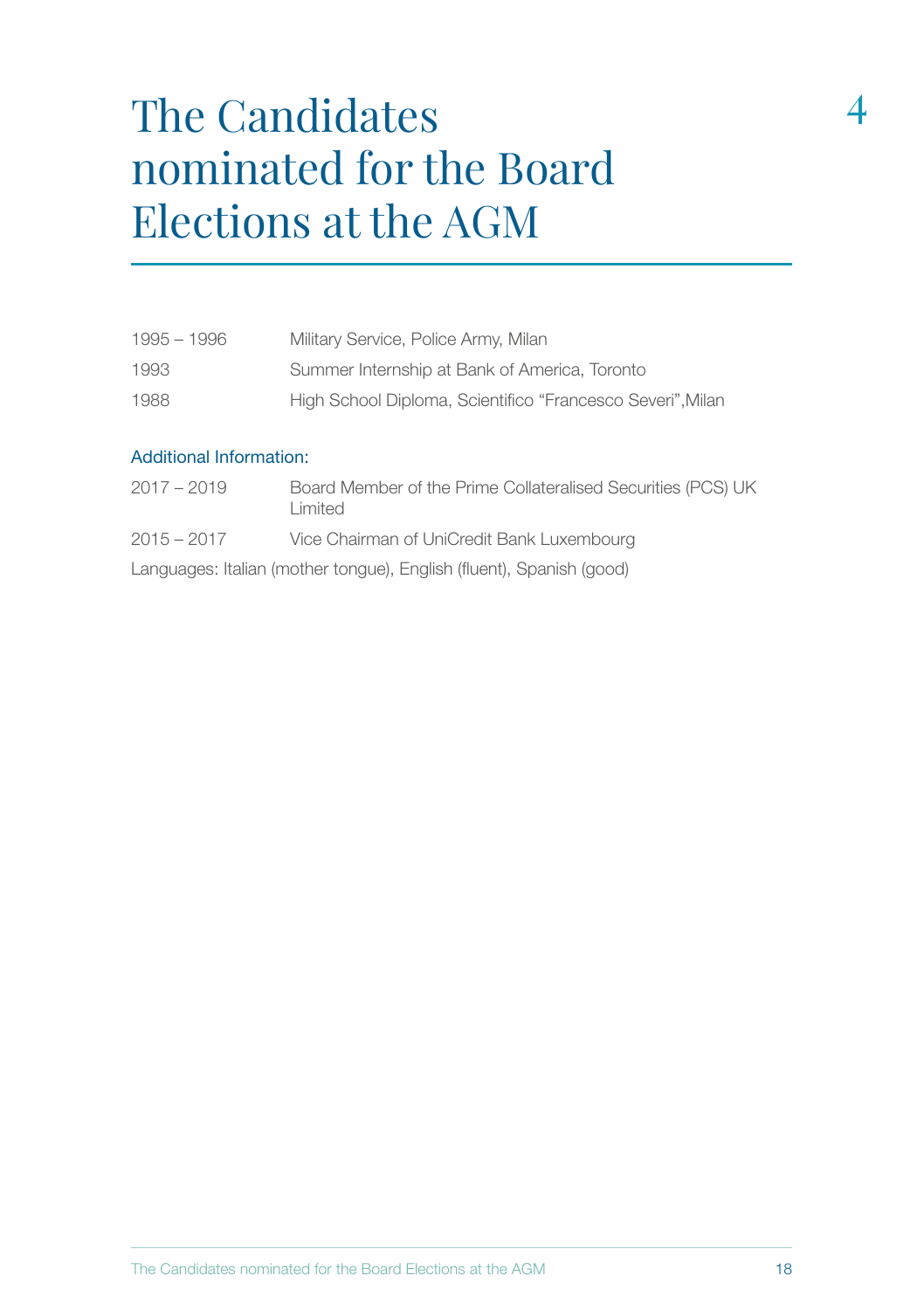| 1995 – 1996 | Military Service, Police Army, Milan                       |
|-------------|------------------------------------------------------------|
| 1993        | Summer Internship at Bank of America, Toronto              |
| 1988        | High School Diploma, Scientifico "Francesco Severi", Milan |

#### Additional Information:

| $2017 - 2019$ | Board Member of the Prime Collateralised Securities (PCS) UK<br>Limited |
|---------------|-------------------------------------------------------------------------|
| $2015 - 2017$ | Vice Chairman of UniCredit Bank Luxembourg                              |
|               | Languages: Italian (mother tongue), English (fluent), Spanish (good)    |

 $\boldsymbol{\varDelta}$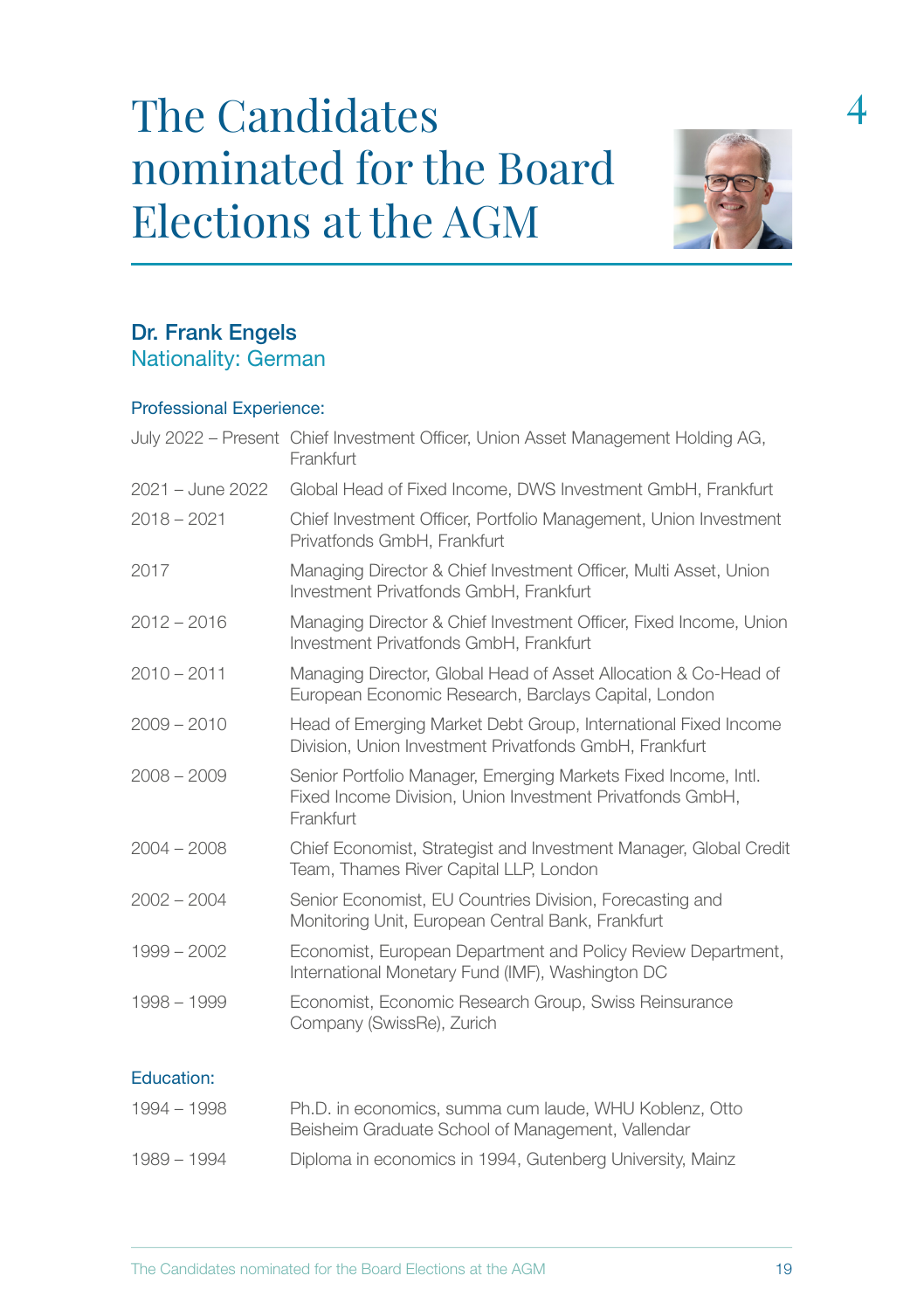

### Dr. Frank Engels Nationality: German

#### Professional Experience:

|                  | July 2022 – Present Chief Investment Officer, Union Asset Management Holding AG,<br>Frankfurt                                            |
|------------------|------------------------------------------------------------------------------------------------------------------------------------------|
| 2021 - June 2022 | Global Head of Fixed Income, DWS Investment GmbH, Frankfurt                                                                              |
| $2018 - 2021$    | Chief Investment Officer, Portfolio Management, Union Investment<br>Privatfonds GmbH. Frankfurt                                          |
| 2017             | Managing Director & Chief Investment Officer, Multi Asset, Union<br>Investment Privatfonds GmbH, Frankfurt                               |
| $2012 - 2016$    | Managing Director & Chief Investment Officer, Fixed Income, Union<br>Investment Privatfonds GmbH, Frankfurt                              |
| $2010 - 2011$    | Managing Director, Global Head of Asset Allocation & Co-Head of<br>European Economic Research, Barclays Capital, London                  |
| $2009 - 2010$    | Head of Emerging Market Debt Group, International Fixed Income<br>Division, Union Investment Privatfonds GmbH, Frankfurt                 |
| $2008 - 2009$    | Senior Portfolio Manager, Emerging Markets Fixed Income, Intl.<br>Fixed Income Division, Union Investment Privatfonds GmbH,<br>Frankfurt |
| $2004 - 2008$    | Chief Economist, Strategist and Investment Manager, Global Credit<br>Team, Thames River Capital LLP, London                              |
| $2002 - 2004$    | Senior Economist, EU Countries Division, Forecasting and<br>Monitoring Unit, European Central Bank, Frankfurt                            |
| $1999 - 2002$    | Economist, European Department and Policy Review Department,<br>International Monetary Fund (IMF), Washington DC                         |
| $1998 - 1999$    | Economist, Economic Research Group, Swiss Reinsurance<br>Company (SwissRe), Zurich                                                       |

### Education:

| 1994 - 1998 | Ph.D. in economics, summa cum laude, WHU Koblenz, Otto<br>Beisheim Graduate School of Management, Vallendar |
|-------------|-------------------------------------------------------------------------------------------------------------|
| 1989 - 1994 | Diploma in economics in 1994, Gutenberg University, Mainz                                                   |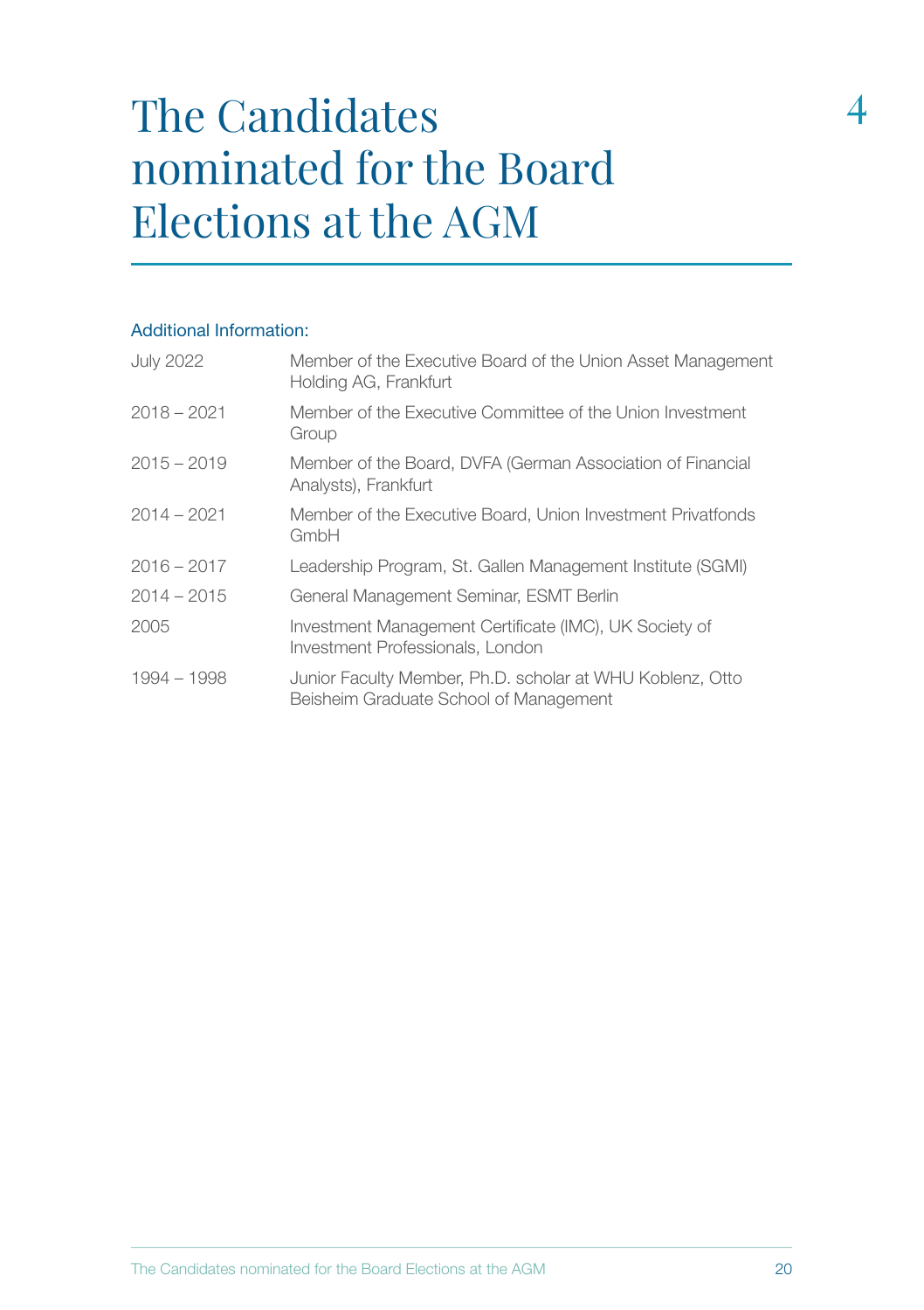#### Additional Information:

| <b>July 2022</b> | Member of the Executive Board of the Union Asset Management<br>Holding AG, Frankfurt                |
|------------------|-----------------------------------------------------------------------------------------------------|
| $2018 - 2021$    | Member of the Executive Committee of the Union Investment<br>Group                                  |
| $2015 - 2019$    | Member of the Board, DVFA (German Association of Financial<br>Analysts), Frankfurt                  |
| $2014 - 2021$    | Member of the Executive Board, Union Investment Privatfonds<br>GmbH                                 |
| $2016 - 2017$    | Leadership Program, St. Gallen Management Institute (SGMI)                                          |
| $2014 - 2015$    | General Management Seminar, ESMT Berlin                                                             |
| 2005             | Investment Management Certificate (IMC), UK Society of<br>Investment Professionals, London          |
| $1994 - 1998$    | Junior Faculty Member, Ph.D. scholar at WHU Koblenz, Otto<br>Beisheim Graduate School of Management |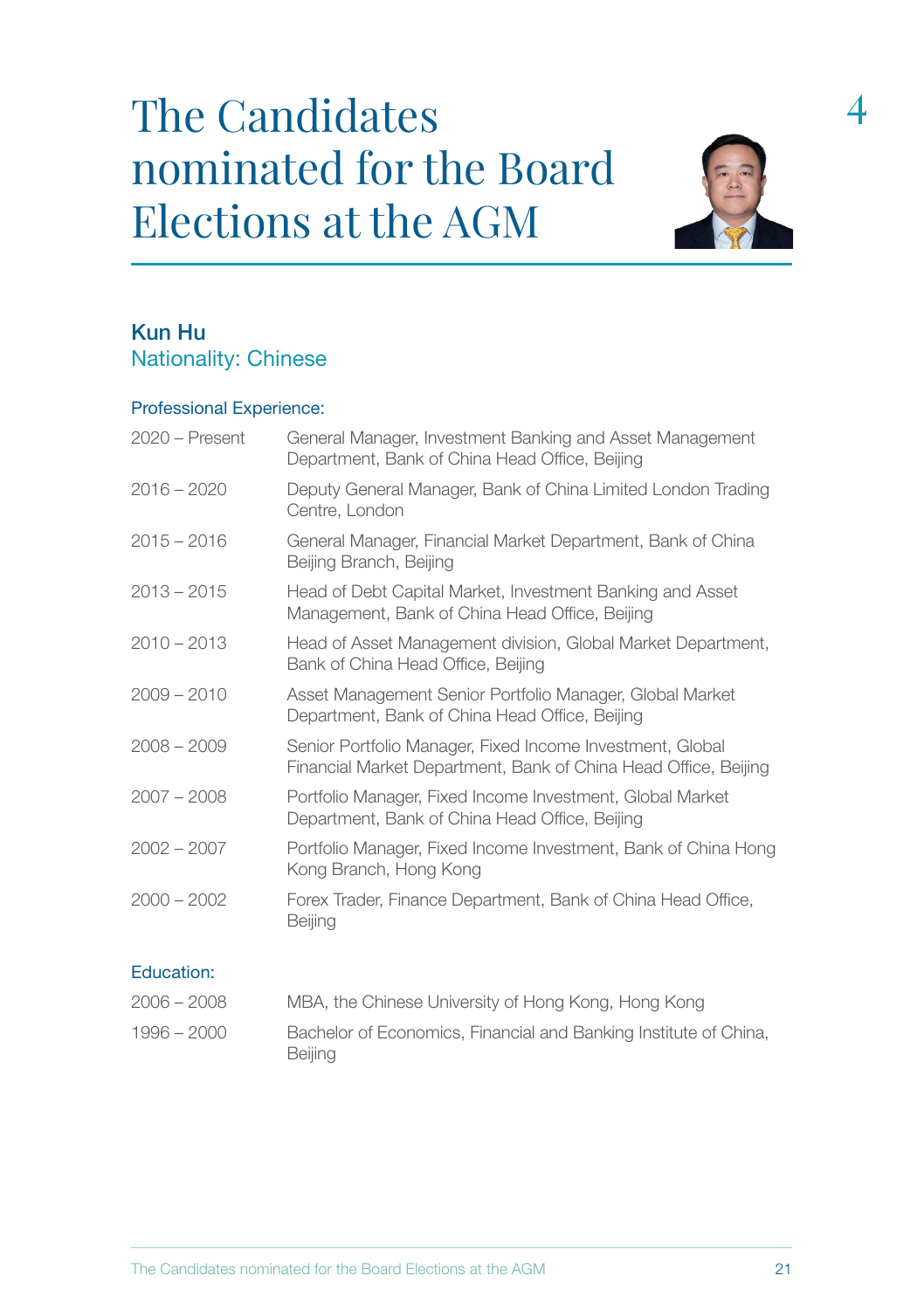

 $\boldsymbol{\varDelta}$ 

### Kun Hu Nationality: Chinese

#### Professional Experience:

| $2020 -$ Present | General Manager, Investment Banking and Asset Management<br>Department, Bank of China Head Office, Beijing                   |
|------------------|------------------------------------------------------------------------------------------------------------------------------|
| $2016 - 2020$    | Deputy General Manager, Bank of China Limited London Trading<br>Centre, London                                               |
| $2015 - 2016$    | General Manager, Financial Market Department, Bank of China<br>Beijing Branch, Beijing                                       |
| $2013 - 2015$    | Head of Debt Capital Market, Investment Banking and Asset<br>Management, Bank of China Head Office, Beijing                  |
| $2010 - 2013$    | Head of Asset Management division, Global Market Department,<br>Bank of China Head Office, Beijing                           |
| $2009 - 2010$    | Asset Management Senior Portfolio Manager, Global Market<br>Department, Bank of China Head Office, Beijing                   |
| $2008 - 2009$    | Senior Portfolio Manager, Fixed Income Investment, Global<br>Financial Market Department, Bank of China Head Office, Beijing |
| $2007 - 2008$    | Portfolio Manager, Fixed Income Investment, Global Market<br>Department, Bank of China Head Office, Beijing                  |
| $2002 - 2007$    | Portfolio Manager, Fixed Income Investment, Bank of China Hong<br>Kong Branch, Hong Kong                                     |
| $2000 - 2002$    | Forex Trader, Finance Department, Bank of China Head Office,<br>Beijing                                                      |

### Education:

| 2006 – 2008 | MBA, the Chinese University of Hong Kong, Hong Kong                         |
|-------------|-----------------------------------------------------------------------------|
| 1996 – 2000 | Bachelor of Economics, Financial and Banking Institute of China,<br>Beijing |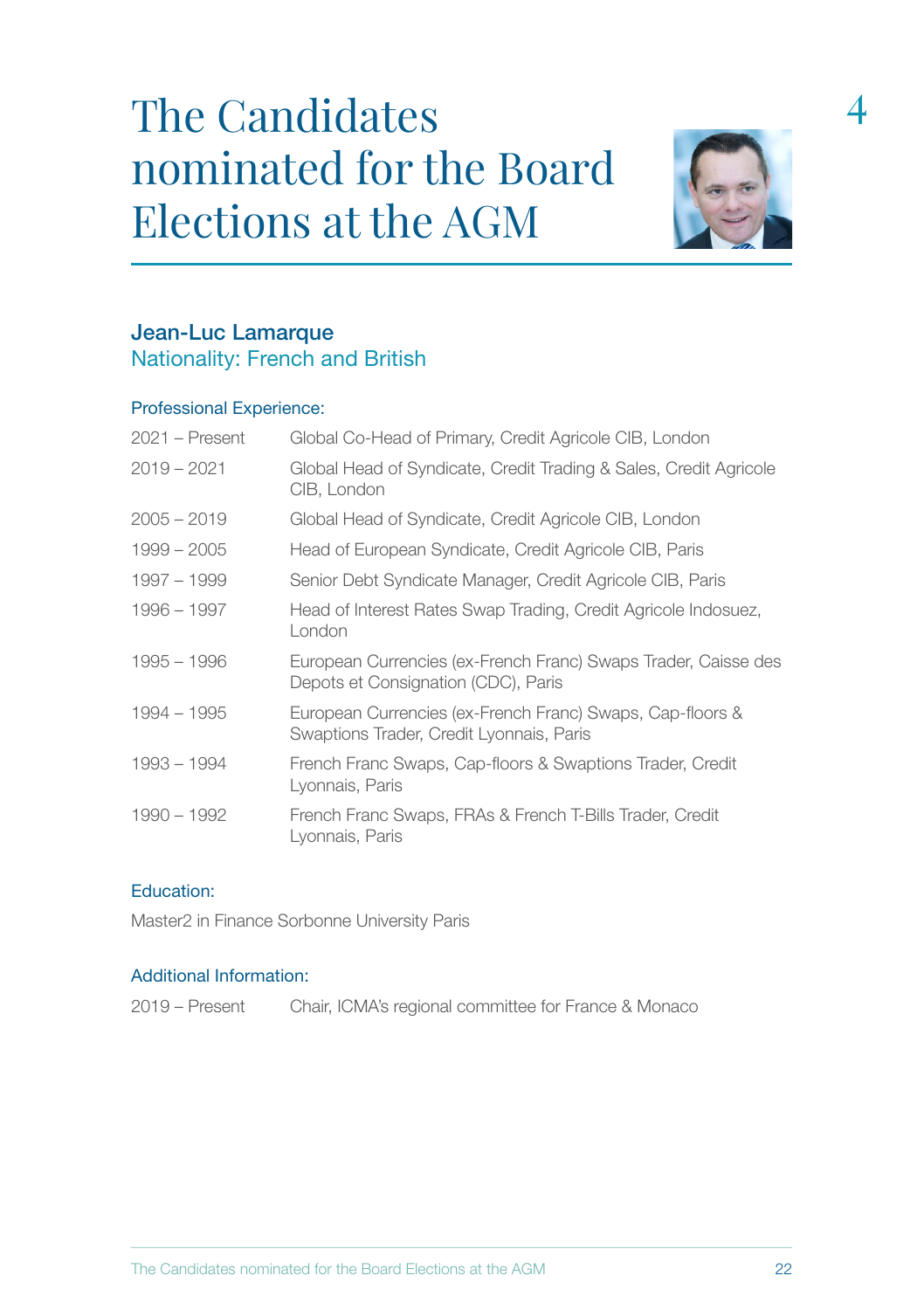

### Jean-Luc Lamarque Nationality: French and British

#### Professional Experience:

| 2021 – Present | Global Co-Head of Primary, Credit Agricole CIB, London                                                |
|----------------|-------------------------------------------------------------------------------------------------------|
| $2019 - 2021$  | Global Head of Syndicate, Credit Trading & Sales, Credit Agricole<br>CIB, London                      |
| $2005 - 2019$  | Global Head of Syndicate, Credit Agricole CIB, London                                                 |
| $1999 - 2005$  | Head of European Syndicate, Credit Agricole CIB, Paris                                                |
| 1997 - 1999    | Senior Debt Syndicate Manager, Credit Agricole CIB, Paris                                             |
| 1996 - 1997    | Head of Interest Rates Swap Trading, Credit Agricole Indosuez,<br>London                              |
| $1995 - 1996$  | European Currencies (ex-French Franc) Swaps Trader, Caisse des<br>Depots et Consignation (CDC), Paris |
| 1994 - 1995    | European Currencies (ex-French Franc) Swaps, Cap-floors &<br>Swaptions Trader, Credit Lyonnais, Paris |
| 1993 - 1994    | French Franc Swaps, Cap-floors & Swaptions Trader, Credit<br>Lyonnais, Paris                          |
| $1990 - 1992$  | French Franc Swaps, FRAs & French T-Bills Trader, Credit<br>Lyonnais, Paris                           |

### Education:

Master2 in Finance Sorbonne University Paris

#### Additional Information:

2019 – Present Chair, ICMA's regional committee for France & Monaco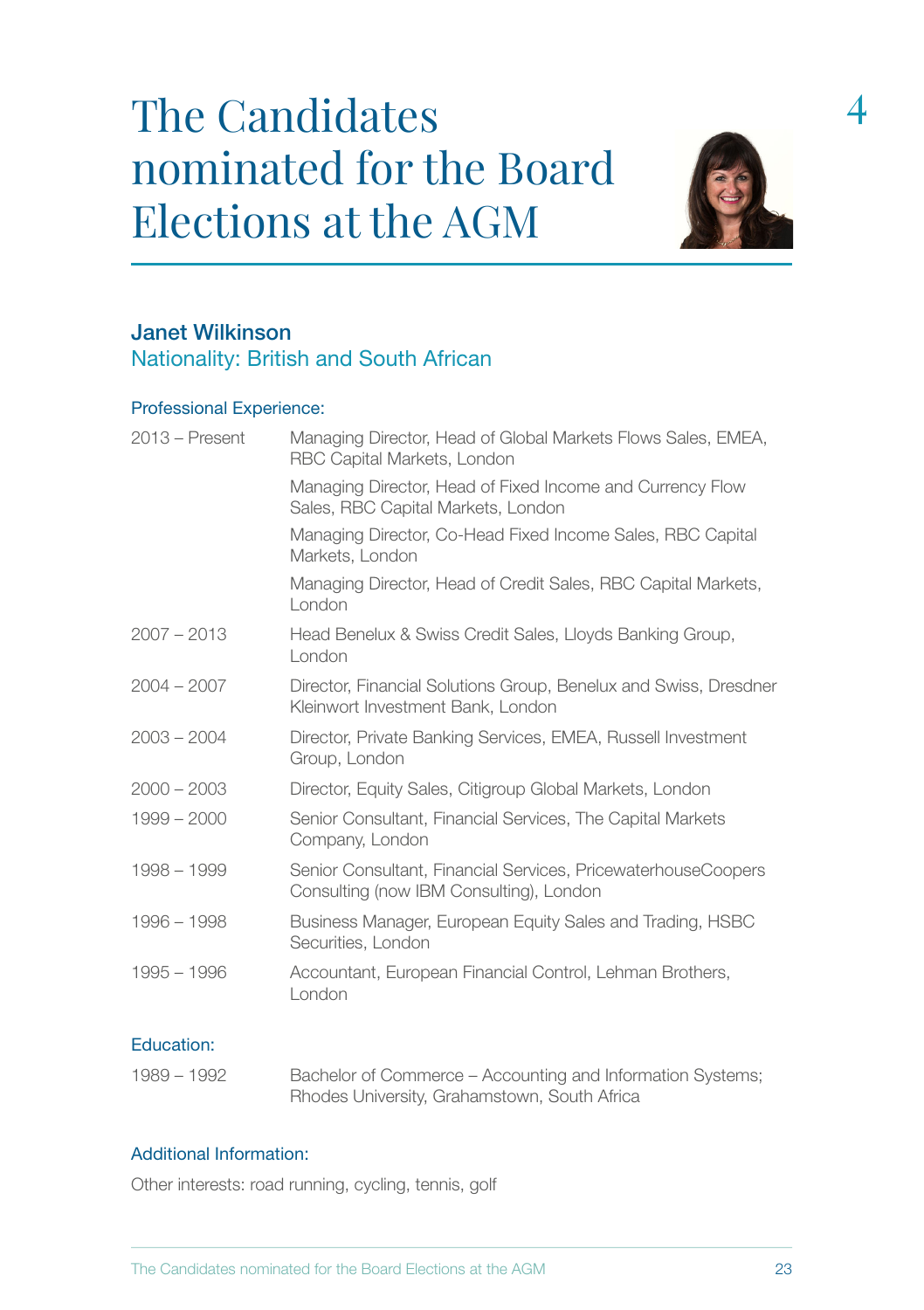

 $\varDelta$ 

### Janet Wilkinson

### Nationality: British and South African

### Professional Experience:

| $2013 -$ Present | Managing Director, Head of Global Markets Flows Sales, EMEA,<br>RBC Capital Markets, London              |
|------------------|----------------------------------------------------------------------------------------------------------|
|                  | Managing Director, Head of Fixed Income and Currency Flow<br>Sales, RBC Capital Markets, London          |
|                  | Managing Director, Co-Head Fixed Income Sales, RBC Capital<br>Markets, London                            |
|                  | Managing Director, Head of Credit Sales, RBC Capital Markets,<br>London                                  |
| $2007 - 2013$    | Head Benelux & Swiss Credit Sales, Lloyds Banking Group,<br>London                                       |
| $2004 - 2007$    | Director, Financial Solutions Group, Benelux and Swiss, Dresdner<br>Kleinwort Investment Bank, London    |
| $2003 - 2004$    | Director, Private Banking Services, EMEA, Russell Investment<br>Group, London                            |
| $2000 - 2003$    | Director, Equity Sales, Citigroup Global Markets, London                                                 |
| $1999 - 2000$    | Senior Consultant, Financial Services, The Capital Markets<br>Company, London                            |
| 1998 - 1999      | Senior Consultant, Financial Services, PricewaterhouseCoopers<br>Consulting (now IBM Consulting), London |
| $1996 - 1998$    | Business Manager, European Equity Sales and Trading, HSBC<br>Securities, London                          |
| $1995 - 1996$    | Accountant, European Financial Control, Lehman Brothers,<br>London                                       |
|                  |                                                                                                          |

### Education:

| 1989 - 1992 | Bachelor of Commerce – Accounting and Information Systems; |
|-------------|------------------------------------------------------------|
|             | Rhodes University, Grahamstown, South Africa               |

### Additional Information:

Other interests: road running, cycling, tennis, golf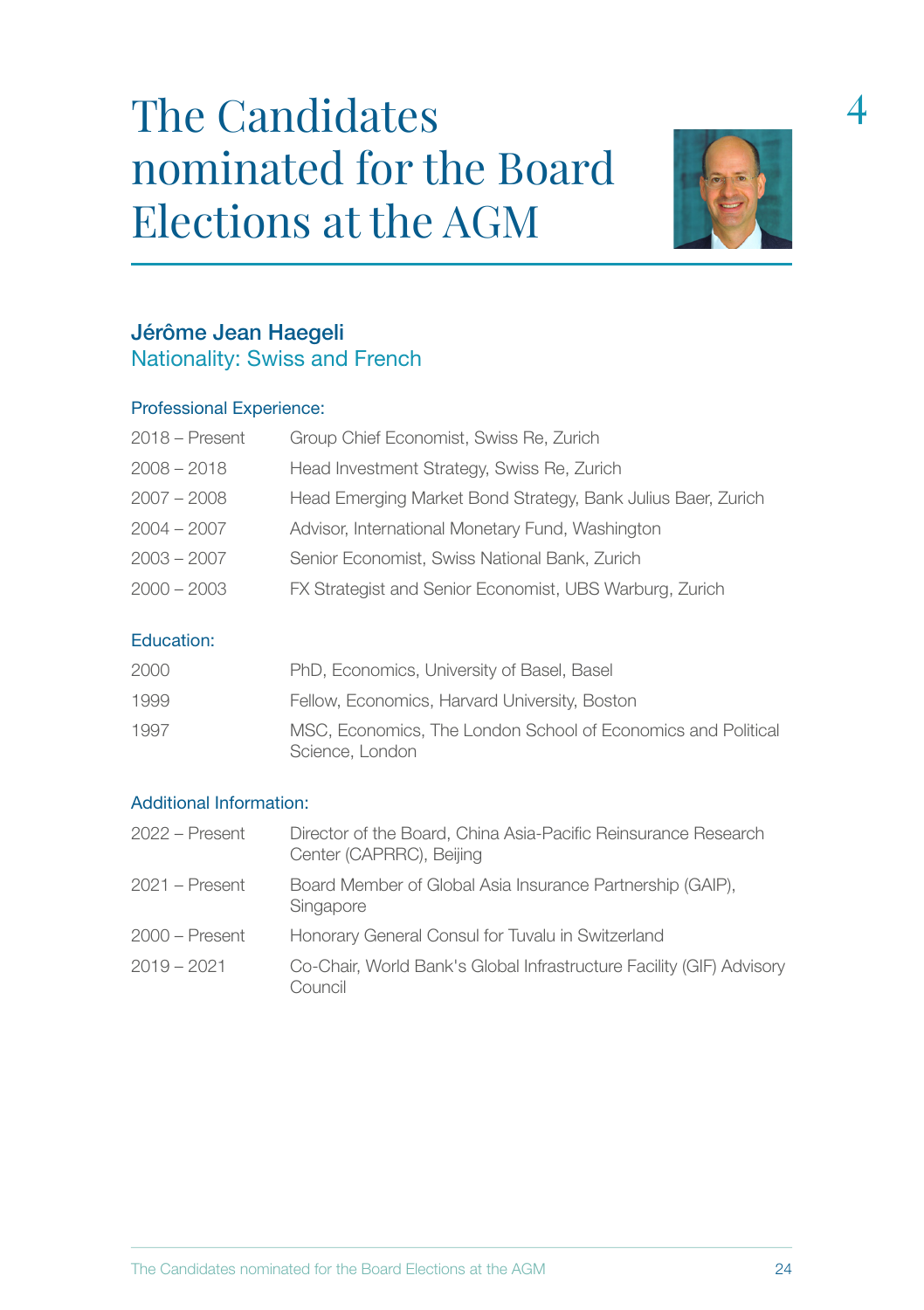

 $\boldsymbol{\varDelta}$ 

### Jérôme Jean Haegeli Nationality: Swiss and French

#### Professional Experience:

| $2018 -$ Present | Group Chief Economist, Swiss Re, Zurich                      |
|------------------|--------------------------------------------------------------|
| $2008 - 2018$    | Head Investment Strategy, Swiss Re, Zurich                   |
| $2007 - 2008$    | Head Emerging Market Bond Strategy, Bank Julius Baer, Zurich |
| $2004 - 2007$    | Advisor, International Monetary Fund, Washington             |
| $2003 - 2007$    | Senior Economist, Swiss National Bank, Zurich                |
| $2000 - 2003$    | FX Strategist and Senior Economist, UBS Warburg, Zurich      |
|                  |                                                              |

### Education:

| 2000 | PhD, Economics, University of Basel, Basel                                      |
|------|---------------------------------------------------------------------------------|
| 1999 | Fellow, Economics, Harvard University, Boston                                   |
| 1997 | MSC. Economics. The London School of Economics and Political<br>Science, London |

#### Additional Information:

| $2022 -$ Present | Director of the Board, China Asia-Pacific Reinsurance Research<br>Center (CAPRRC), Beijing |
|------------------|--------------------------------------------------------------------------------------------|
| $2021 -$ Present | Board Member of Global Asia Insurance Partnership (GAIP),<br>Singapore                     |
| $2000 -$ Present | Honorary General Consul for Tuvalu in Switzerland                                          |
| $2019 - 2021$    | Co-Chair, World Bank's Global Infrastructure Facility (GIF) Advisory<br>Council            |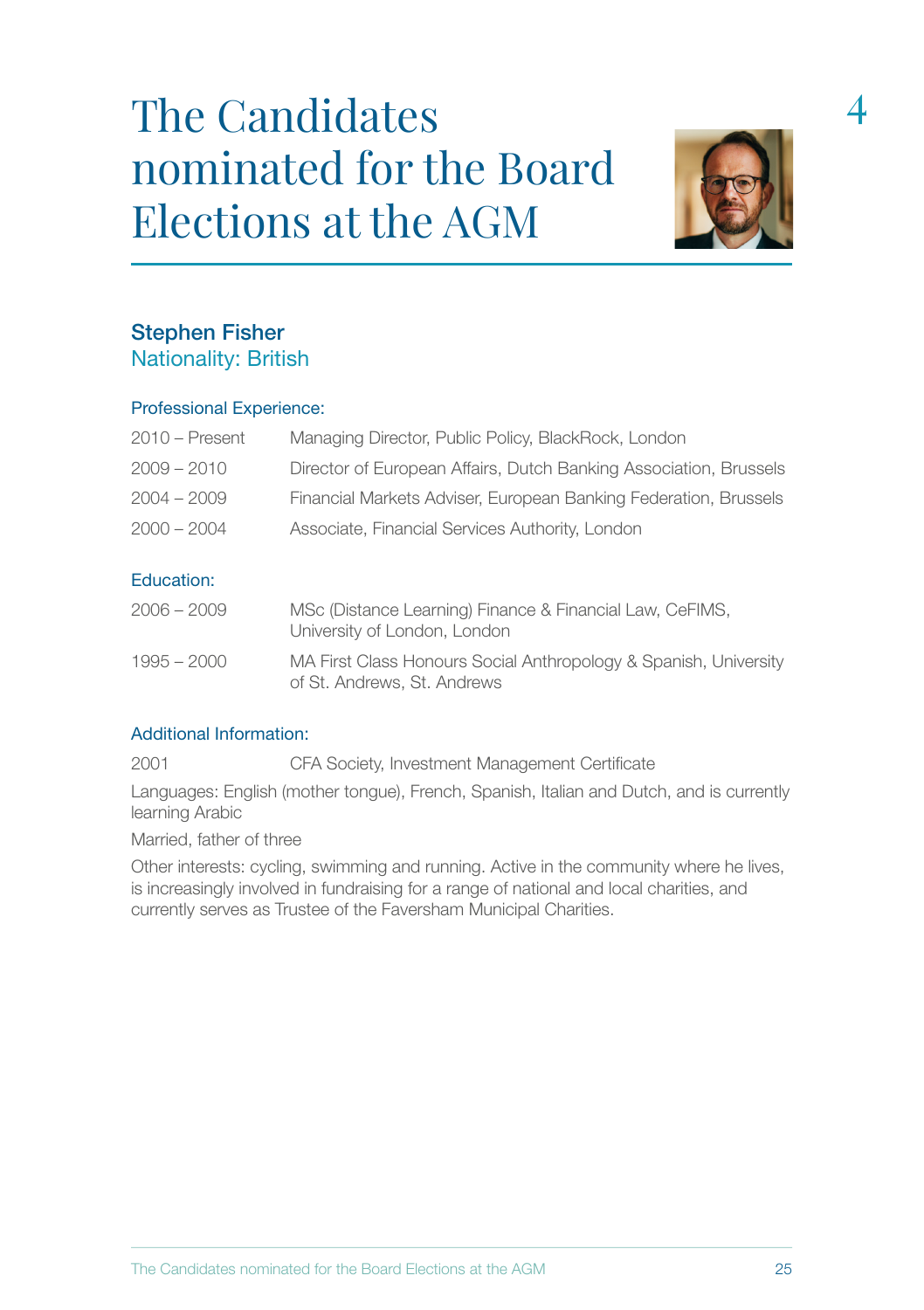

 $\boldsymbol{\varDelta}$ 

### Stephen Fisher Nationality: British

#### Professional Experience:

| $2010 -$ Present | Managing Director, Public Policy, BlackRock, London               |
|------------------|-------------------------------------------------------------------|
| $2009 - 2010$    | Director of European Affairs, Dutch Banking Association, Brussels |
| $2004 - 2009$    | Financial Markets Adviser, European Banking Federation, Brussels  |
| $2000 - 2004$    | Associate, Financial Services Authority, London                   |
|                  |                                                                   |

### Education:

| $2006 - 2009$ | MSc (Distance Learning) Finance & Financial Law, CeFIMS,<br>University of London, London        |
|---------------|-------------------------------------------------------------------------------------------------|
| 1995 – 2000   | MA First Class Honours Social Anthropology & Spanish, University<br>of St. Andrews, St. Andrews |

#### Additional Information:

2001 CFA Society, Investment Management Certificate

Languages: English (mother tongue), French, Spanish, Italian and Dutch, and is currently learning Arabic

Married, father of three

Other interests: cycling, swimming and running. Active in the community where he lives, is increasingly involved in fundraising for a range of national and local charities, and currently serves as Trustee of the Faversham Municipal Charities.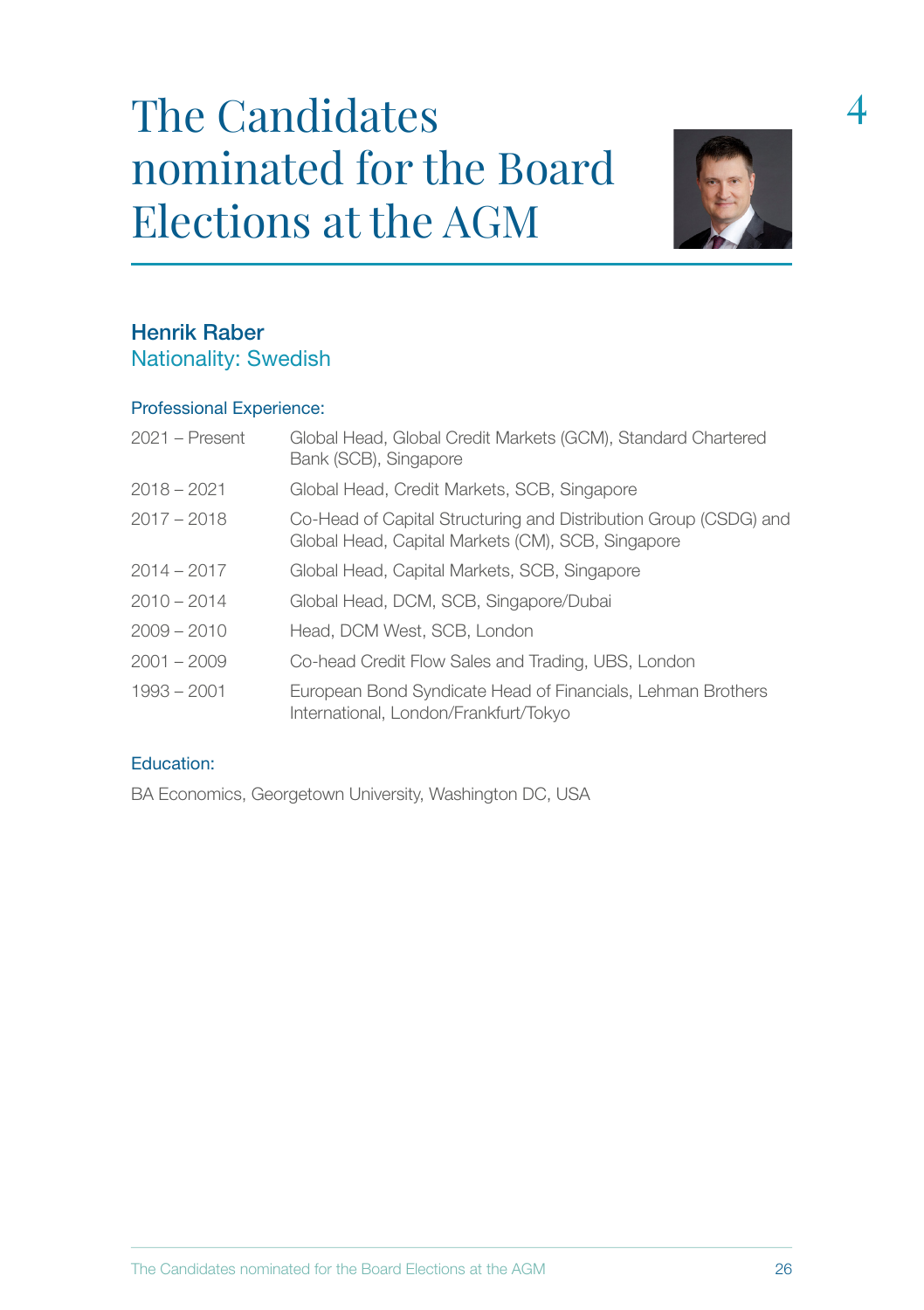

### Henrik Raber Nationality: Swedish

#### Professional Experience:

| $2021 -$ Present | Global Head, Global Credit Markets (GCM), Standard Chartered<br>Bank (SCB), Singapore                                 |
|------------------|-----------------------------------------------------------------------------------------------------------------------|
| $2018 - 2021$    | Global Head, Credit Markets, SCB, Singapore                                                                           |
| $2017 - 2018$    | Co-Head of Capital Structuring and Distribution Group (CSDG) and<br>Global Head, Capital Markets (CM), SCB, Singapore |
| $2014 - 2017$    | Global Head, Capital Markets, SCB, Singapore                                                                          |
| $2010 - 2014$    | Global Head, DCM, SCB, Singapore/Dubai                                                                                |
| $2009 - 2010$    | Head, DCM West, SCB, London                                                                                           |
| $2001 - 2009$    | Co-head Credit Flow Sales and Trading, UBS, London                                                                    |
| $1993 - 2001$    | European Bond Syndicate Head of Financials, Lehman Brothers<br>International, London/Frankfurt/Tokyo                  |

#### Education:

BA Economics, Georgetown University, Washington DC, USA

 $\boldsymbol{\varDelta}$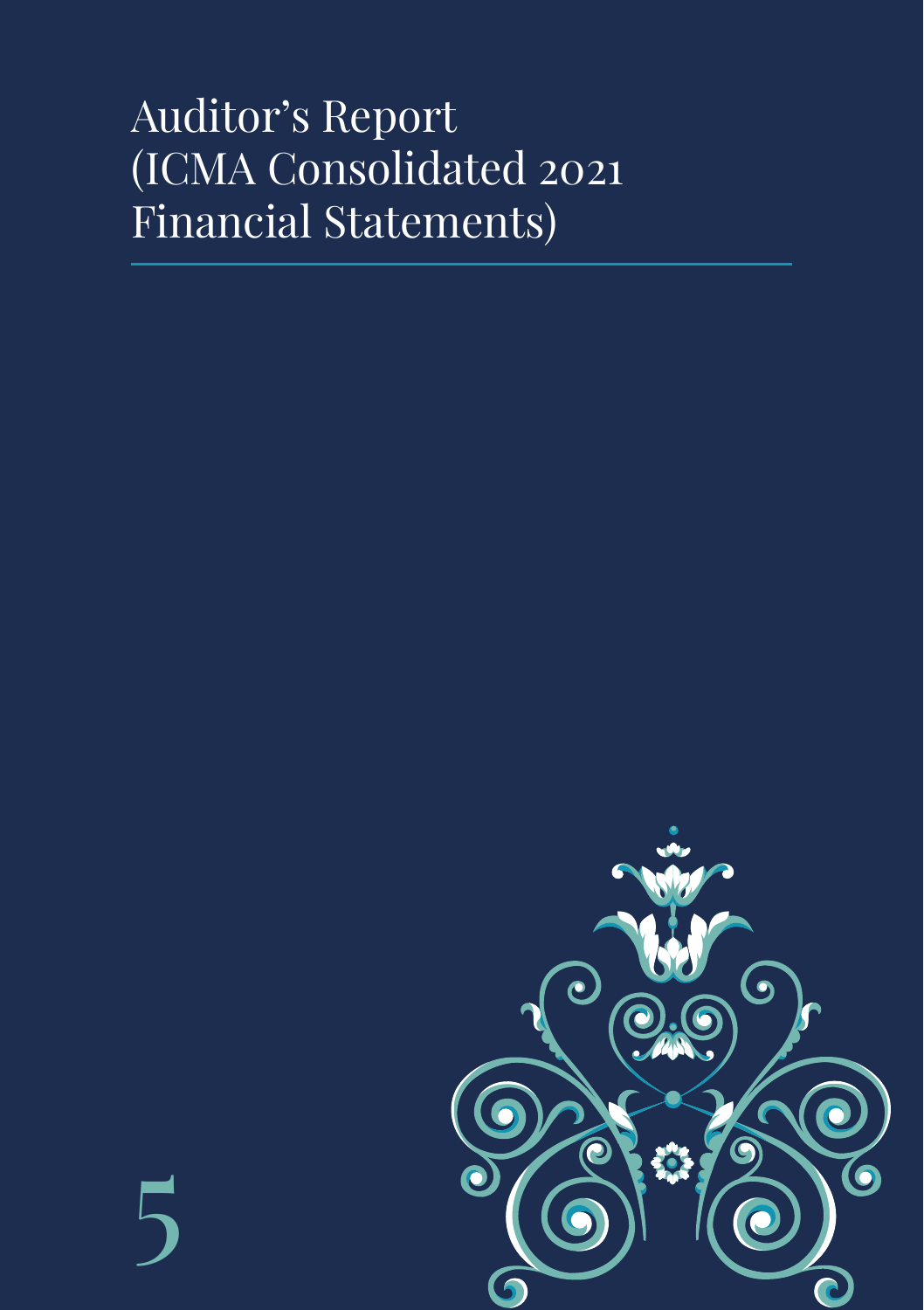### <span id="page-26-0"></span>Auditor's Report (ICMA Consolidated 2021 Financial Statements)

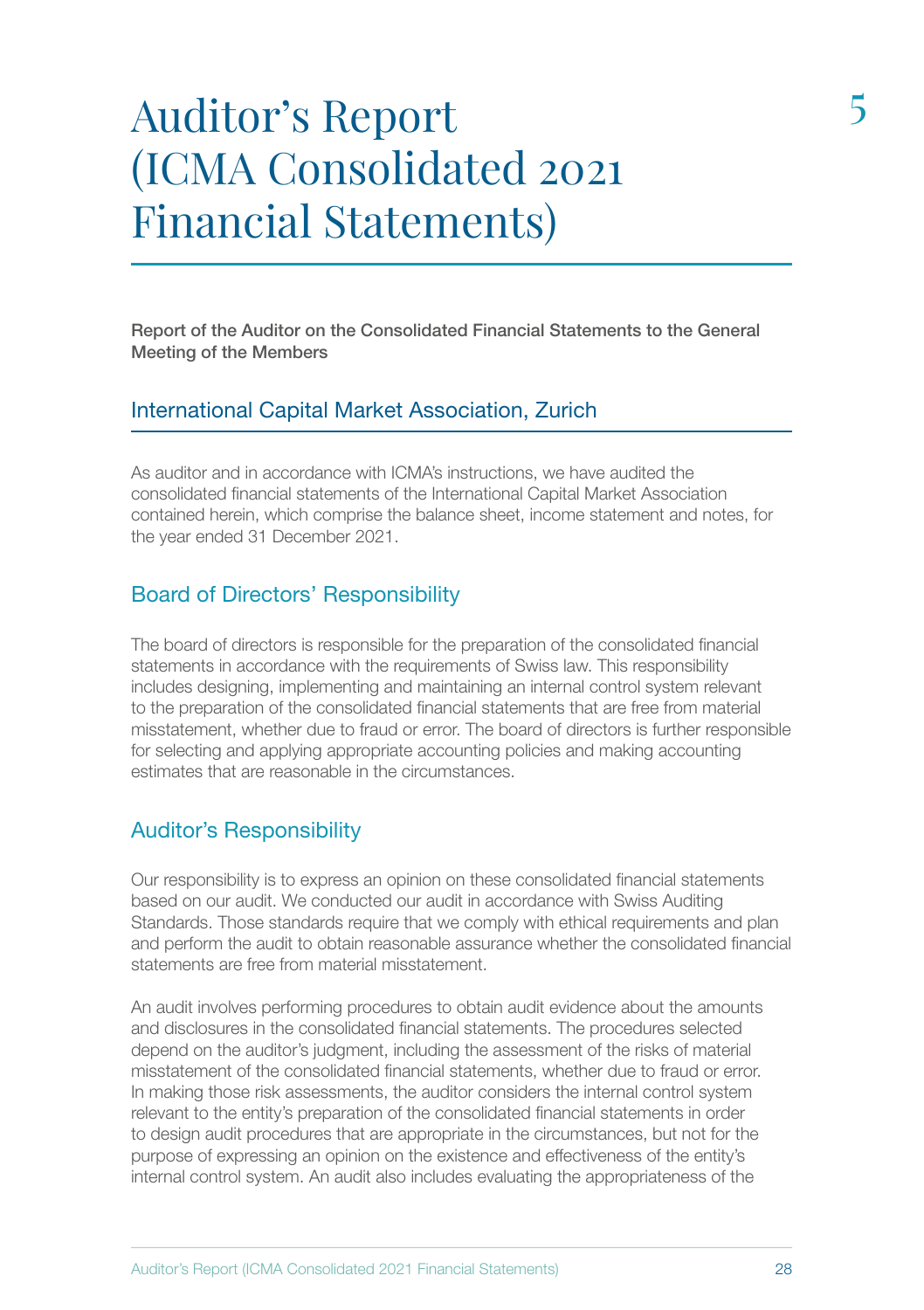### Auditor's Report (ICMA Consolidated 2021 Financial Statements)

Report of the Auditor on the Consolidated Financial Statements to the General Meeting of the Members

### International Capital Market Association, Zurich

As auditor and in accordance with ICMA's instructions, we have audited the consolidated financial statements of the International Capital Market Association contained herein, which comprise the balance sheet, income statement and notes, for the year ended 31 December 2021.

### Board of Directors' Responsibility

The board of directors is responsible for the preparation of the consolidated financial statements in accordance with the requirements of Swiss law. This responsibility includes designing, implementing and maintaining an internal control system relevant to the preparation of the consolidated financial statements that are free from material misstatement, whether due to fraud or error. The board of directors is further responsible for selecting and applying appropriate accounting policies and making accounting estimates that are reasonable in the circumstances.

### Auditor's Responsibility

Our responsibility is to express an opinion on these consolidated financial statements based on our audit. We conducted our audit in accordance with Swiss Auditing Standards. Those standards require that we comply with ethical requirements and plan and perform the audit to obtain reasonable assurance whether the consolidated financial statements are free from material misstatement.

An audit involves performing procedures to obtain audit evidence about the amounts and disclosures in the consolidated financial statements. The procedures selected depend on the auditor's judgment, including the assessment of the risks of material misstatement of the consolidated financial statements, whether due to fraud or error. In making those risk assessments, the auditor considers the internal control system relevant to the entity's preparation of the consolidated financial statements in order to design audit procedures that are appropriate in the circumstances, but not for the purpose of expressing an opinion on the existence and effectiveness of the entity's internal control system. An audit also includes evaluating the appropriateness of the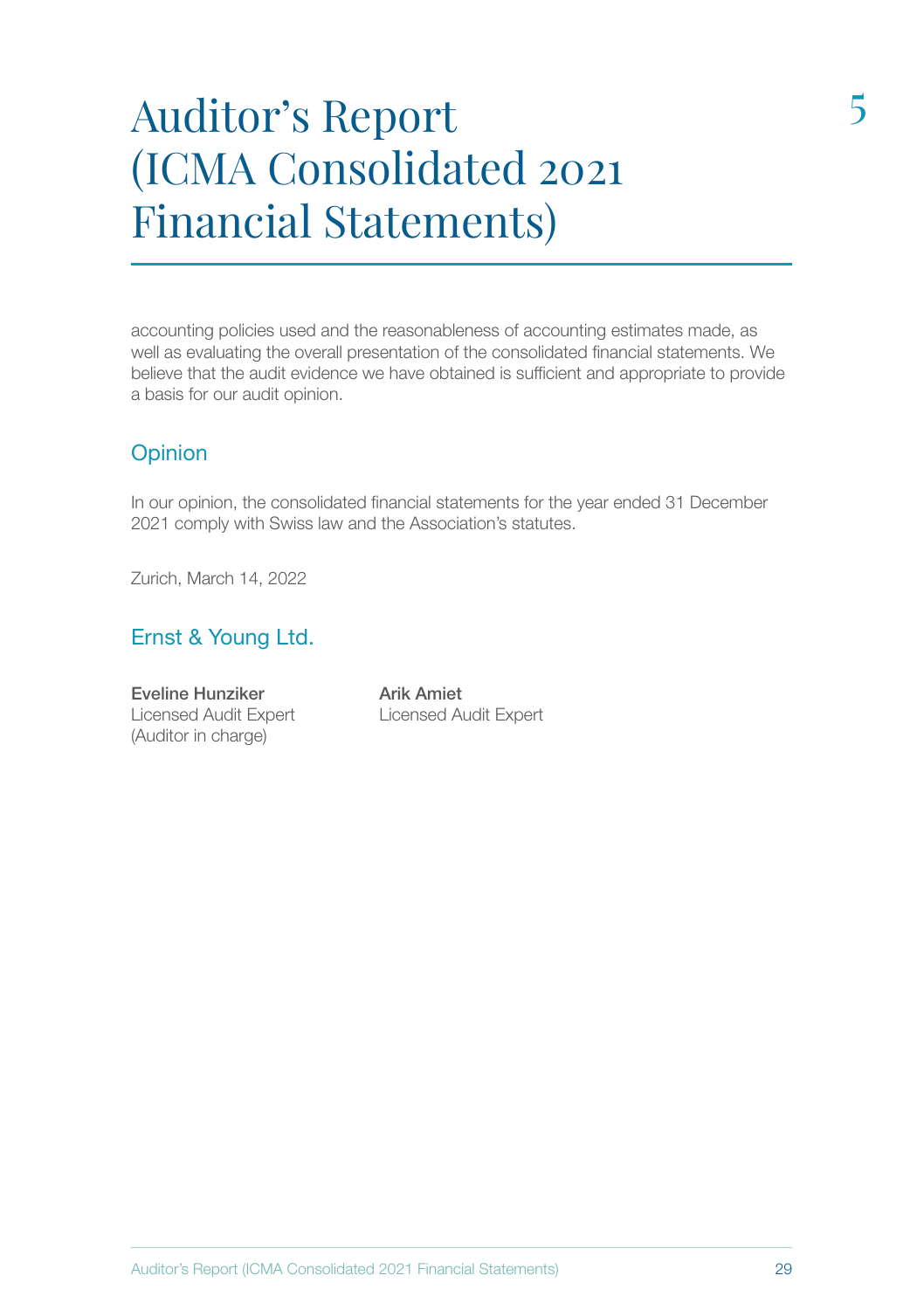### Auditor's Report 5 (ICMA Consolidated 2021 Financial Statements)

accounting policies used and the reasonableness of accounting estimates made, as well as evaluating the overall presentation of the consolidated financial statements. We believe that the audit evidence we have obtained is sufficient and appropriate to provide a basis for our audit opinion.

### **Opinion**

In our opinion, the consolidated financial statements for the year ended 31 December 2021 comply with Swiss law and the Association's statutes.

Zurich, March 14, 2022

### Ernst & Young Ltd.

Eveline Hunziker Licensed Audit Expert (Auditor in charge)

Arik Amiet Licensed Audit Expert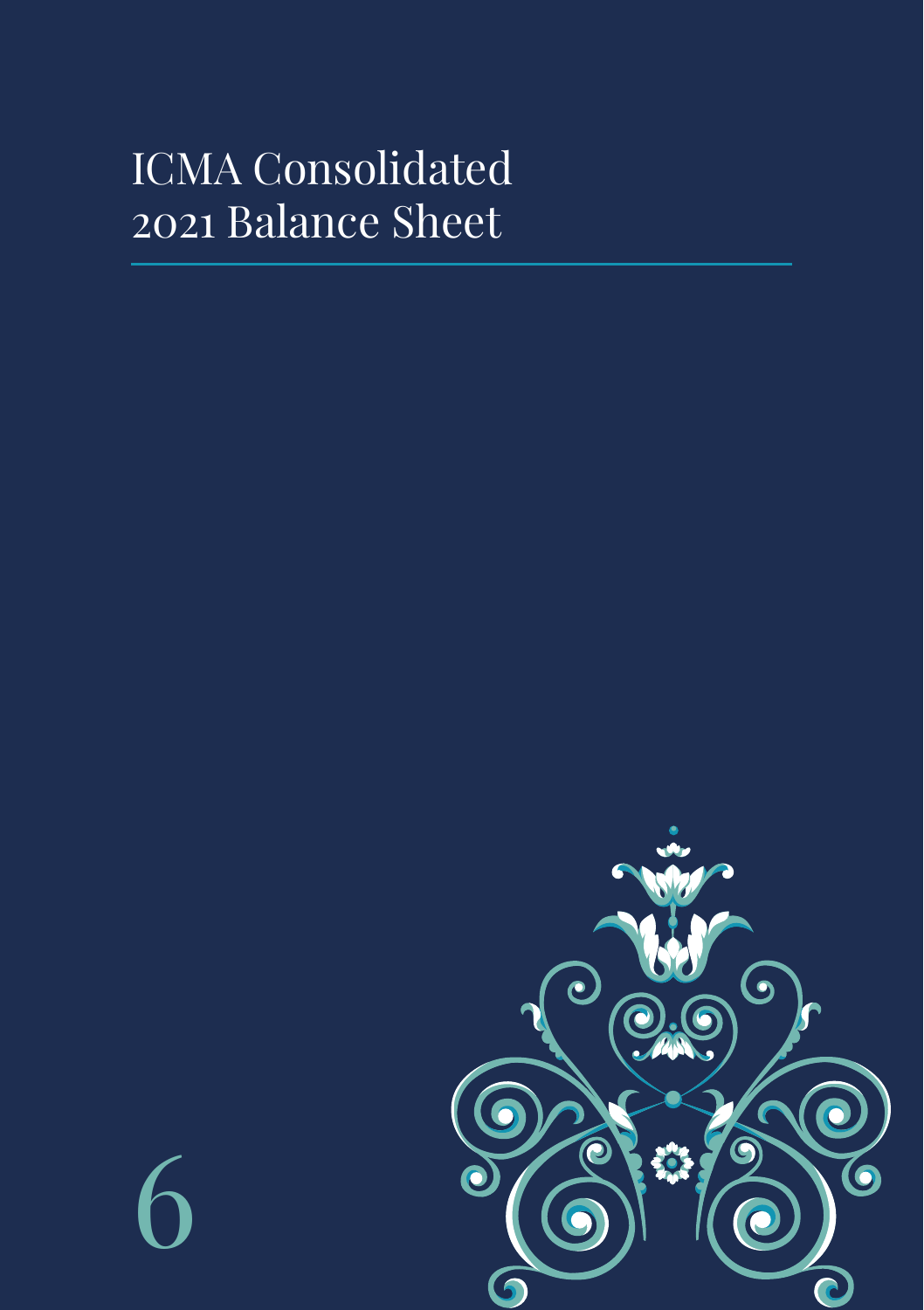### <span id="page-29-0"></span>ICMA Consolidated 2021 Balance Sheet

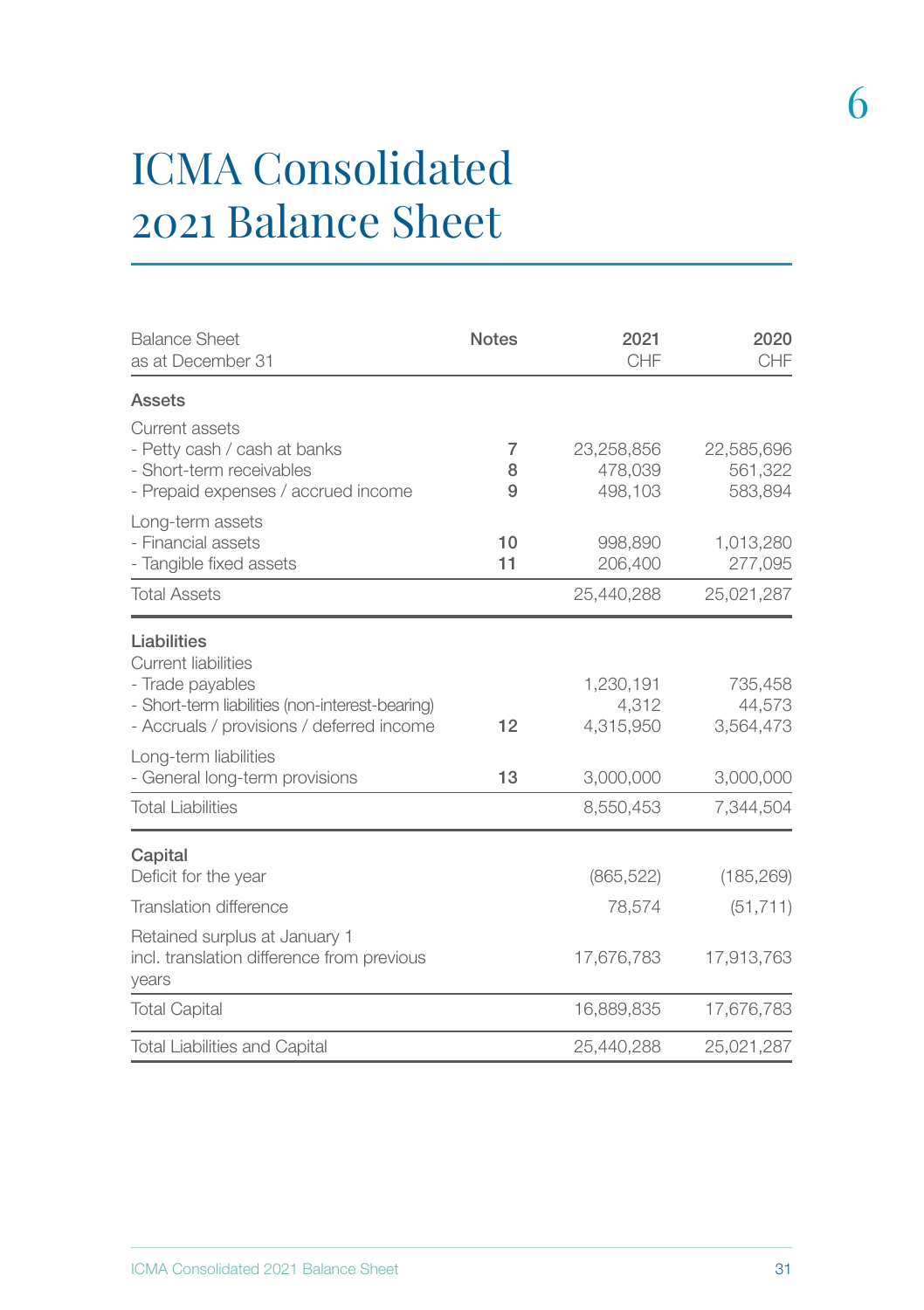### ICMA Consolidated 2021 Balance Sheet

| <b>Balance Sheet</b><br>as at December 31                                                                                                                     | <b>Notes</b> | 2021<br>CHF                      | 2020<br>CHF                      |
|---------------------------------------------------------------------------------------------------------------------------------------------------------------|--------------|----------------------------------|----------------------------------|
| Assets                                                                                                                                                        |              |                                  |                                  |
| Current assets<br>- Petty cash / cash at banks<br>- Short-term receivables<br>- Prepaid expenses / accrued income                                             | 7<br>8<br>9  | 23,258,856<br>478,039<br>498,103 | 22,585,696<br>561,322<br>583,894 |
| Long-term assets<br>- Financial assets<br>- Tangible fixed assets                                                                                             | 10<br>11     | 998,890<br>206,400               | 1,013,280<br>277,095             |
| <b>Total Assets</b>                                                                                                                                           |              | 25,440,288                       | 25,021,287                       |
| Liabilities<br><b>Current liabilities</b><br>- Trade payables<br>- Short-term liabilities (non-interest-bearing)<br>- Accruals / provisions / deferred income | 12           | 1,230,191<br>4,312<br>4,315,950  | 735,458<br>44,573<br>3,564,473   |
| Long-term liabilities<br>- General long-term provisions                                                                                                       | 13           | 3,000,000                        | 3,000,000                        |
| <b>Total Liabilities</b>                                                                                                                                      |              | 8,550,453                        | 7,344,504                        |
| Capital<br>Deficit for the year                                                                                                                               |              | (865, 522)                       | (185, 269)                       |
| <b>Translation difference</b>                                                                                                                                 |              | 78,574                           | (51, 711)                        |
| Retained surplus at January 1<br>incl. translation difference from previous<br>vears                                                                          |              | 17,676,783                       | 17,913,763                       |
| <b>Total Capital</b>                                                                                                                                          |              | 16,889,835                       | 17,676,783                       |
| <b>Total Liabilities and Capital</b>                                                                                                                          |              | 25,440,288                       | 25,021,287                       |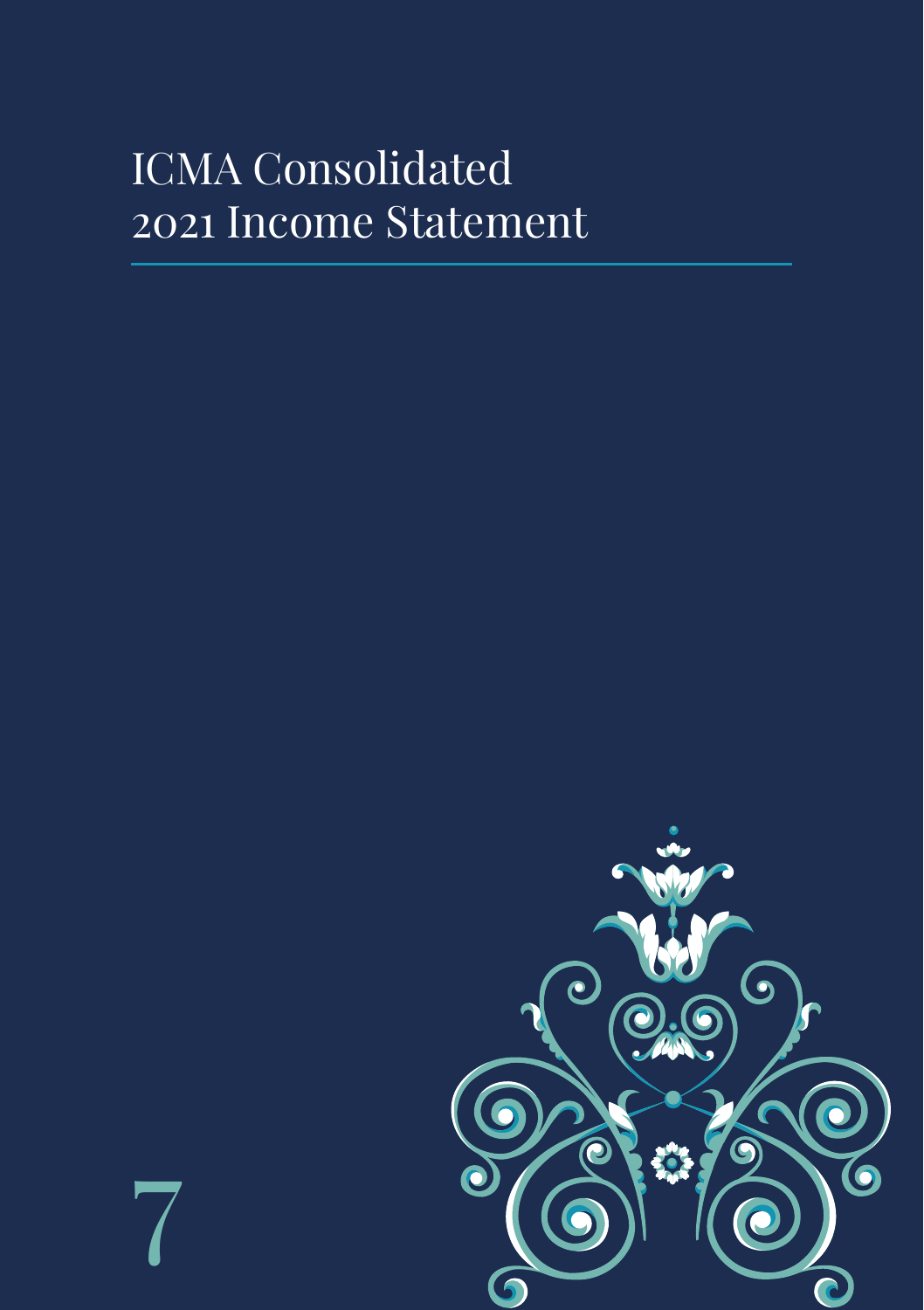### <span id="page-31-0"></span>ICMA Consolidated 2021 Income Statement

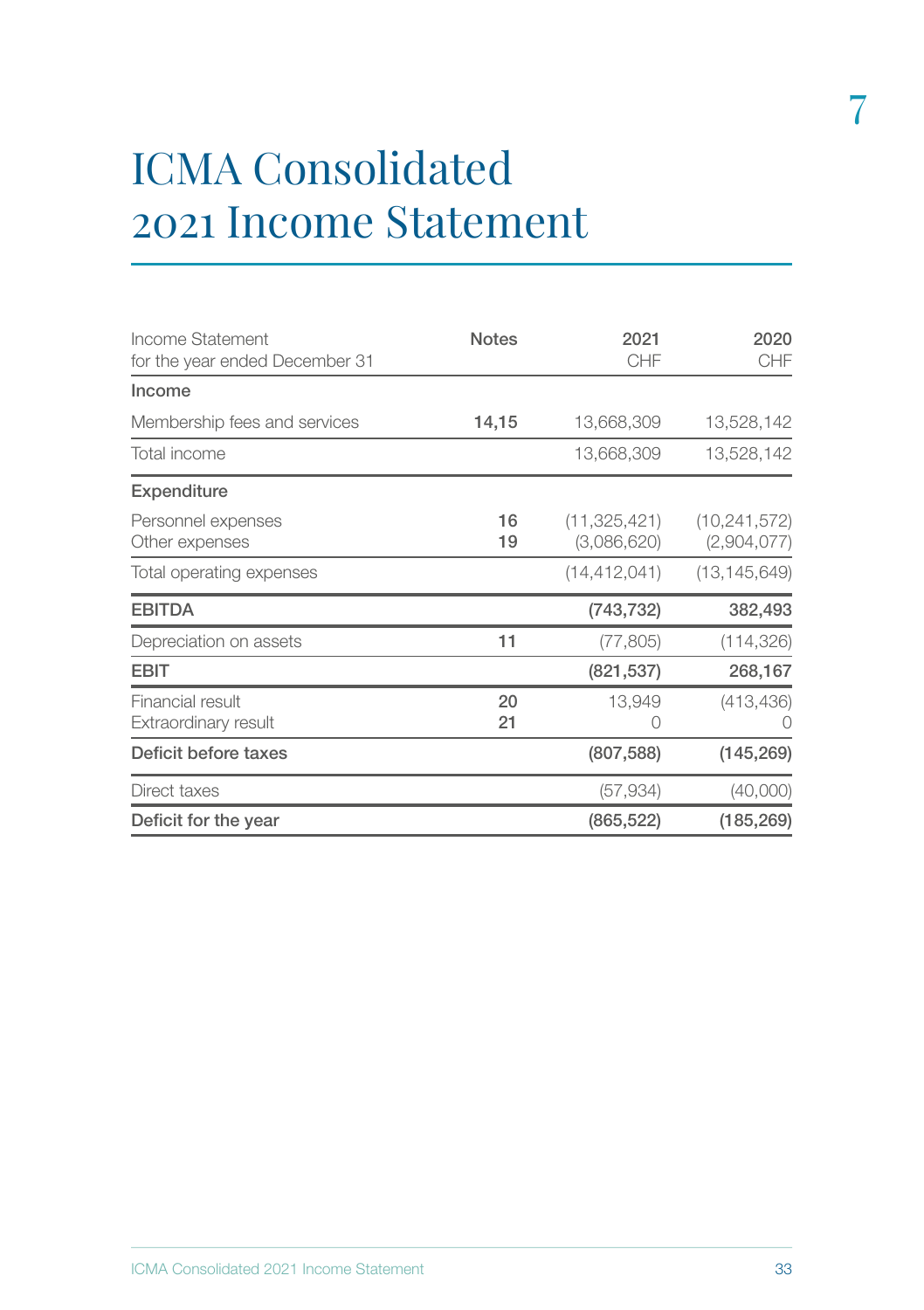### ICMA Consolidated 2021 Income Statement

| Income Statement<br>for the year ended December 31 | <b>Notes</b> | 2021<br><b>CHF</b>            | 2020<br>CHF                    |
|----------------------------------------------------|--------------|-------------------------------|--------------------------------|
| Income                                             |              |                               |                                |
| Membership fees and services                       | 14,15        | 13,668,309                    | 13,528,142                     |
| Total income                                       |              | 13,668,309                    | 13,528,142                     |
| Expenditure                                        |              |                               |                                |
| Personnel expenses<br>Other expenses               | 16<br>19     | (11, 325, 421)<br>(3,086,620) | (10, 241, 572)<br>(2,904,077)  |
| Total operating expenses                           |              | (14, 412, 041)                | (13, 145, 649)                 |
| <b>EBITDA</b>                                      |              | (743, 732)                    | 382,493                        |
| Depreciation on assets                             | 11           | (77, 805)                     | (114,326)                      |
| <b>EBIT</b>                                        |              | (821, 537)                    | 268,167                        |
| Financial result<br>Extraordinary result           | 20<br>21     | 13,949<br>0                   | (413, 436)<br>$\left( \right)$ |
| Deficit before taxes                               |              | (807, 588)                    | (145, 269)                     |
| Direct taxes                                       |              | (57, 934)                     | (40,000)                       |
| Deficit for the year                               |              | (865, 522)                    | (185, 269)                     |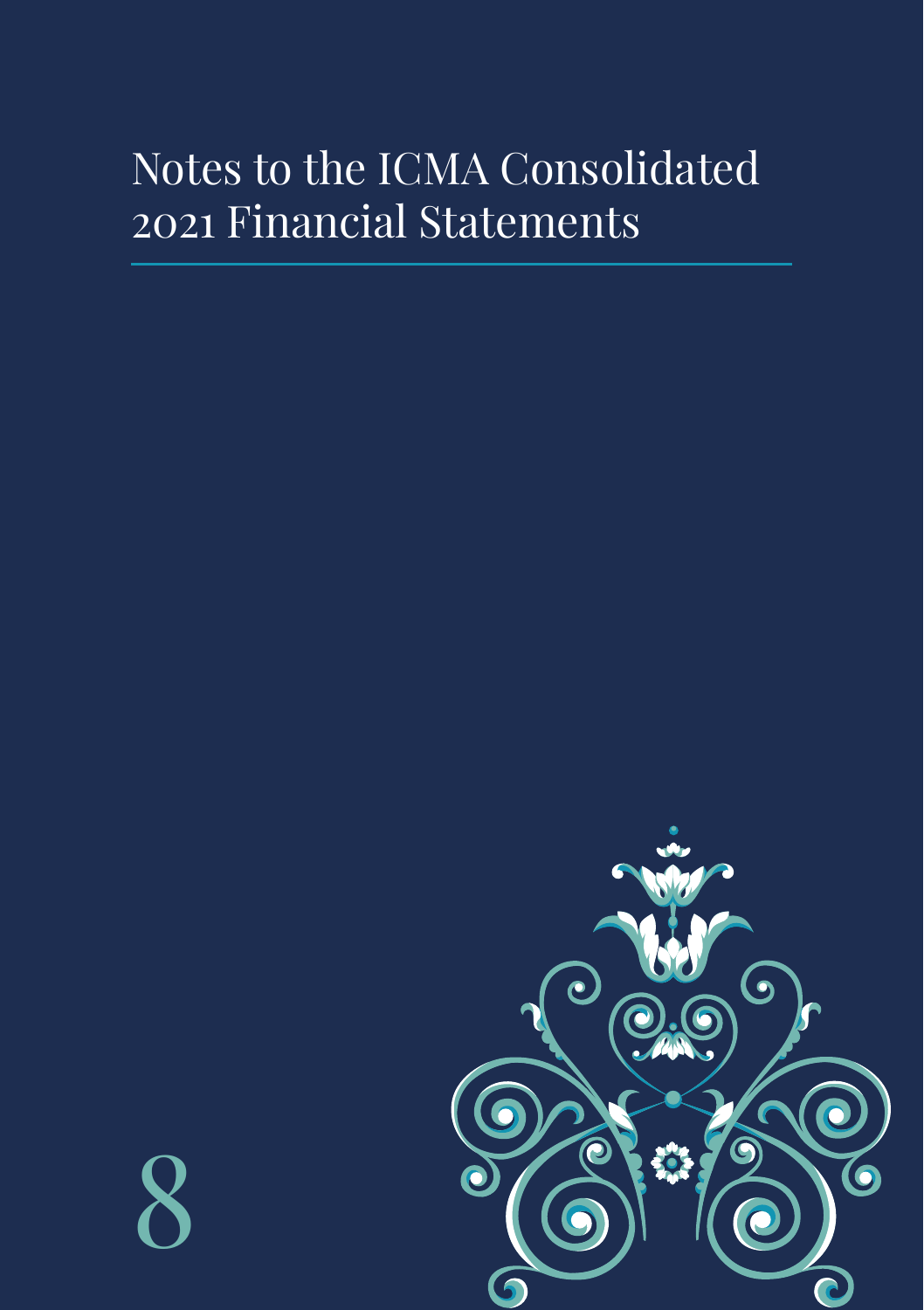### <span id="page-33-0"></span>Notes to the ICMA Consolidated 2021 Financial Statements

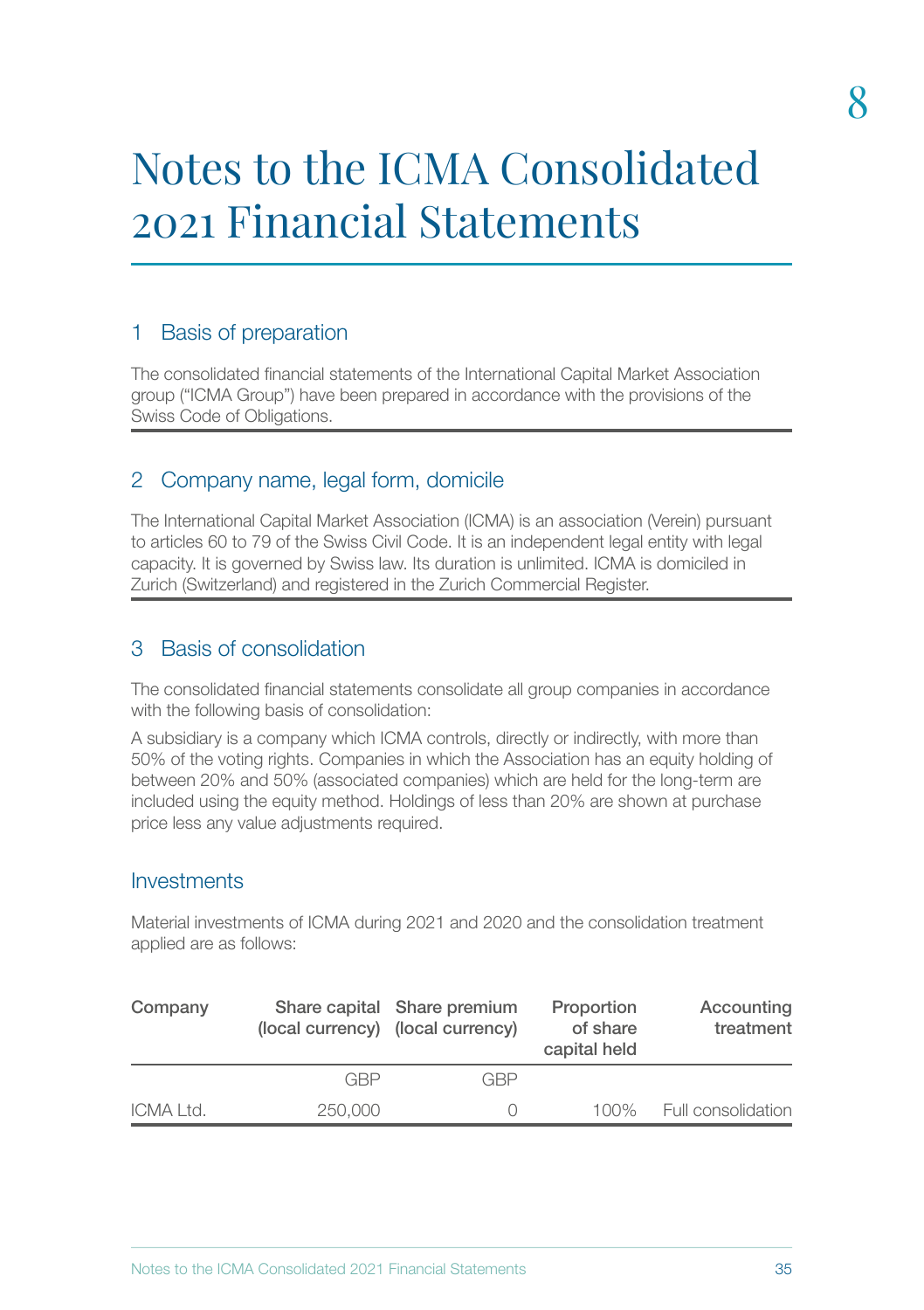### Notes to the ICMA Consolidated 2021 Financial Statements

### 1 Basis of preparation

The consolidated financial statements of the International Capital Market Association group ("ICMA Group") have been prepared in accordance with the provisions of the Swiss Code of Obligations.

### 2 Company name, legal form, domicile

The International Capital Market Association (ICMA) is an association (Verein) pursuant to articles 60 to 79 of the Swiss Civil Code. It is an independent legal entity with legal capacity. It is governed by Swiss law. Its duration is unlimited. ICMA is domiciled in Zurich (Switzerland) and registered in the Zurich Commercial Register.

### 3 Basis of consolidation

The consolidated financial statements consolidate all group companies in accordance with the following basis of consolidation:

A subsidiary is a company which ICMA controls, directly or indirectly, with more than 50% of the voting rights. Companies in which the Association has an equity holding of between 20% and 50% (associated companies) which are held for the long-term are included using the equity method. Holdings of less than 20% are shown at purchase price less any value adjustments required.

### **Investments**

Material investments of ICMA during 2021 and 2020 and the consolidation treatment applied are as follows:

| Company   |         | Share capital Share premium<br>(local currency) (local currency) | Proportion<br>of share<br>capital held | Accounting<br>treatment   |
|-----------|---------|------------------------------------------------------------------|----------------------------------------|---------------------------|
|           | GBP     | GBP                                                              |                                        |                           |
| ICMA Ltd. | 250,000 |                                                                  | 100%                                   | <b>Full consolidation</b> |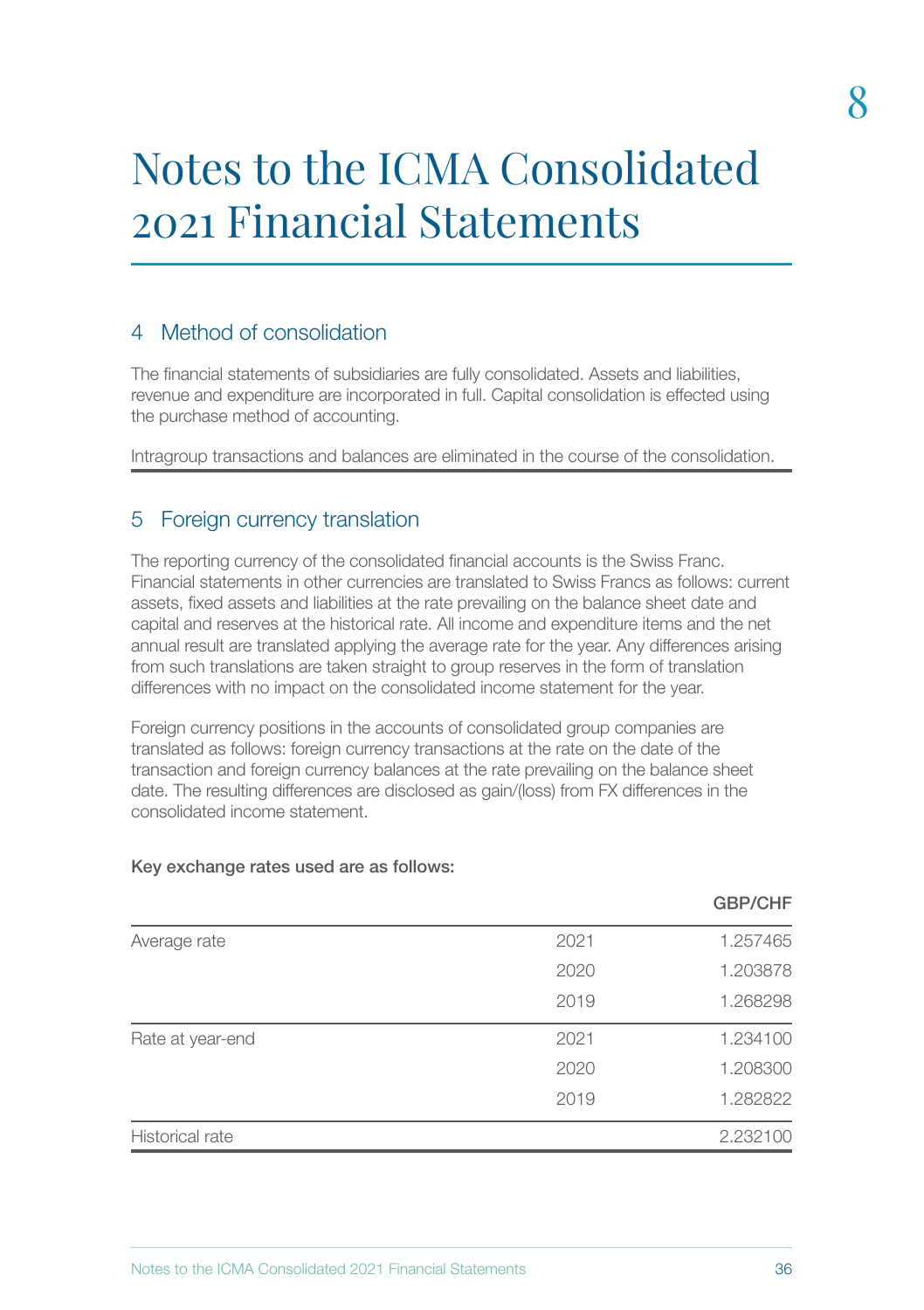# Notes to the ICMA Consolidated

### 2021 Financial Statements

### 4 Method of consolidation

The financial statements of subsidiaries are fully consolidated. Assets and liabilities, revenue and expenditure are incorporated in full. Capital consolidation is effected using the purchase method of accounting.

Intragroup transactions and balances are eliminated in the course of the consolidation.

### 5 Foreign currency translation

The reporting currency of the consolidated financial accounts is the Swiss Franc. Financial statements in other currencies are translated to Swiss Francs as follows: current assets, fixed assets and liabilities at the rate prevailing on the balance sheet date and capital and reserves at the historical rate. All income and expenditure items and the net annual result are translated applying the average rate for the year. Any differences arising from such translations are taken straight to group reserves in the form of translation differences with no impact on the consolidated income statement for the year.

Foreign currency positions in the accounts of consolidated group companies are translated as follows: foreign currency transactions at the rate on the date of the transaction and foreign currency balances at the rate prevailing on the balance sheet date. The resulting differences are disclosed as gain/(loss) from FX differences in the consolidated income statement.

#### Key exchange rates used are as follows:

|                  |      | ------   |
|------------------|------|----------|
| Average rate     | 2021 | 1.257465 |
|                  | 2020 | 1.203878 |
|                  | 2019 | 1.268298 |
| Rate at year-end | 2021 | 1.234100 |
|                  | 2020 | 1.208300 |
|                  | 2019 | 1.282822 |
| Historical rate  |      | 2.232100 |

GBP/CHF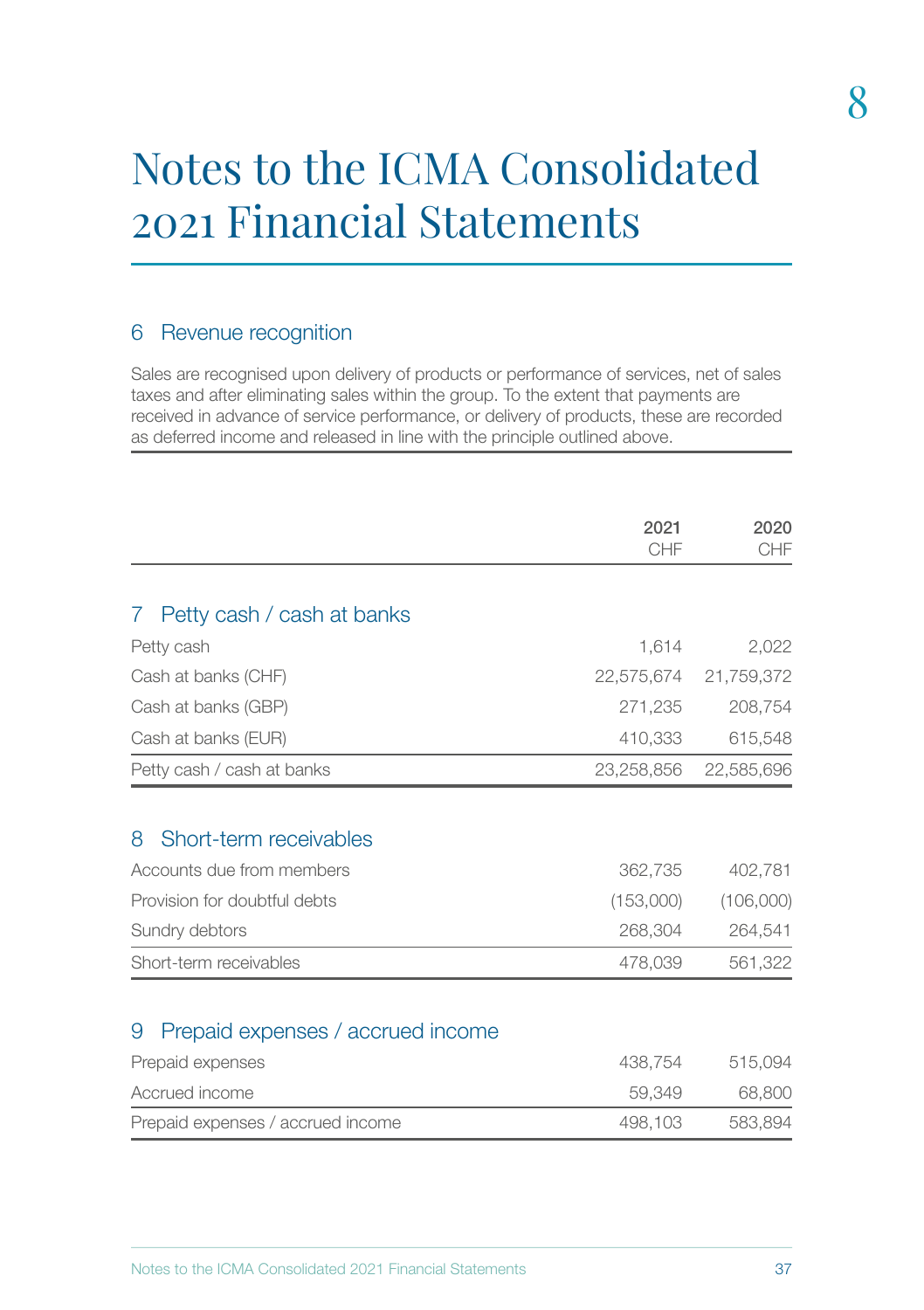### 6 Revenue recognition

Sales are recognised upon delivery of products or performance of services, net of sales taxes and after eliminating sales within the group. To the extent that payments are received in advance of service performance, or delivery of products, these are recorded as deferred income and released in line with the principle outlined above.

|                                          | 2021<br>CHF | 2020<br>CHF |
|------------------------------------------|-------------|-------------|
|                                          |             |             |
| Petty cash / cash at banks<br>$\sqrt{2}$ |             |             |
| Petty cash                               | 1.614       | 2,022       |
| Cash at banks (CHF)                      | 22,575,674  | 21,759,372  |
| Cash at banks (GBP)                      | 271,235     | 208,754     |
| Cash at banks (EUR)                      | 410,333     | 615,548     |
| Petty cash / cash at banks               | 23,258,856  | 22,585,696  |
|                                          |             |             |
| Short-term receivables<br>8              |             |             |
| Accounts due from members                | 362,735     | 402,781     |
| Provision for doubtful debts             | (153,000)   | (106,000)   |
| Sundry debtors                           | 268,304     | 264,541     |
| Short-term receivables                   | 478,039     | 561,322     |
|                                          |             |             |
| Prepaid expenses / accrued income<br>9   |             |             |
| Prepaid expenses                         | 438,754     | 515,094     |
| Accrued income                           | 59,349      | 68,800      |
| Prepaid expenses / accrued income        | 498,103     | 583,894     |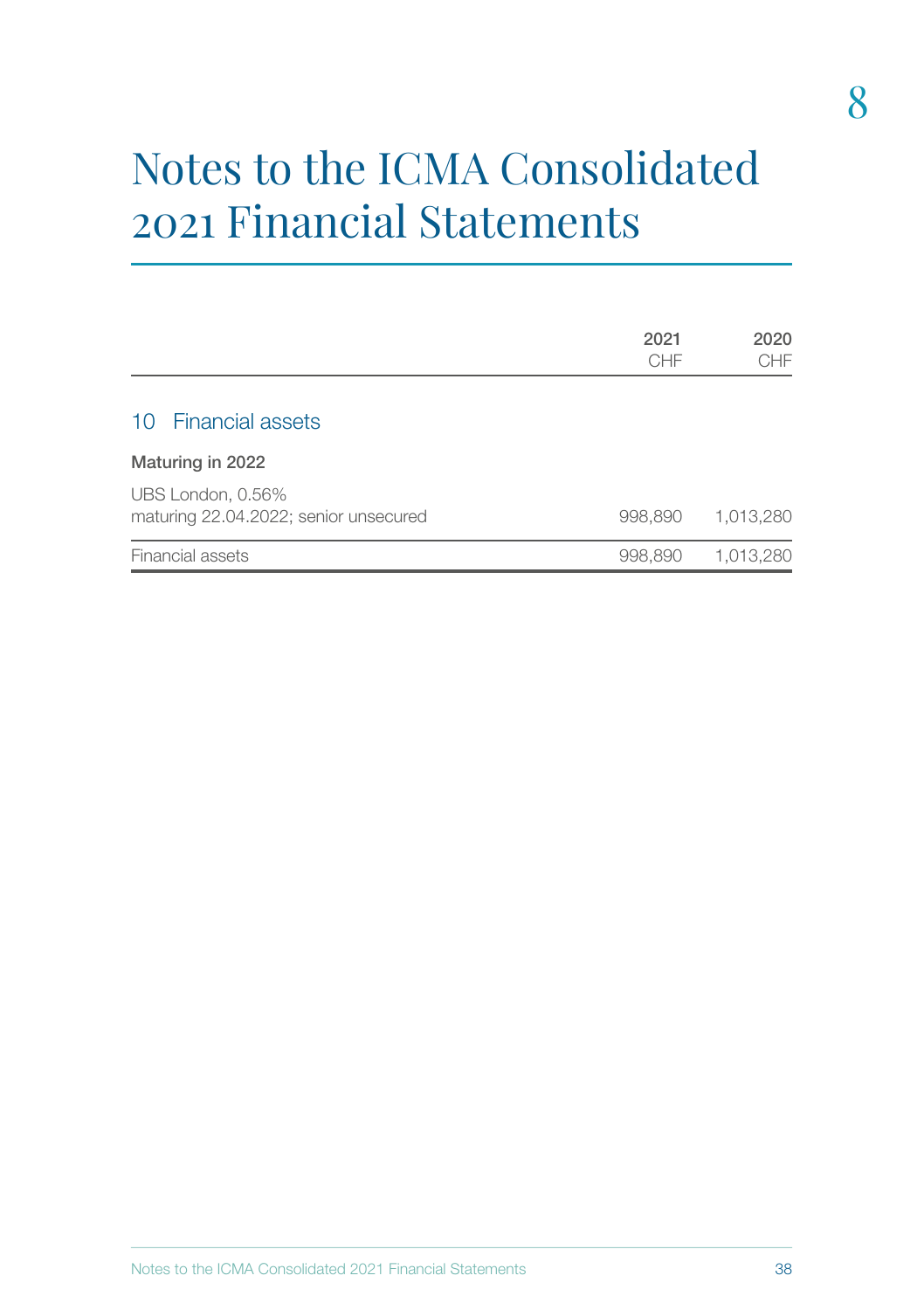|                                                            | 2021<br>CHF | 2020<br>CHF |
|------------------------------------------------------------|-------------|-------------|
| 10 Financial assets                                        |             |             |
| Maturing in 2022                                           |             |             |
| UBS London, 0.56%<br>maturing 22.04.2022; senior unsecured | 998,890     | 1,013,280   |
| Financial assets                                           | 998,890     | 1.013.280   |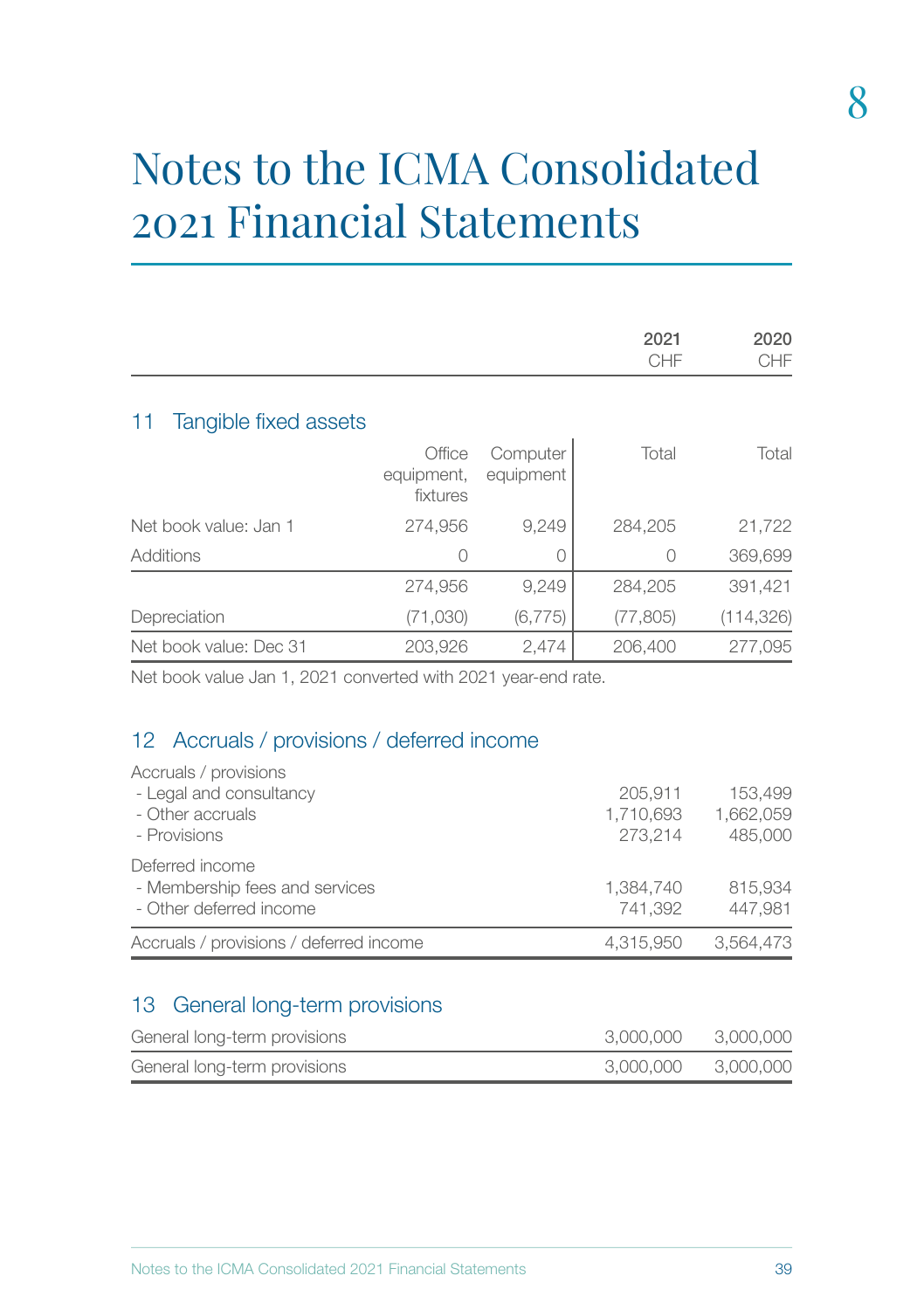|                             |                                  |                       | 2021<br>CHF | 2020<br>CHF |
|-----------------------------|----------------------------------|-----------------------|-------------|-------------|
| Tangible fixed assets<br>11 |                                  |                       |             |             |
|                             | Office<br>equipment,<br>fixtures | Computer<br>equipment | Total       | Total       |
| Net book value: Jan 1       | 274,956                          | 9,249                 | 284,205     | 21,722      |
| Additions                   | 0                                | C                     | 0           | 369,699     |
|                             | 274,956                          | 9,249                 | 284,205     | 391,421     |
| Depreciation                | (71,030)                         | (6, 775)              | (77,805)    | (114, 326)  |
| Net book value: Dec 31      | 203,926                          | 2,474                 | 206,400     | 277.095     |

Net book value Jan 1, 2021 converted with 2021 year-end rate.

### 12 Accruals / provisions / deferred income

| Accruals / provisions                   |           |           |
|-----------------------------------------|-----------|-----------|
| - Legal and consultancy                 | 205,911   | 153.499   |
| - Other accruals                        | 1,710,693 | 1,662,059 |
| - Provisions                            | 273.214   | 485,000   |
| Deferred income                         |           |           |
| - Membership fees and services          | 1.384.740 | 815.934   |
| - Other deferred income                 | 741.392   | 447.981   |
| Accruals / provisions / deferred income | 4,315,950 | 3.564.473 |
|                                         |           |           |

### 13 General long-term provisions

| General long-term provisions | 3,000,000 3,000,000 |  |
|------------------------------|---------------------|--|
| General long-term provisions | 3,000,000 3,000,000 |  |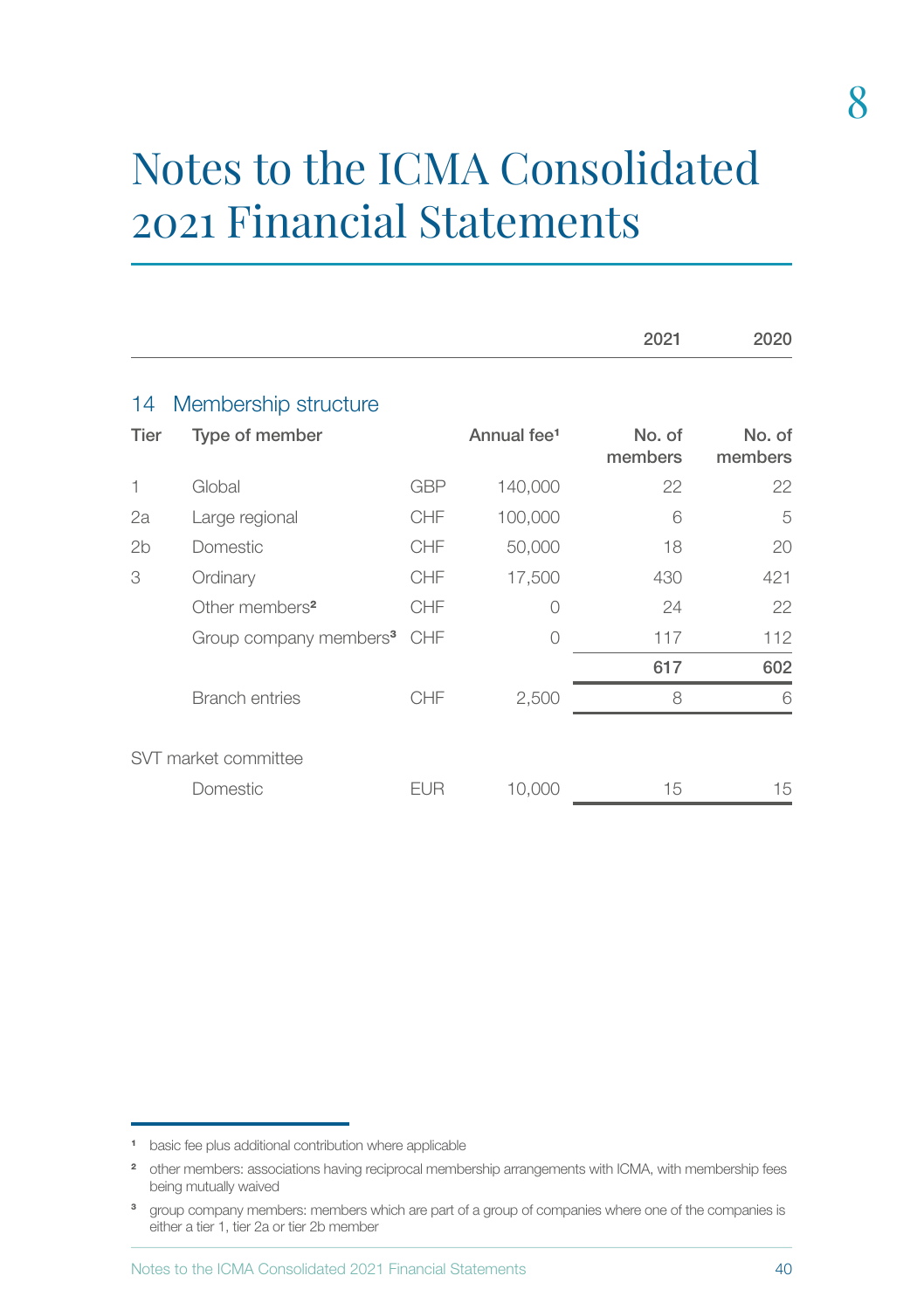|                |                                        |            |                         | 2021              | 2020              |
|----------------|----------------------------------------|------------|-------------------------|-------------------|-------------------|
| 14             | Membership structure                   |            |                         |                   |                   |
| Tier           | Type of member                         |            | Annual fee <sup>1</sup> | No. of<br>members | No. of<br>members |
| 1              | Global                                 | <b>GBP</b> | 140,000                 | 22                | 22                |
| 2a             | Large regional                         | CHF        | 100,000                 | 6                 | 5                 |
| 2 <sub>b</sub> | <b>Domestic</b>                        | CHF        | 50,000                  | 18                | 20                |
| 3              | Ordinary                               | CHF        | 17,500                  | 430               | 421               |
|                | Other members <sup>2</sup>             | CHF        | Ω                       | 24                | 22                |
|                | Group company members <sup>3</sup> CHF |            | 0                       | 117               | 112               |
|                |                                        |            |                         | 617               | 602               |
|                | <b>Branch entries</b>                  | CHF        | 2,500                   | 8                 | 6                 |
|                | SVT market committee                   |            |                         |                   |                   |
|                | Domestic                               | <b>EUR</b> | 10,000                  | 15                | 15                |

<sup>1</sup> basic fee plus additional contribution where applicable

<sup>&</sup>lt;sup>2</sup> other members: associations having reciprocal membership arrangements with ICMA, with membership fees being mutually waived

<sup>&</sup>lt;sup>3</sup> group company members: members which are part of a group of companies where one of the companies is either a tier 1, tier 2a or tier 2b member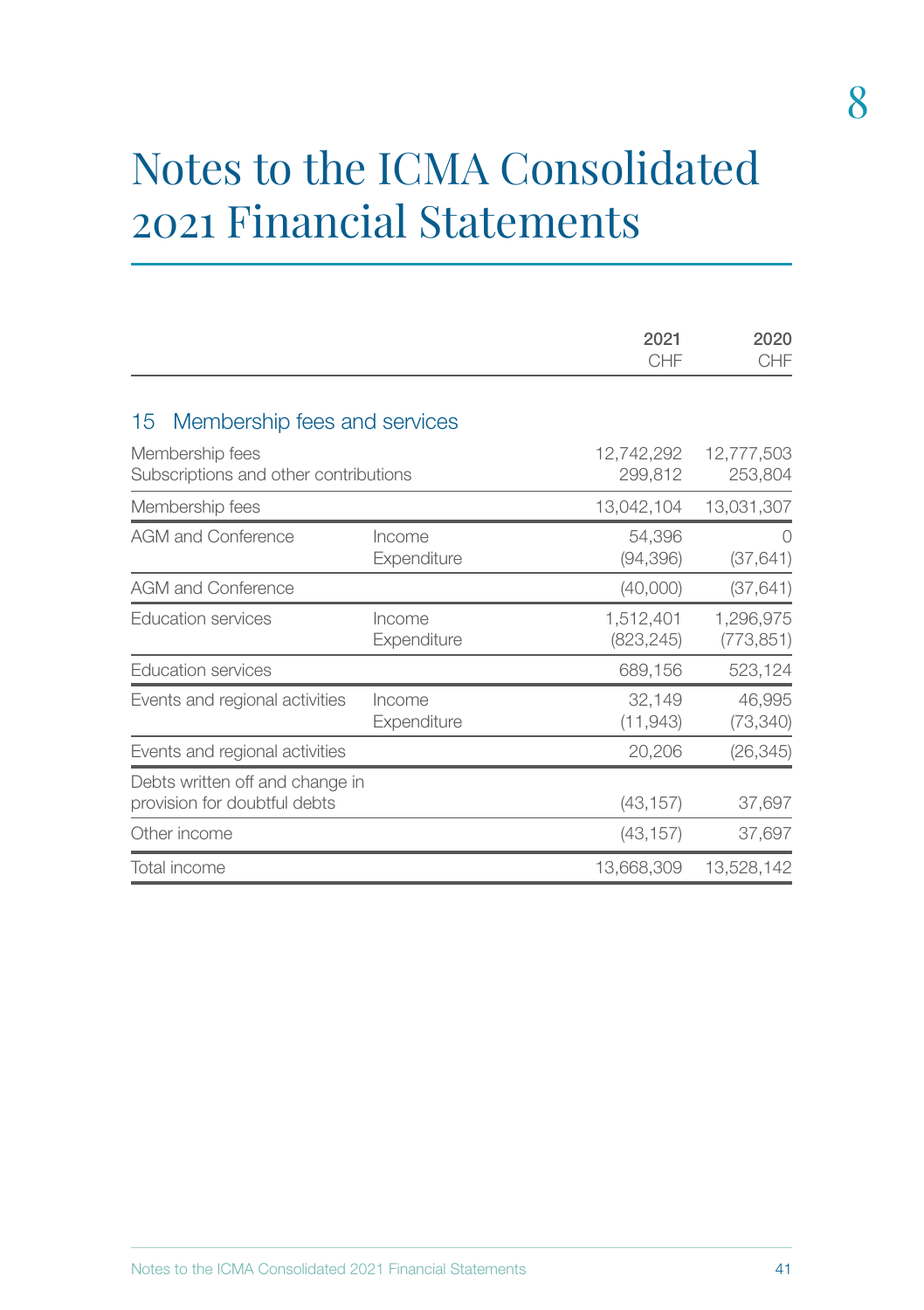|                                                                 |                       | 2021<br>CHF             | 2020<br>CHF            |
|-----------------------------------------------------------------|-----------------------|-------------------------|------------------------|
| Membership fees and services<br>15                              |                       |                         |                        |
| Membership fees<br>Subscriptions and other contributions        |                       | 12,742,292<br>299,812   | 12,777,503<br>253,804  |
| Membership fees                                                 |                       | 13,042,104              | 13,031,307             |
| <b>AGM and Conference</b>                                       | Income<br>Expenditure | 54,396<br>(94, 396)     | $\bigcap$<br>(37, 641) |
| <b>AGM</b> and Conference                                       |                       | (40,000)                | (37, 641)              |
| Education services                                              | Income<br>Expenditure | 1,512,401<br>(823, 245) | 1,296,975<br>(773,851) |
| Education services                                              |                       | 689,156                 | 523,124                |
| Events and regional activities                                  | Income<br>Expenditure | 32,149<br>(11, 943)     | 46,995<br>(73, 340)    |
| Events and regional activities                                  |                       | 20,206                  | (26, 345)              |
| Debts written off and change in<br>provision for doubtful debts |                       | (43, 157)               | 37,697                 |
| Other income                                                    |                       | (43, 157)               | 37,697                 |
| Total income                                                    |                       | 13,668,309              | 13,528,142             |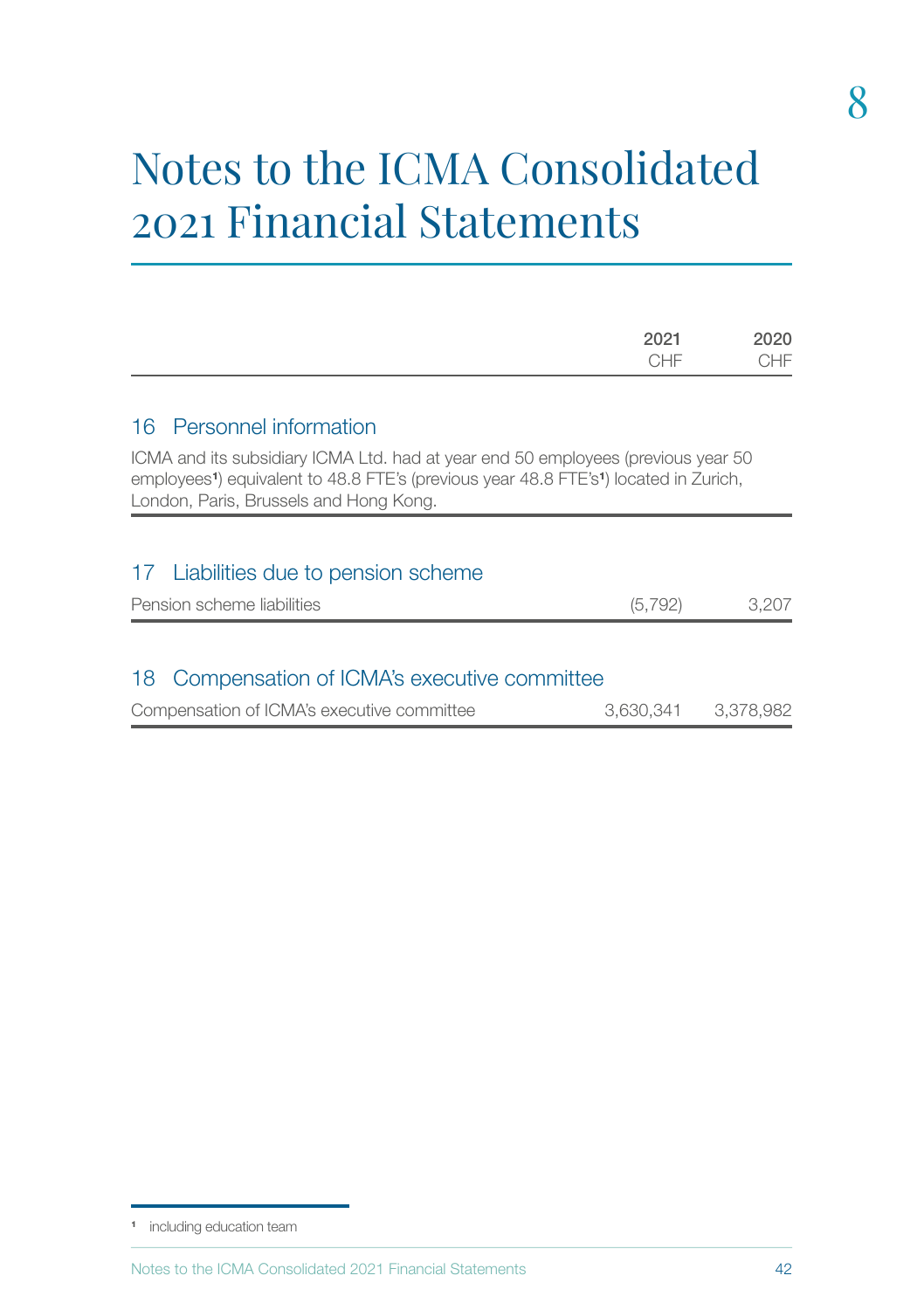|                                                                                                                                                                                                                                             | 2021       | 2020      |
|---------------------------------------------------------------------------------------------------------------------------------------------------------------------------------------------------------------------------------------------|------------|-----------|
|                                                                                                                                                                                                                                             | <b>CHF</b> | CHF       |
|                                                                                                                                                                                                                                             |            |           |
| 16 Personnel information                                                                                                                                                                                                                    |            |           |
| ICMA and its subsidiary ICMA Ltd. had at year end 50 employees (previous year 50<br>employees <sup>1</sup> ) equivalent to 48.8 FTE's (previous year 48.8 FTE's <sup>1</sup> ) located in Zurich,<br>London, Paris, Brussels and Hong Kong. |            |           |
|                                                                                                                                                                                                                                             |            |           |
| 17 Liabilities due to pension scheme                                                                                                                                                                                                        |            |           |
| Pension scheme liabilities                                                                                                                                                                                                                  | (5, 792)   | 3,207     |
|                                                                                                                                                                                                                                             |            |           |
| Compensation of ICMA's executive committee<br>18                                                                                                                                                                                            |            |           |
| Compensation of ICMA's executive committee                                                                                                                                                                                                  | 3,630,341  | 3.378.982 |

<sup>1</sup> including education team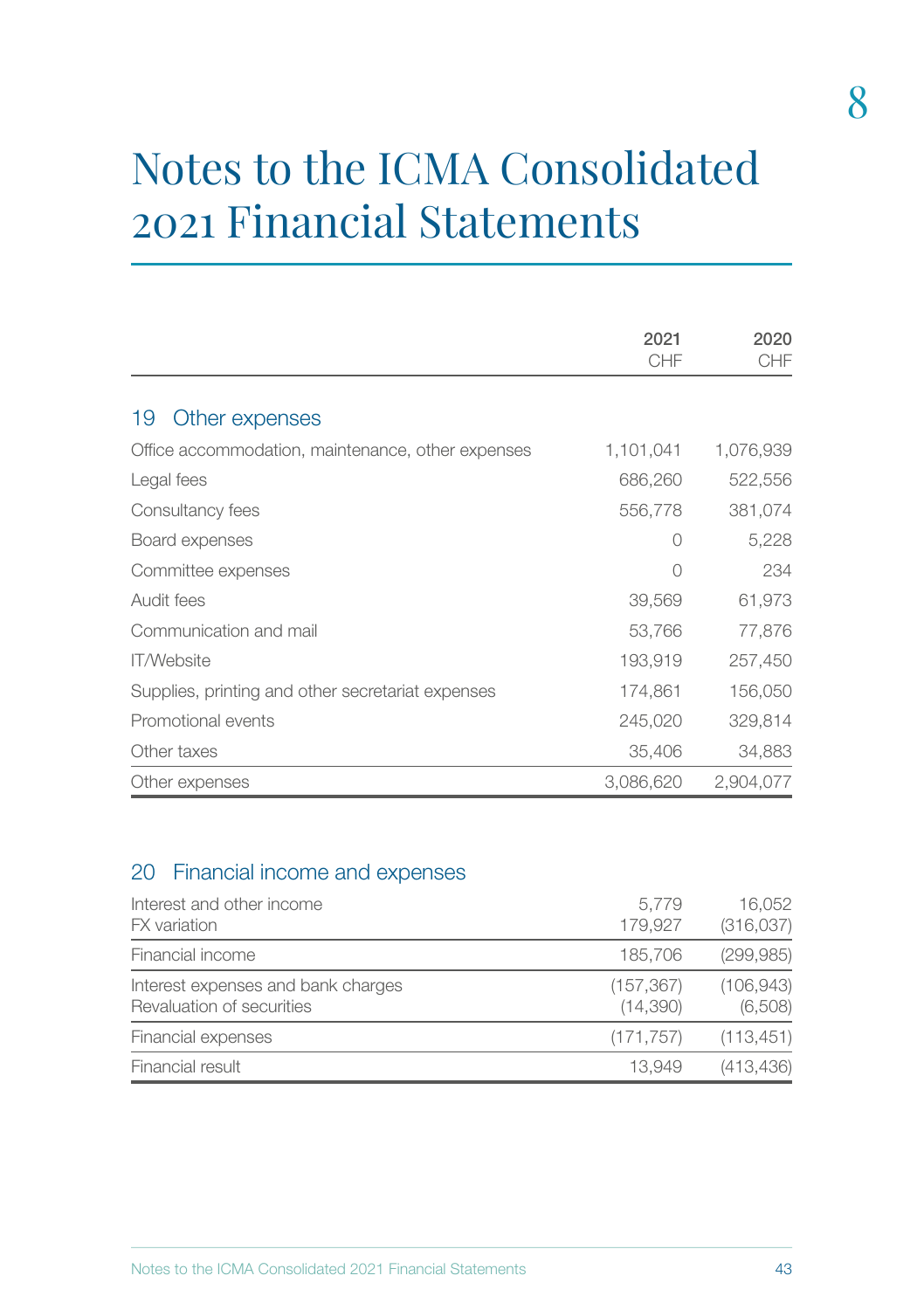|                                                   | 2021<br>CHF | 2020<br>CHF |
|---------------------------------------------------|-------------|-------------|
|                                                   |             |             |
| Other expenses<br>19                              |             |             |
| Office accommodation, maintenance, other expenses | 1,101,041   | 1,076,939   |
| Legal fees                                        | 686,260     | 522,556     |
| Consultancy fees                                  | 556,778     | 381,074     |
| Board expenses                                    | Ω           | 5,228       |
| Committee expenses                                | Ω           | 234         |
| Audit fees                                        | 39,569      | 61,973      |
| Communication and mail                            | 53,766      | 77,876      |
| <b>IT/Website</b>                                 | 193,919     | 257,450     |
| Supplies, printing and other secretariat expenses | 174,861     | 156,050     |
| Promotional events                                | 245,020     | 329,814     |
| Other taxes                                       | 35,406      | 34,883      |
| Other expenses                                    | 3,086,620   | 2,904,077   |

### 20 Financial income and expenses

| Interest and other income<br><b>FX</b> variation                | 5.779<br>179.927       | 16.052<br>(316,037)   |
|-----------------------------------------------------------------|------------------------|-----------------------|
| Financial income                                                | 185,706                | (299, 985)            |
| Interest expenses and bank charges<br>Revaluation of securities | (157, 367)<br>(14,390) | (106, 943)<br>(6,508) |
| Financial expenses                                              | (171, 757)             | (113, 451)            |
| Financial result                                                | 13.949                 | (413, 436)            |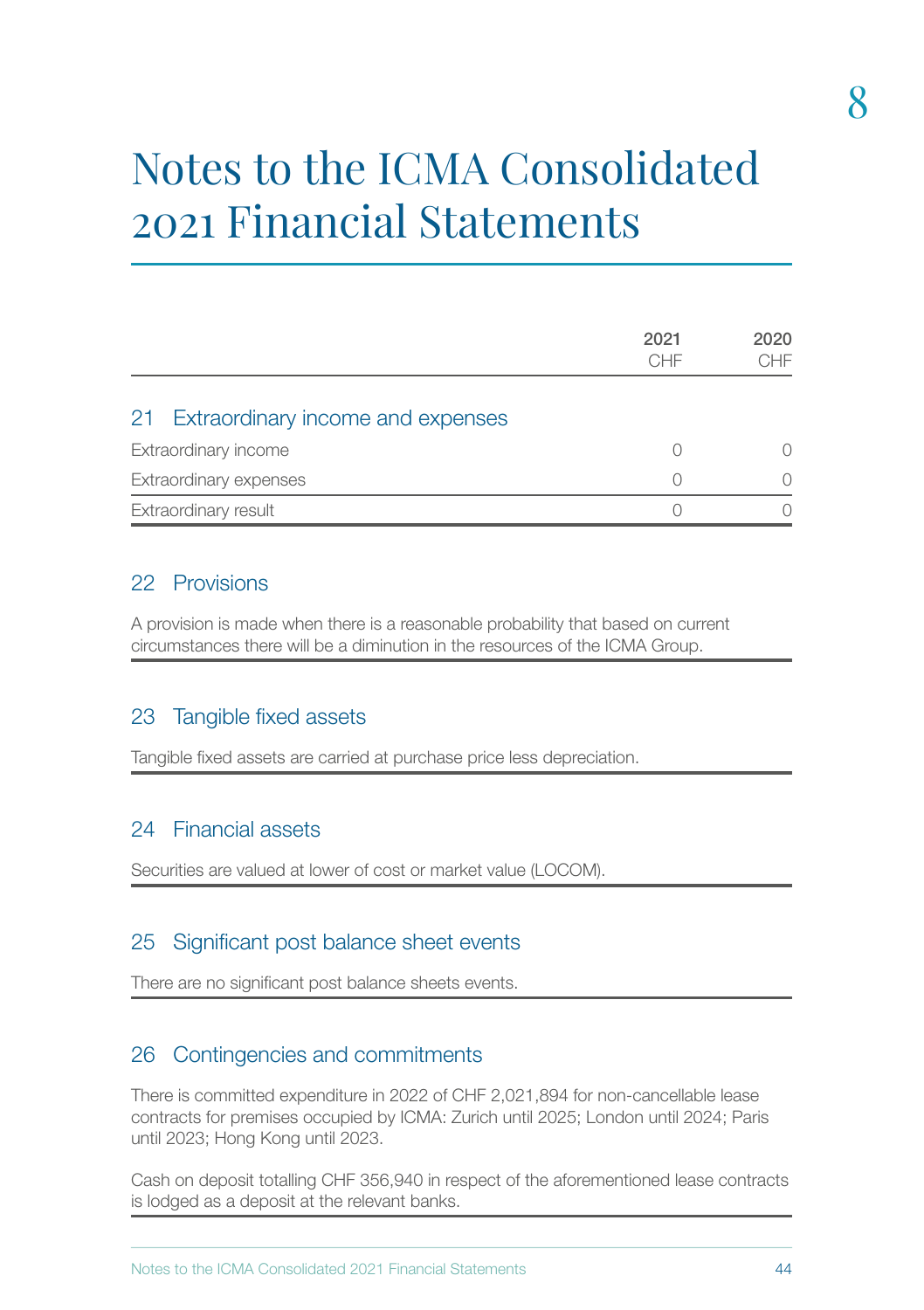|                                      | 2021<br>CHF | 2020<br>CHF |
|--------------------------------------|-------------|-------------|
| 21 Extraordinary income and expenses |             |             |
| Extraordinary income                 |             | 0           |
| Extraordinary expenses               |             | n           |
| Extraordinary result                 |             |             |

### 22 Provisions

A provision is made when there is a reasonable probability that based on current circumstances there will be a diminution in the resources of the ICMA Group.

### 23 Tangible fixed assets

Tangible fixed assets are carried at purchase price less depreciation.

### 24 Financial assets

Securities are valued at lower of cost or market value (LOCOM).

### 25 Significant post balance sheet events

There are no significant post balance sheets events.

### 26 Contingencies and commitments

There is committed expenditure in 2022 of CHF 2,021,894 for non-cancellable lease contracts for premises occupied by ICMA: Zurich until 2025; London until 2024; Paris until 2023; Hong Kong until 2023.

Cash on deposit totalling CHF 356,940 in respect of the aforementioned lease contracts is lodged as a deposit at the relevant banks.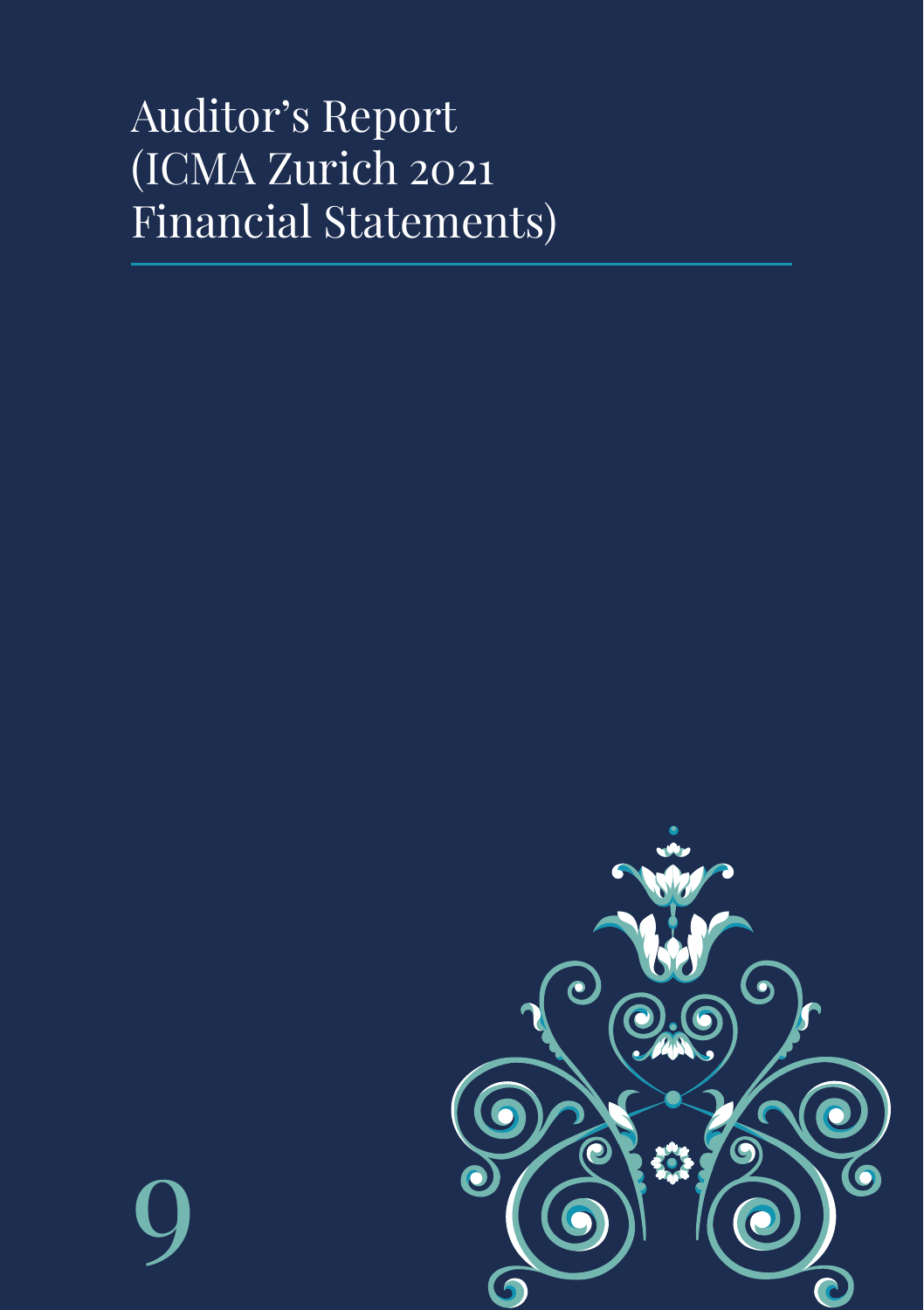# Auditor's Report (ICMA Zurich 2021 Financial Statements)

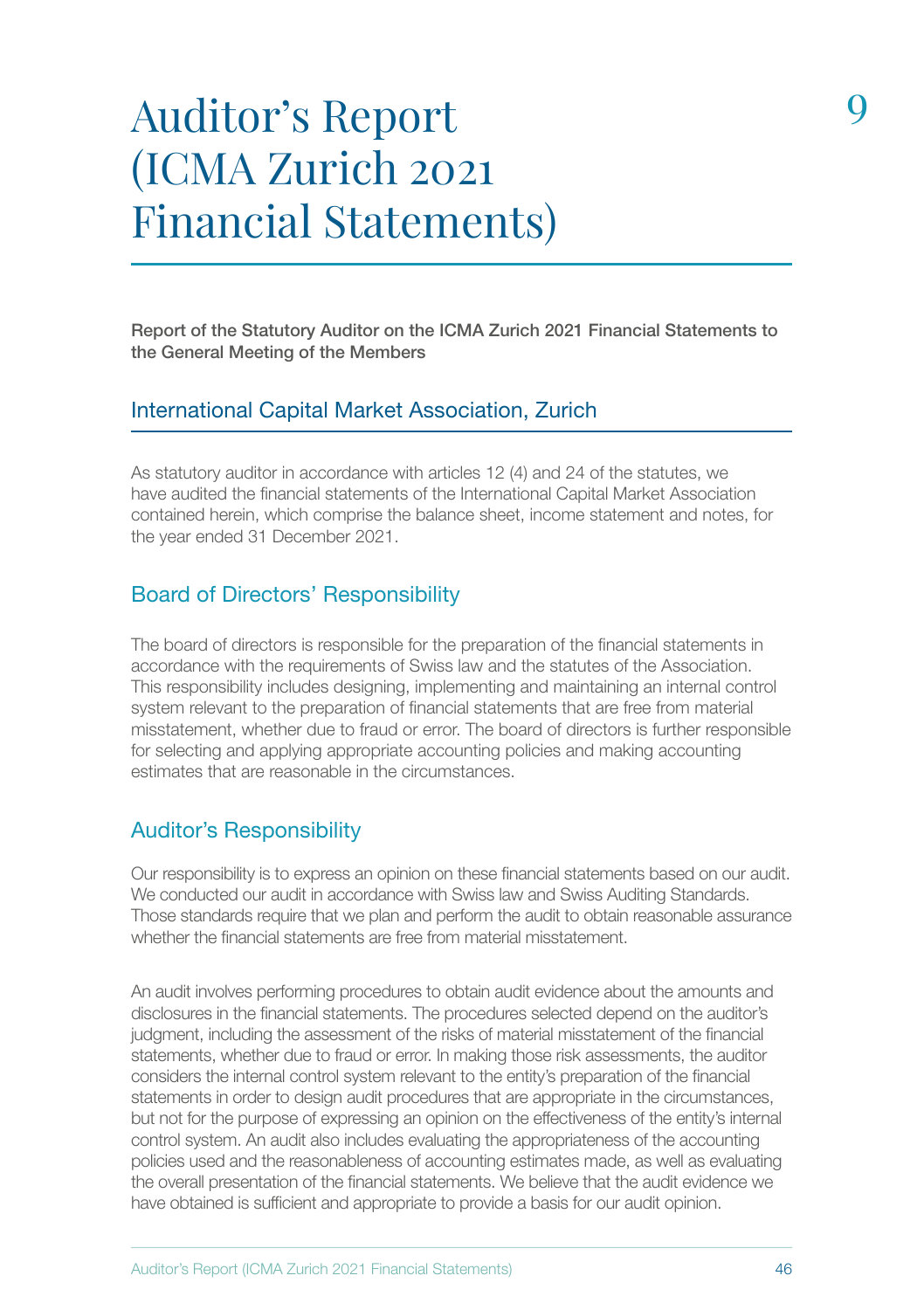### Auditor's Report 9 (ICMA Zurich 2021 Financial Statements)

Report of the Statutory Auditor on the ICMA Zurich 2021 Financial Statements to the General Meeting of the Members

### International Capital Market Association, Zurich

As statutory auditor in accordance with articles 12 (4) and 24 of the statutes, we have audited the financial statements of the International Capital Market Association contained herein, which comprise the balance sheet, income statement and notes, for the year ended 31 December 2021.

### Board of Directors' Responsibility

The board of directors is responsible for the preparation of the financial statements in accordance with the requirements of Swiss law and the statutes of the Association. This responsibility includes designing, implementing and maintaining an internal control system relevant to the preparation of financial statements that are free from material misstatement, whether due to fraud or error. The board of directors is further responsible for selecting and applying appropriate accounting policies and making accounting estimates that are reasonable in the circumstances.

### Auditor's Responsibility

Our responsibility is to express an opinion on these financial statements based on our audit. We conducted our audit in accordance with Swiss law and Swiss Auditing Standards. Those standards require that we plan and perform the audit to obtain reasonable assurance whether the financial statements are free from material misstatement.

An audit involves performing procedures to obtain audit evidence about the amounts and disclosures in the financial statements. The procedures selected depend on the auditor's judgment, including the assessment of the risks of material misstatement of the financial statements, whether due to fraud or error. In making those risk assessments, the auditor considers the internal control system relevant to the entity's preparation of the financial statements in order to design audit procedures that are appropriate in the circumstances, but not for the purpose of expressing an opinion on the effectiveness of the entity's internal control system. An audit also includes evaluating the appropriateness of the accounting policies used and the reasonableness of accounting estimates made, as well as evaluating the overall presentation of the financial statements. We believe that the audit evidence we have obtained is sufficient and appropriate to provide a basis for our audit opinion.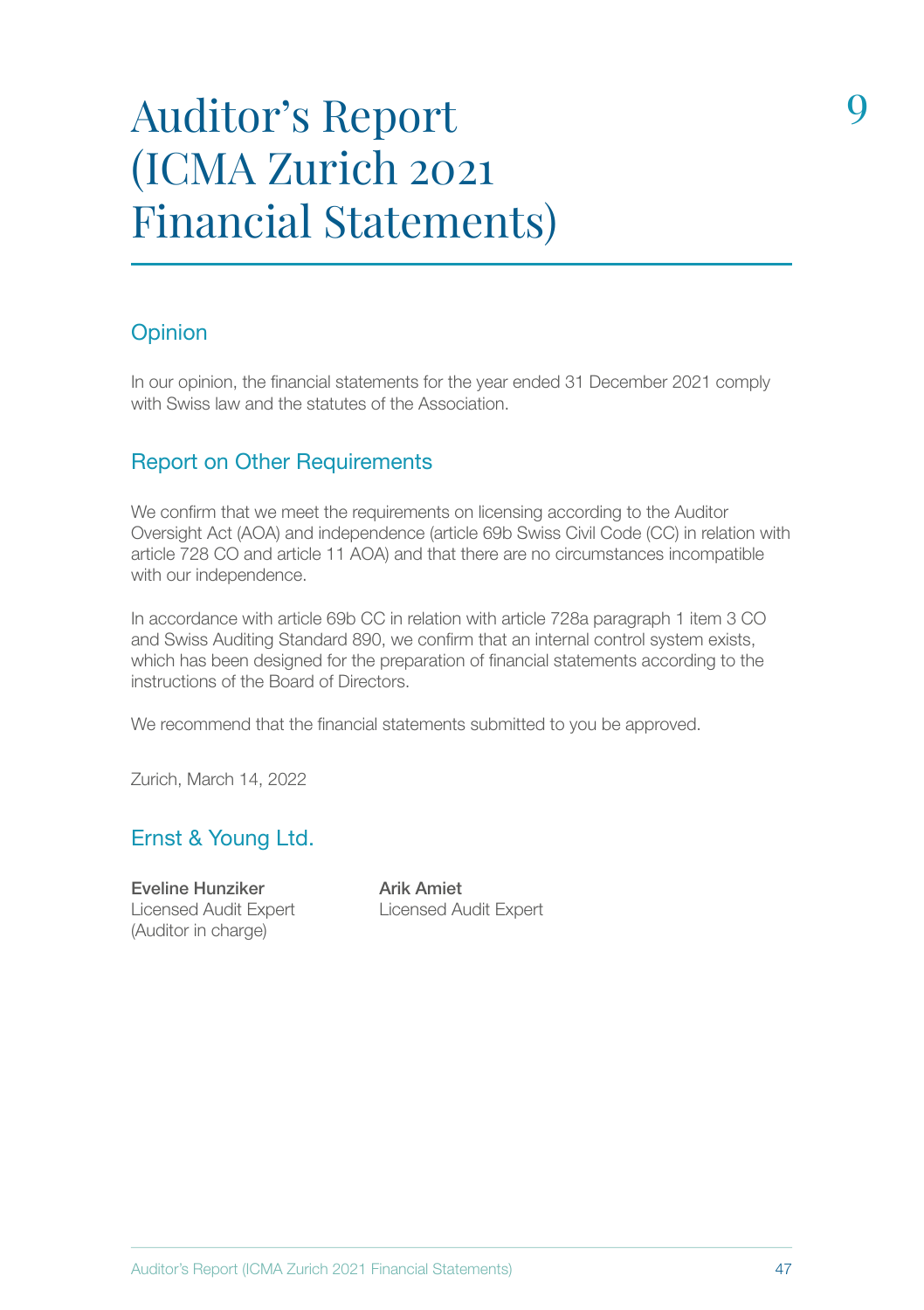### Auditor's Report 9 (ICMA Zurich 2021 Financial Statements)

### **Opinion**

In our opinion, the financial statements for the year ended 31 December 2021 comply with Swiss law and the statutes of the Association.

### Report on Other Requirements

We confirm that we meet the requirements on licensing according to the Auditor Oversight Act (AOA) and independence (article 69b Swiss Civil Code (CC) in relation with article 728 CO and article 11 AOA) and that there are no circumstances incompatible with our independence.

In accordance with article 69b CC in relation with article 728a paragraph 1 item 3 CO and Swiss Auditing Standard 890, we confirm that an internal control system exists, which has been designed for the preparation of financial statements according to the instructions of the Board of Directors.

We recommend that the financial statements submitted to you be approved.

Zurich, March 14, 2022

### Ernst & Young Ltd.

Eveline Hunziker Licensed Audit Expert (Auditor in charge)

Arik Amiet Licensed Audit Expert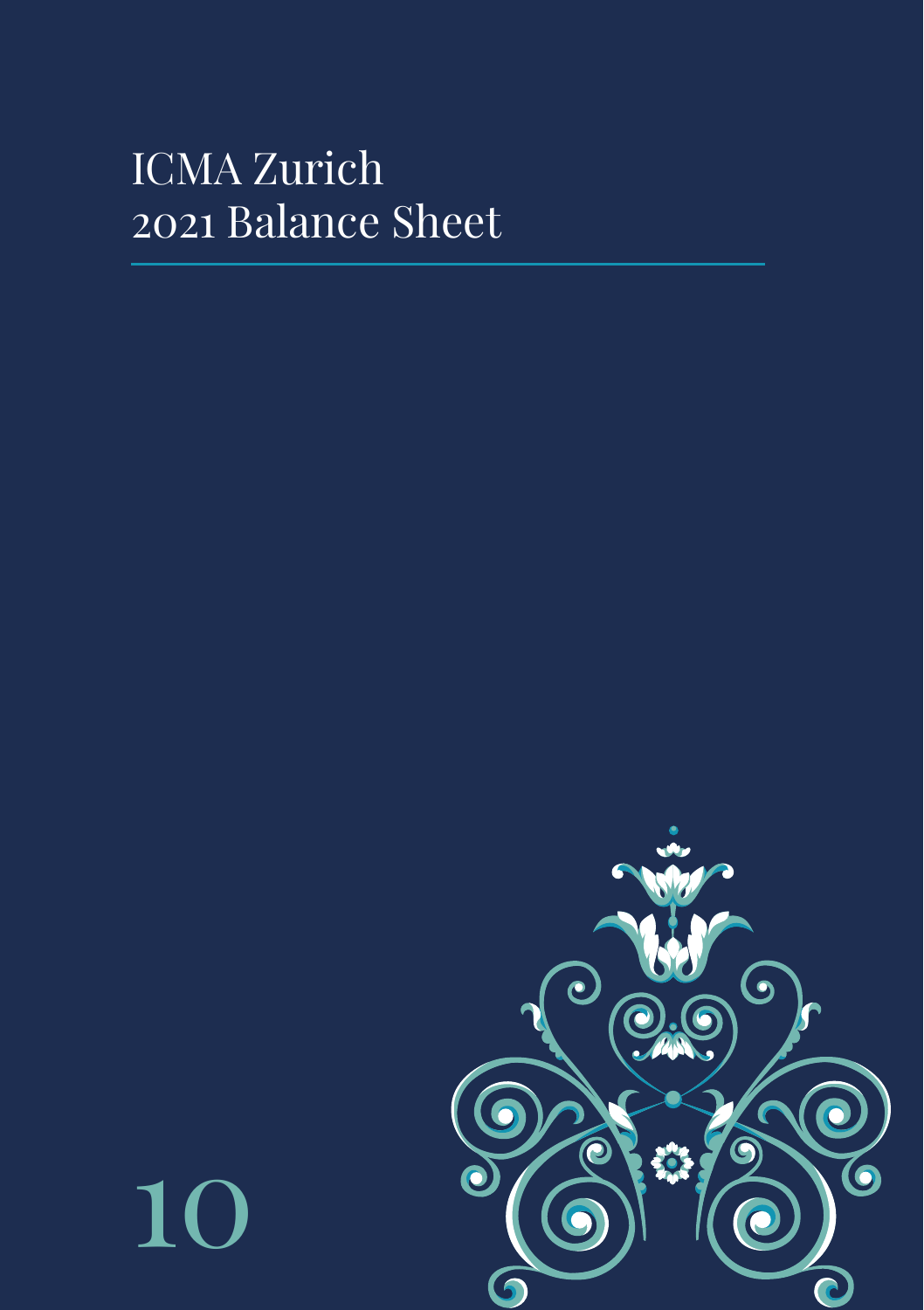# ICMA Zurich 2021 Balance Sheet

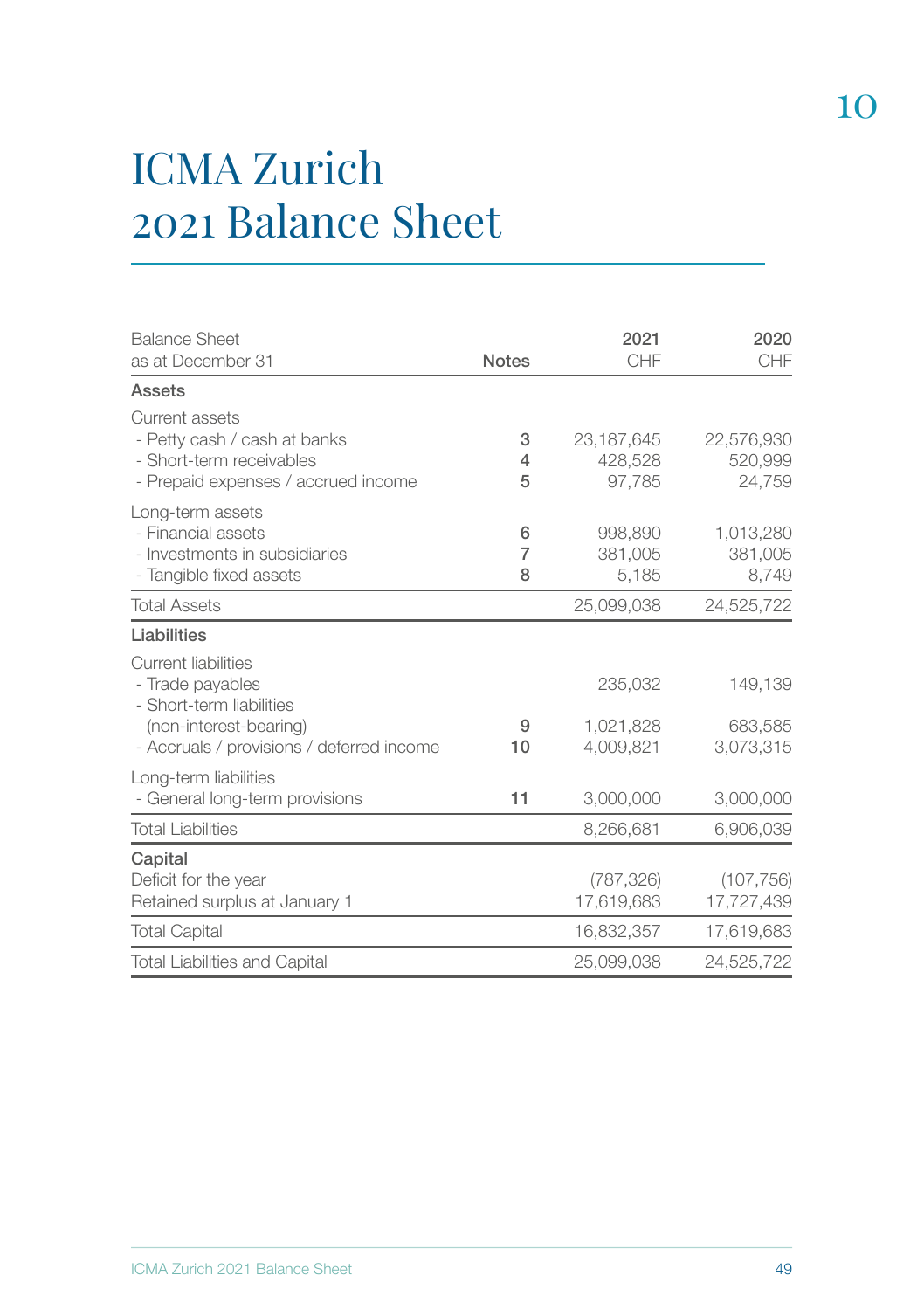# ICMA Zurich 2021 Balance Sheet

| <b>Balance Sheet</b><br>as at December 31                                                                                                         | <b>Notes</b> | 2021<br>CHF                       | 2020<br>CHF                     |
|---------------------------------------------------------------------------------------------------------------------------------------------------|--------------|-----------------------------------|---------------------------------|
| Assets                                                                                                                                            |              |                                   |                                 |
| Current assets<br>- Petty cash / cash at banks<br>- Short-term receivables<br>- Prepaid expenses / accrued income                                 | 3<br>4<br>5  | 23,187,645<br>428,528<br>97,785   | 22,576,930<br>520,999<br>24,759 |
| Long-term assets<br>- Financial assets<br>- Investments in subsidiaries<br>- Tangible fixed assets                                                | 6<br>7<br>8  | 998,890<br>381,005<br>5,185       | 1,013,280<br>381,005<br>8,749   |
| <b>Total Assets</b>                                                                                                                               |              | 25,099,038                        | 24,525,722                      |
| Liabilities                                                                                                                                       |              |                                   |                                 |
| <b>Current liabilities</b><br>- Trade payables<br>- Short-term liabilities<br>(non-interest-bearing)<br>- Accruals / provisions / deferred income | 9<br>10      | 235,032<br>1,021,828<br>4,009,821 | 149,139<br>683,585<br>3,073,315 |
| Long-term liabilities<br>- General long-term provisions                                                                                           | 11           | 3,000,000                         | 3,000,000                       |
| <b>Total Liabilities</b>                                                                                                                          |              | 8,266,681                         | 6,906,039                       |
| Capital<br>Deficit for the year<br>Retained surplus at January 1                                                                                  |              | (787, 326)<br>17,619,683          | (107, 756)<br>17,727,439        |
| <b>Total Capital</b>                                                                                                                              |              | 16,832,357                        | 17,619,683                      |
| <b>Total Liabilities and Capital</b>                                                                                                              |              | 25,099,038                        | 24,525,722                      |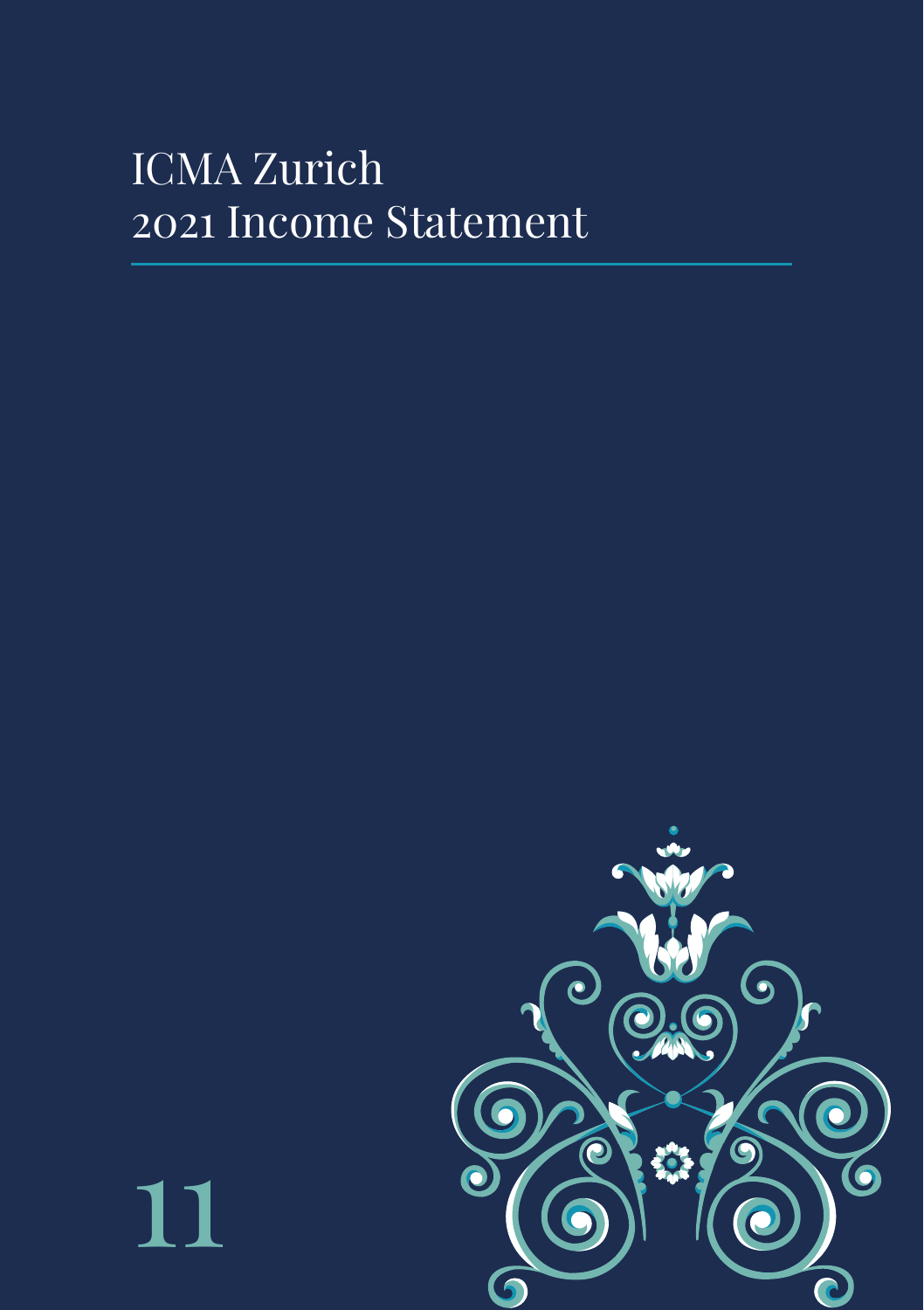# ICMA Zurich 2021 Income Statement

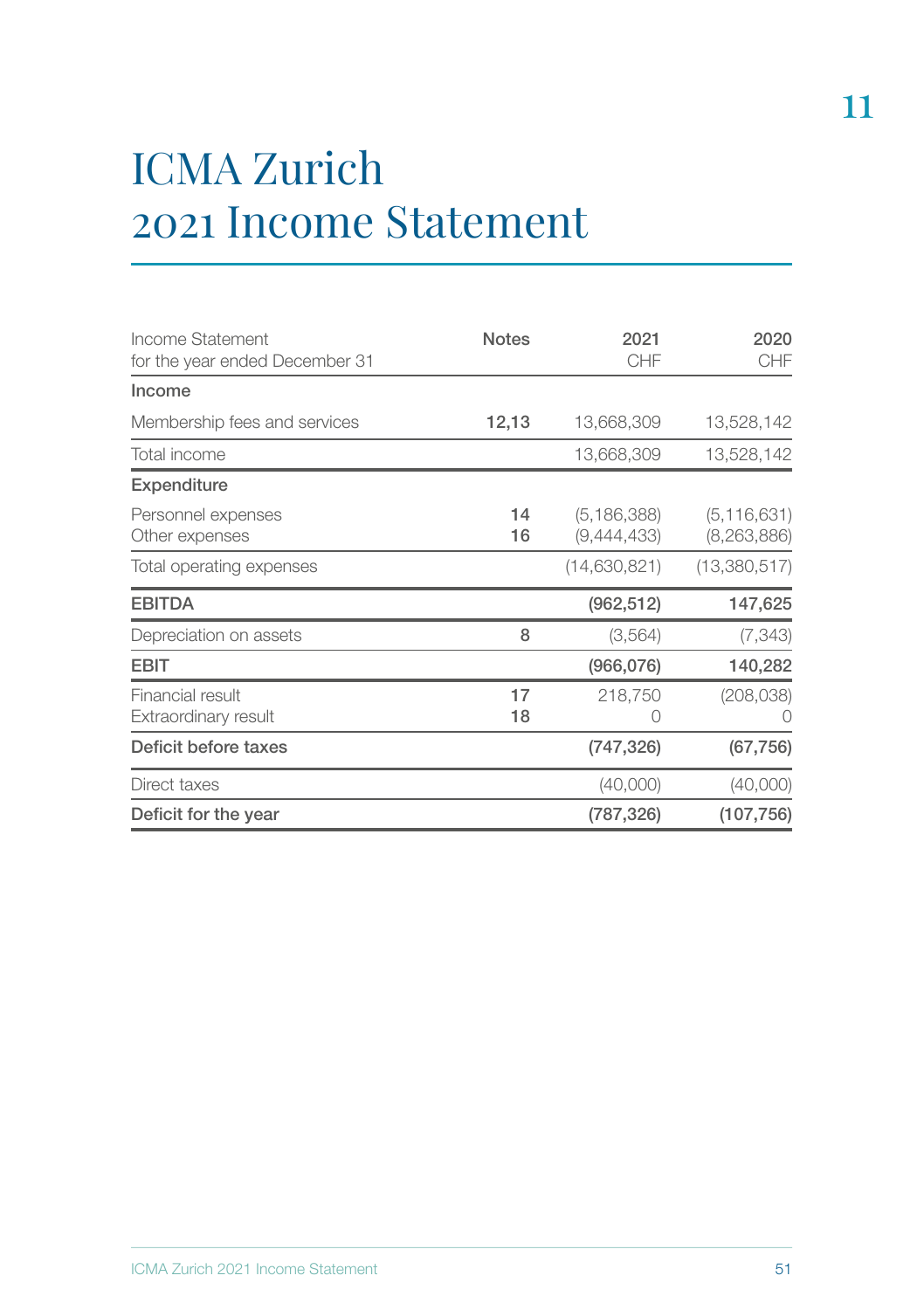# ICMA Zurich 2021 Income Statement

| Income Statement<br>for the year ended December 31 | <b>Notes</b> | 2021<br>CHF                  | 2020<br><b>CHF</b>             |
|----------------------------------------------------|--------------|------------------------------|--------------------------------|
| Income                                             |              |                              |                                |
| Membership fees and services                       | 12,13        | 13,668,309                   | 13,528,142                     |
| Total income                                       |              | 13,668,309                   | 13,528,142                     |
| Expenditure                                        |              |                              |                                |
| Personnel expenses<br>Other expenses               | 14<br>16     | (5, 186, 388)<br>(9,444,433) | (5, 116, 631)<br>(8, 263, 886) |
| Total operating expenses                           |              | (14,630,821)                 | (13,380,517)                   |
| <b>EBITDA</b>                                      |              | (962, 512)                   | 147,625                        |
| Depreciation on assets                             | 8            | (3,564)                      | (7, 343)                       |
| <b>EBIT</b>                                        |              | (966,076)                    | 140,282                        |
| Financial result<br>Extraordinary result           | 17<br>18     | 218,750<br>U                 | (208, 038)                     |
| Deficit before taxes                               |              | (747,326)                    | (67, 756)                      |
| Direct taxes                                       |              | (40,000)                     | (40,000)                       |
| Deficit for the year                               |              | (787,326)                    | (107, 756)                     |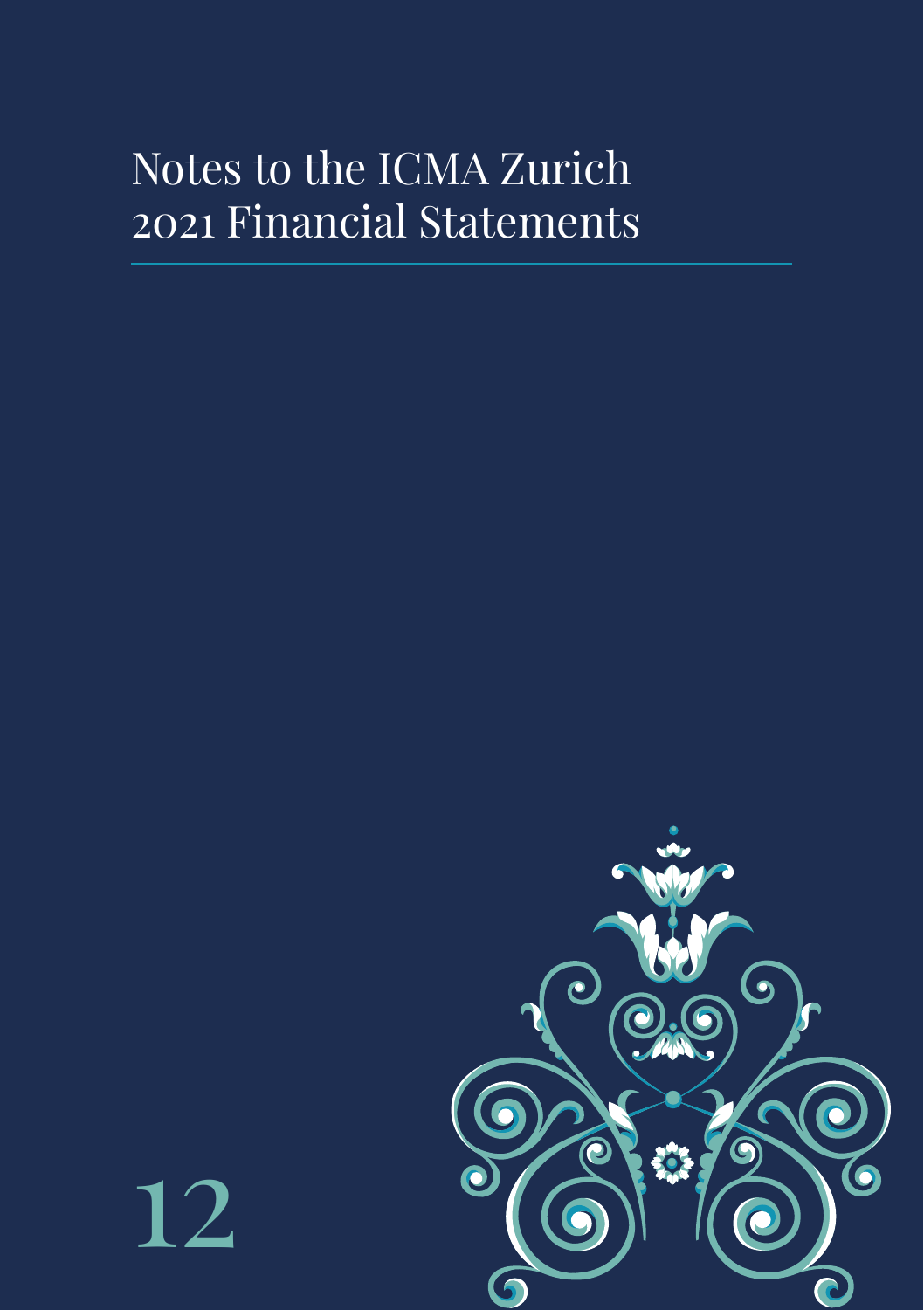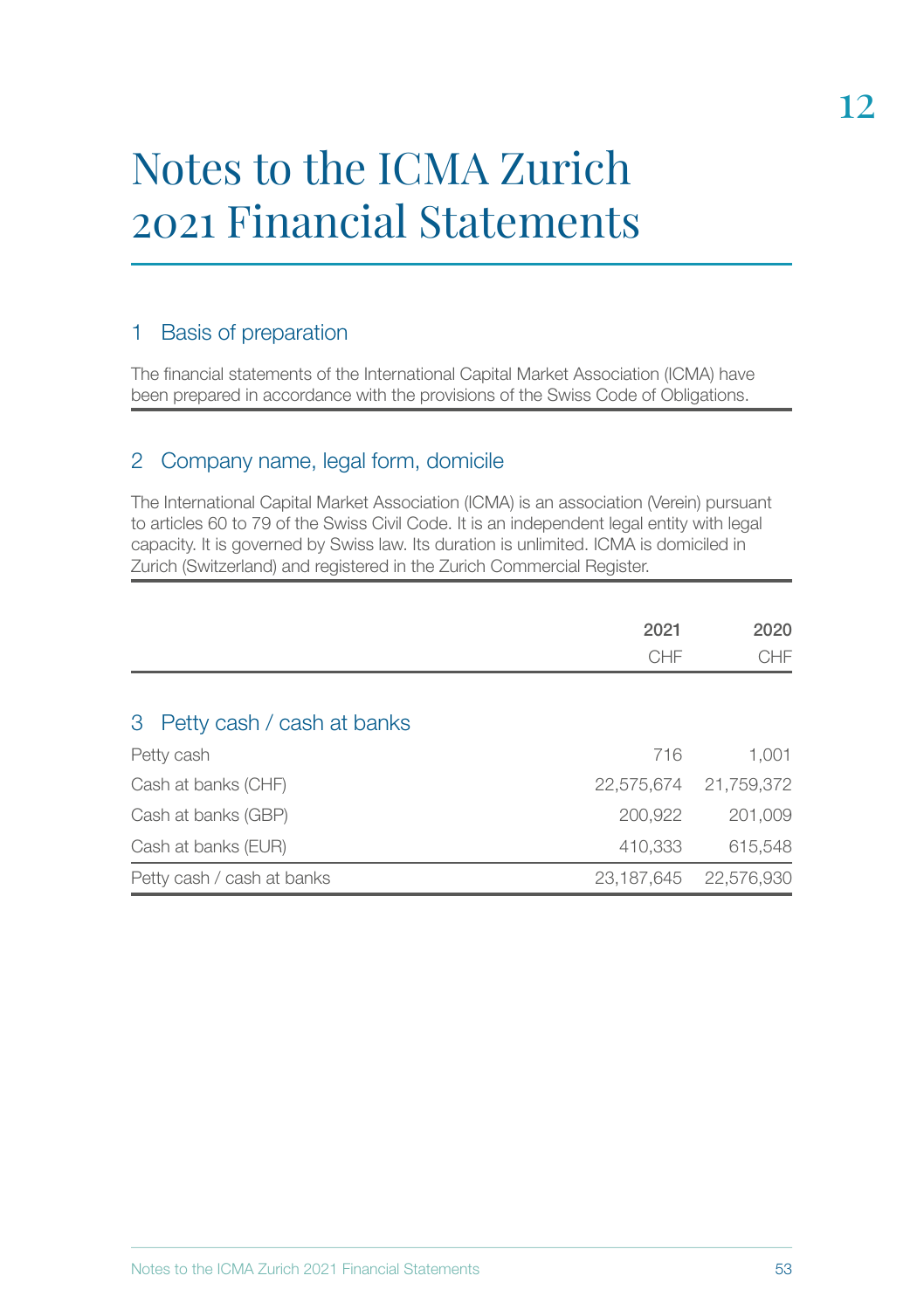### 1 Basis of preparation

The financial statements of the International Capital Market Association (ICMA) have been prepared in accordance with the provisions of the Swiss Code of Obligations.

### 2 Company name, legal form, domicile

The International Capital Market Association (ICMA) is an association (Verein) pursuant to articles 60 to 79 of the Swiss Civil Code. It is an independent legal entity with legal capacity. It is governed by Swiss law. Its duration is unlimited. ICMA is domiciled in Zurich (Switzerland) and registered in the Zurich Commercial Register.

|                              | 2021       | 2020       |
|------------------------------|------------|------------|
|                              | CHF        | CHF        |
|                              |            |            |
| 3 Petty cash / cash at banks |            |            |
| Petty cash                   | 716        | 1,001      |
| Cash at banks (CHF)          | 22,575,674 | 21,759,372 |
| Cash at banks (GBP)          | 200,922    | 201,009    |
| Cash at banks (EUR)          | 410,333    | 615,548    |
| Petty cash / cash at banks   | 23,187,645 | 22,576,930 |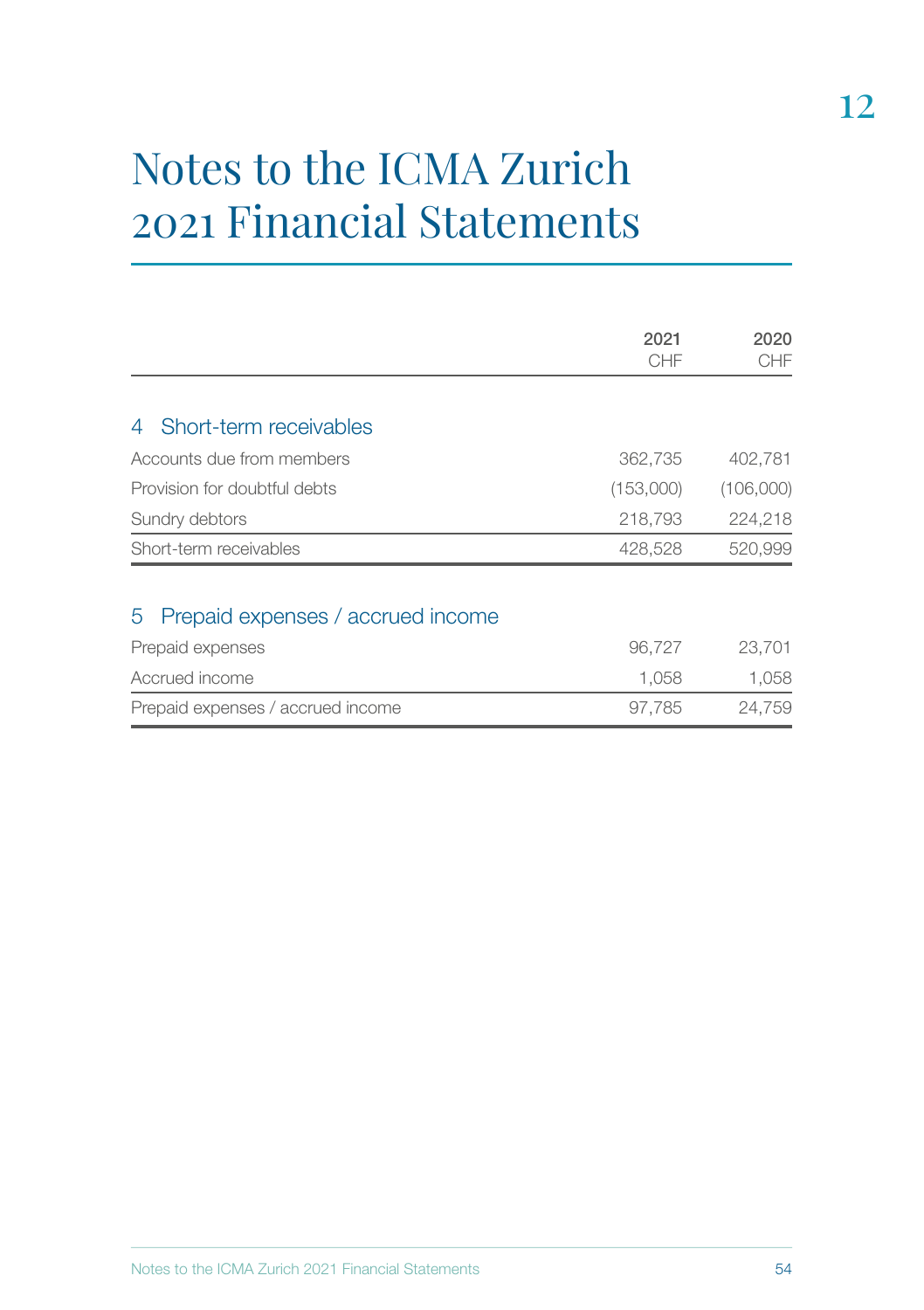|                                          | 2021<br>CHF | 2020<br>CHF |
|------------------------------------------|-------------|-------------|
|                                          |             |             |
| Short-term receivables<br>$\overline{4}$ |             |             |
| Accounts due from members                | 362,735     | 402,781     |
| Provision for doubtful debts             | (153,000)   | (106,000)   |
| Sundry debtors                           | 218,793     | 224,218     |
| Short-term receivables                   | 428,528     | 520,999     |
| Prepaid expenses / accrued income<br>5   |             |             |
| Prepaid expenses                         | 96,727      | 23,701      |
| Accrued income                           | 1,058       | 1,058       |

Prepaid expenses / accrued income 97,785 24,759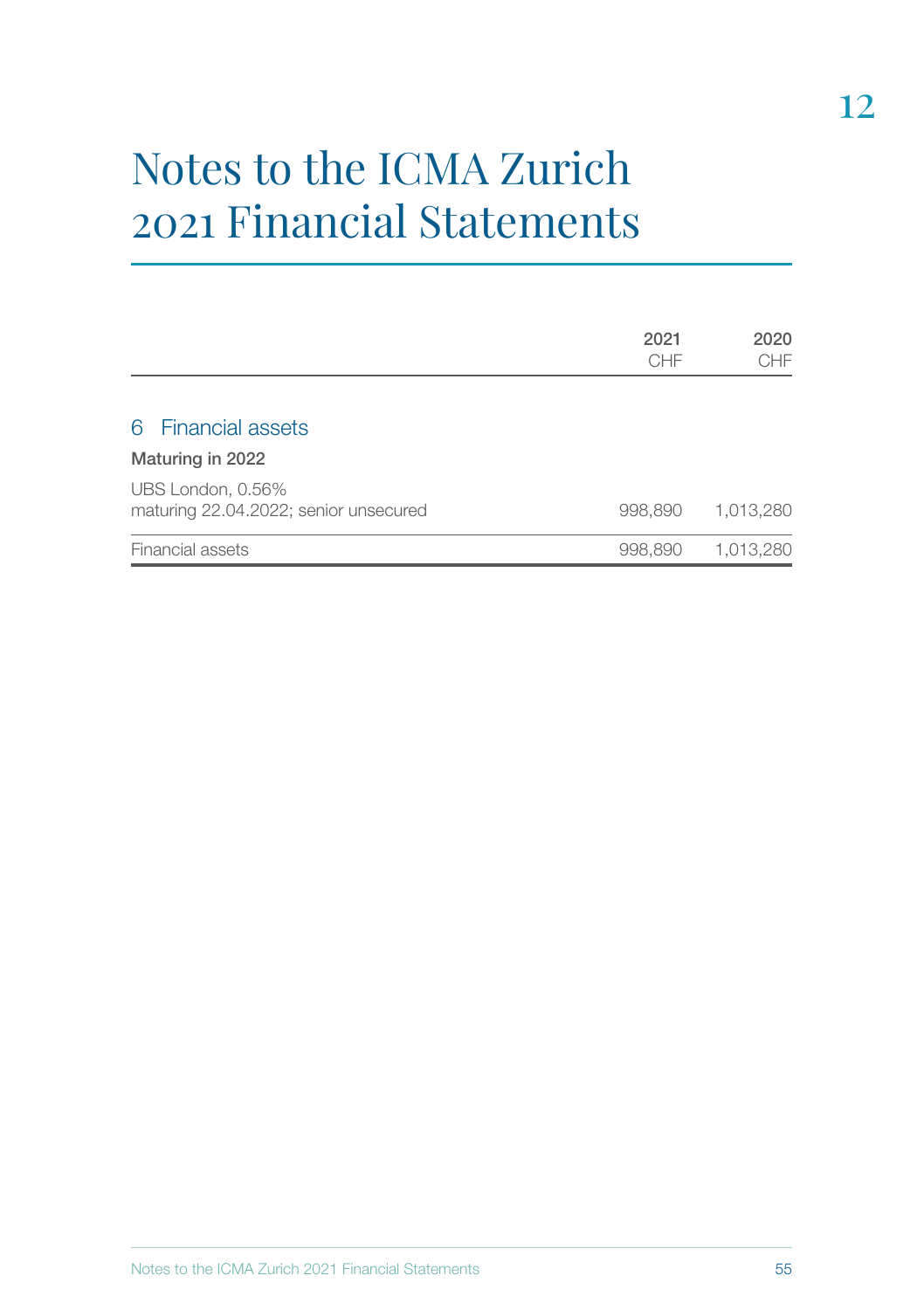|                                                            | 2021<br>CHF | 2020<br>CHF |
|------------------------------------------------------------|-------------|-------------|
|                                                            |             |             |
| 6 Financial assets                                         |             |             |
| Maturing in 2022                                           |             |             |
| UBS London, 0.56%<br>maturing 22.04.2022; senior unsecured | 998.890     | 1,013,280   |
| Financial assets                                           | 998,890     | 1.013.280   |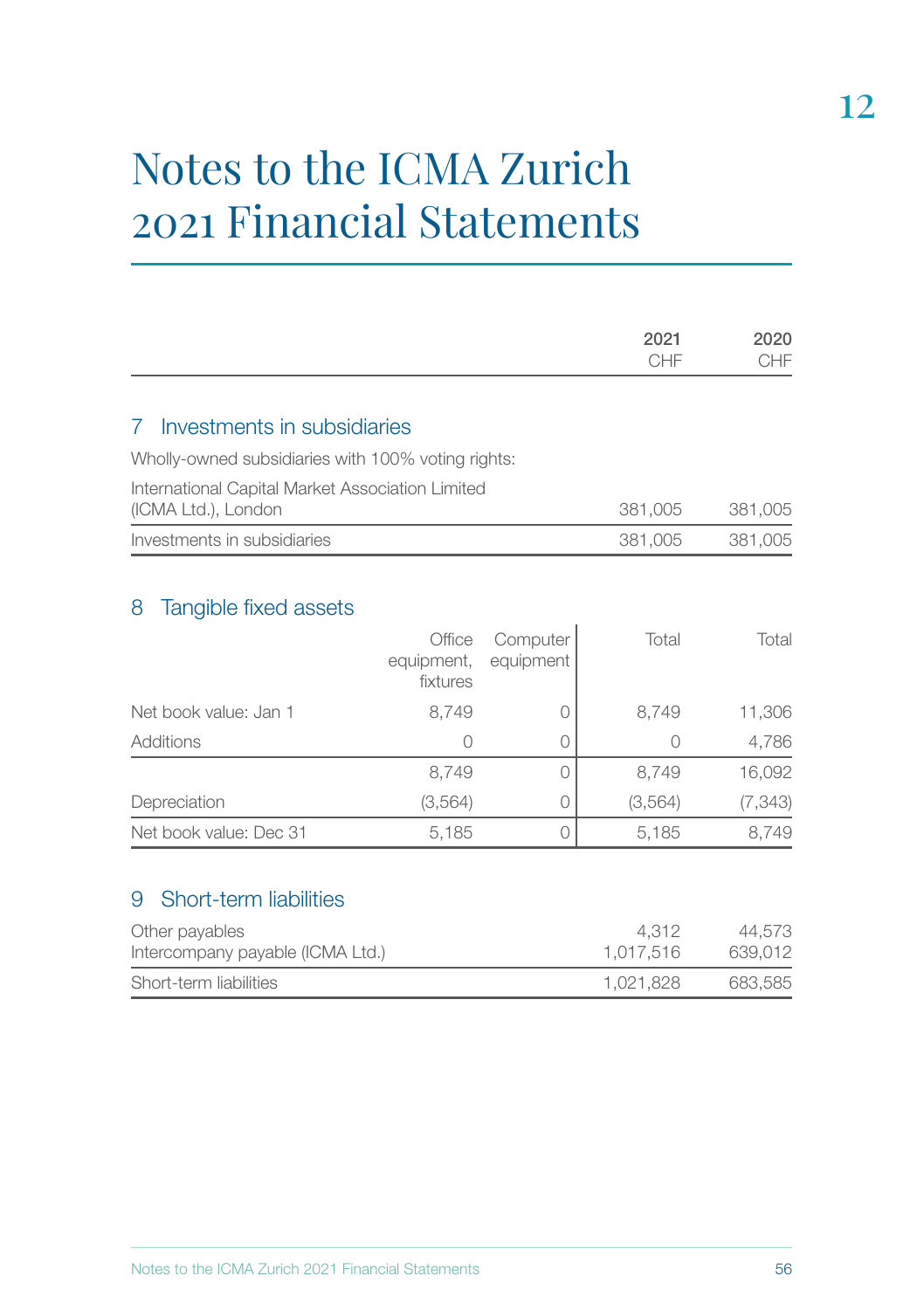|                                                                         |                                  |                       | 2021<br>CHF | 2020<br>CHF |
|-------------------------------------------------------------------------|----------------------------------|-----------------------|-------------|-------------|
| Investments in subsidiaries<br>7                                        |                                  |                       |             |             |
| Wholly-owned subsidiaries with 100% voting rights:                      |                                  |                       |             |             |
| International Capital Market Association Limited<br>(ICMA Ltd.), London |                                  |                       | 381,005     | 381,005     |
| Investments in subsidiaries                                             |                                  |                       | 381,005     | 381,005     |
| Tangible fixed assets<br>8                                              | Office<br>equipment,<br>fixtures | Computer<br>equipment | Total       | Total       |
| Net book value: Jan 1                                                   | 8,749                            | 0                     | 8,749       | 11,306      |
| Additions                                                               | $\Omega$                         | 0                     | $\Omega$    | 4,786       |
|                                                                         |                                  |                       |             |             |
|                                                                         | 8,749                            | 0                     | 8,749       | 16,092      |
| Depreciation                                                            | (3,564)                          | 0                     | (3,564)     | (7, 343)    |

### 9 Short-term liabilities

| Other payables                   | 4.312     | 44.573  |
|----------------------------------|-----------|---------|
| Intercompany payable (ICMA Ltd.) | 1.017.516 | 639.012 |
| Short-term liabilities           | 1.021.828 | 683.585 |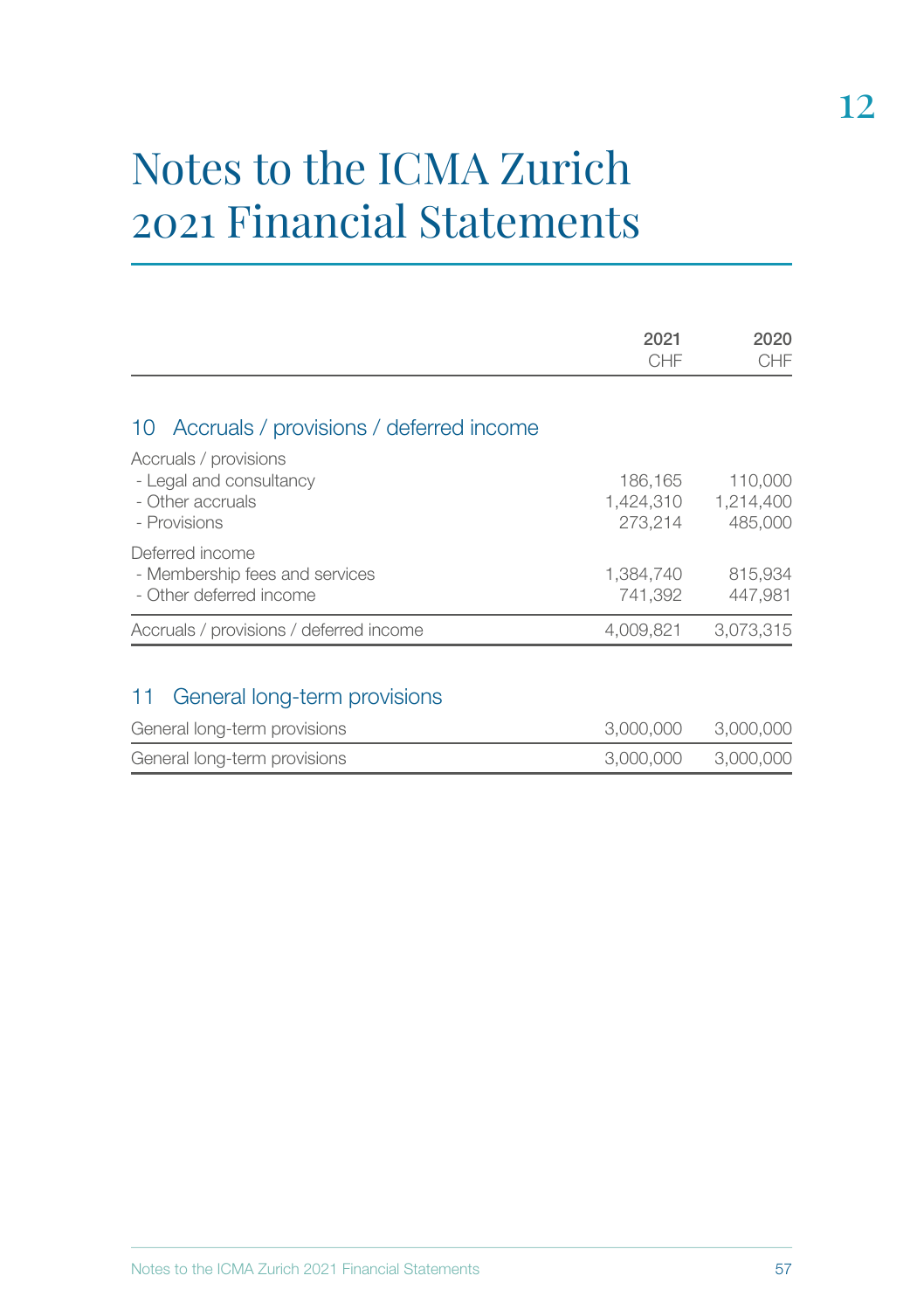|                                                                                      | 2021<br>CHF                     | 2020<br>CHF                     |
|--------------------------------------------------------------------------------------|---------------------------------|---------------------------------|
|                                                                                      |                                 |                                 |
| Accruals / provisions / deferred income<br>10                                        |                                 |                                 |
| Accruals / provisions<br>- Legal and consultancy<br>- Other accruals<br>- Provisions | 186,165<br>1.424.310<br>273,214 | 110,000<br>1,214,400<br>485,000 |
| Deferred income<br>- Membership fees and services<br>- Other deferred income         | 1,384,740<br>741.392            | 815,934<br>447,981              |
| Accruals / provisions / deferred income                                              | 4,009,821                       | 3,073,315                       |
| General long-term provisions<br>11<br>General long-term provisions                   | 3.000.000                       | 3.000.000                       |

| Concretionly tonn provisions | 0,000,000 0,000,000 |  |
|------------------------------|---------------------|--|
| General long-term provisions | 3,000,000 3,000,000 |  |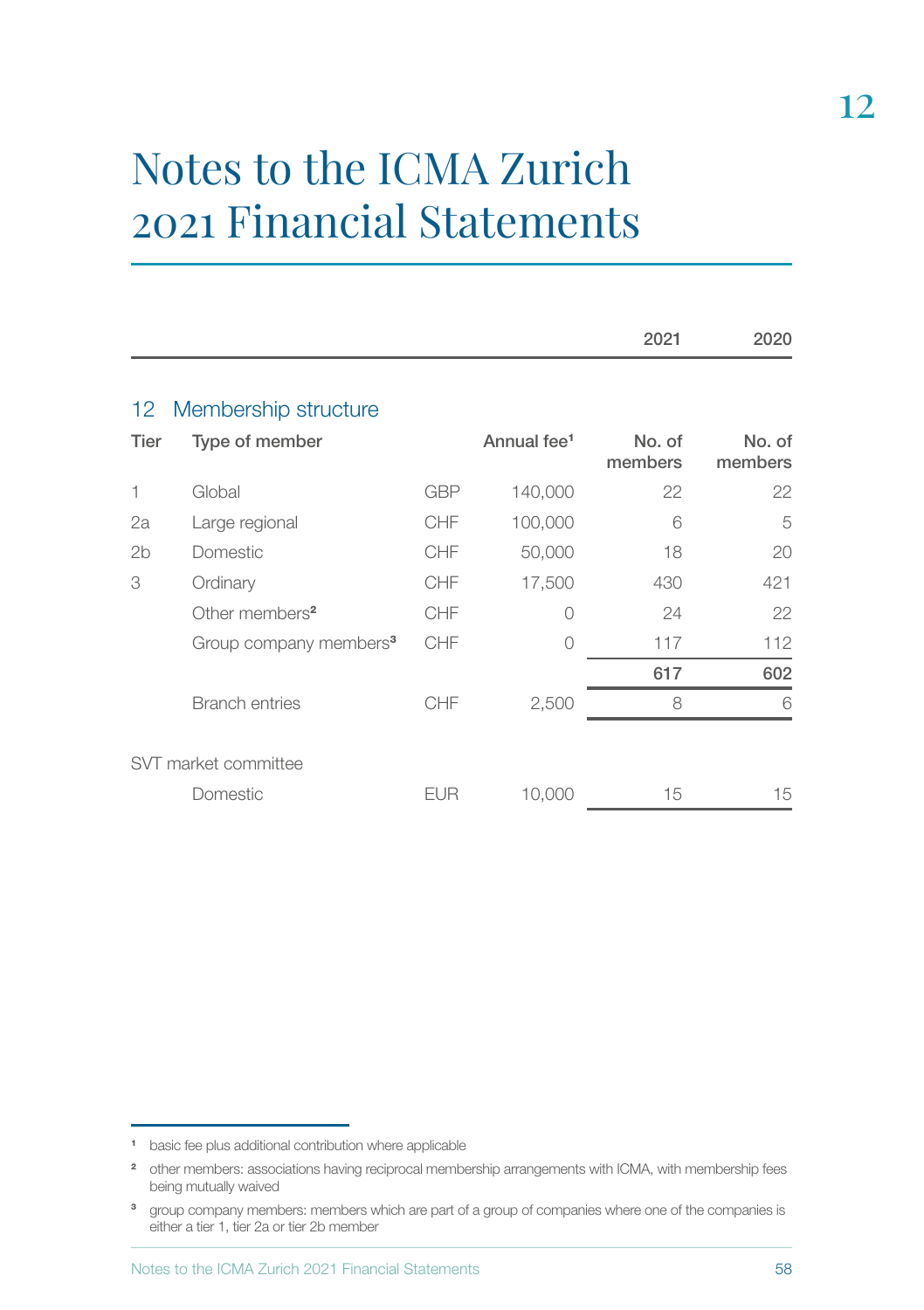|                |                                    |            |                         | 2021              | 2020              |
|----------------|------------------------------------|------------|-------------------------|-------------------|-------------------|
|                | 12 Membership structure            |            |                         |                   |                   |
| Tier           | Type of member                     |            | Annual fee <sup>1</sup> | No. of<br>members | No. of<br>members |
| 1              | Global                             | <b>GBP</b> | 140,000                 | 22                | 22                |
| 2a             | Large regional                     | <b>CHF</b> | 100,000                 | 6                 | 5                 |
| 2 <sub>b</sub> | Domestic                           | CHF        | 50,000                  | 18                | 20                |
| 3              | Ordinary                           | <b>CHF</b> | 17,500                  | 430               | 421               |
|                | Other members <sup>2</sup>         | CHF        | $\bigcap$               | 24                | 22                |
|                | Group company members <sup>3</sup> | CHF        | $\Omega$                | 117               | 112               |
|                |                                    |            |                         | 617               | 602               |
|                | <b>Branch entries</b>              | CHF        | 2,500                   | 8                 | 6                 |
|                | SVT market committee               |            |                         |                   |                   |
|                | Domestic                           | <b>EUR</b> | 10,000                  | 15                | 15                |

<sup>1</sup> basic fee plus additional contribution where applicable

<sup>2</sup> other members: associations having reciprocal membership arrangements with ICMA, with membership fees being mutually waived

<sup>&</sup>lt;sup>3</sup> group company members: members which are part of a group of companies where one of the companies is either a tier 1, tier 2a or tier 2b member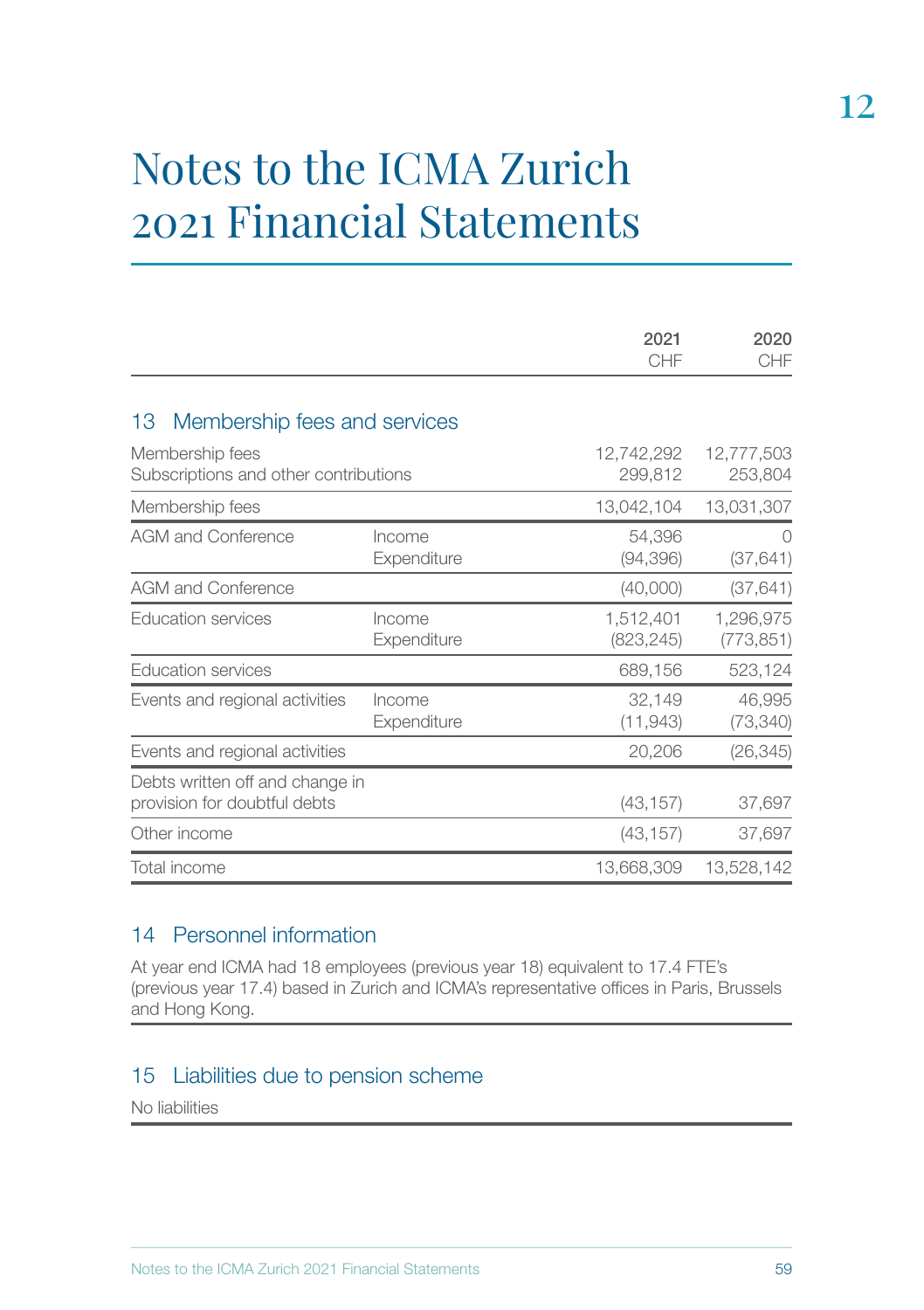|                                                                 |                       | 2021<br>CHF             | 2020<br>CHF            |
|-----------------------------------------------------------------|-----------------------|-------------------------|------------------------|
| 13<br>Membership fees and services                              |                       |                         |                        |
| Membership fees<br>Subscriptions and other contributions        |                       | 12,742,292<br>299,812   | 12,777,503<br>253,804  |
| Membership fees                                                 |                       | 13,042,104              | 13,031,307             |
| AGM and Conference                                              | Income<br>Expenditure | 54,396<br>(94, 396)     | ∩<br>(37, 641)         |
| <b>AGM</b> and Conference                                       |                       | (40,000)                | (37, 641)              |
| Education services                                              | Income<br>Expenditure | 1,512,401<br>(823, 245) | 1,296,975<br>(773,851) |
| <b>Education services</b>                                       |                       | 689,156                 | 523,124                |
| Events and regional activities                                  | Income<br>Expenditure | 32,149<br>(11, 943)     | 46,995<br>(73, 340)    |
| Events and regional activities                                  |                       | 20,206                  | (26, 345)              |
| Debts written off and change in<br>provision for doubtful debts |                       | (43, 157)               | 37,697                 |
| Other income                                                    |                       | (43, 157)               | 37,697                 |
| Total income                                                    |                       | 13,668,309              | 13,528,142             |

### 14 Personnel information

At year end ICMA had 18 employees (previous year 18) equivalent to 17.4 FTE's (previous year 17.4) based in Zurich and ICMA's representative offices in Paris, Brussels and Hong Kong.

### 15 Liabilities due to pension scheme

No liabilities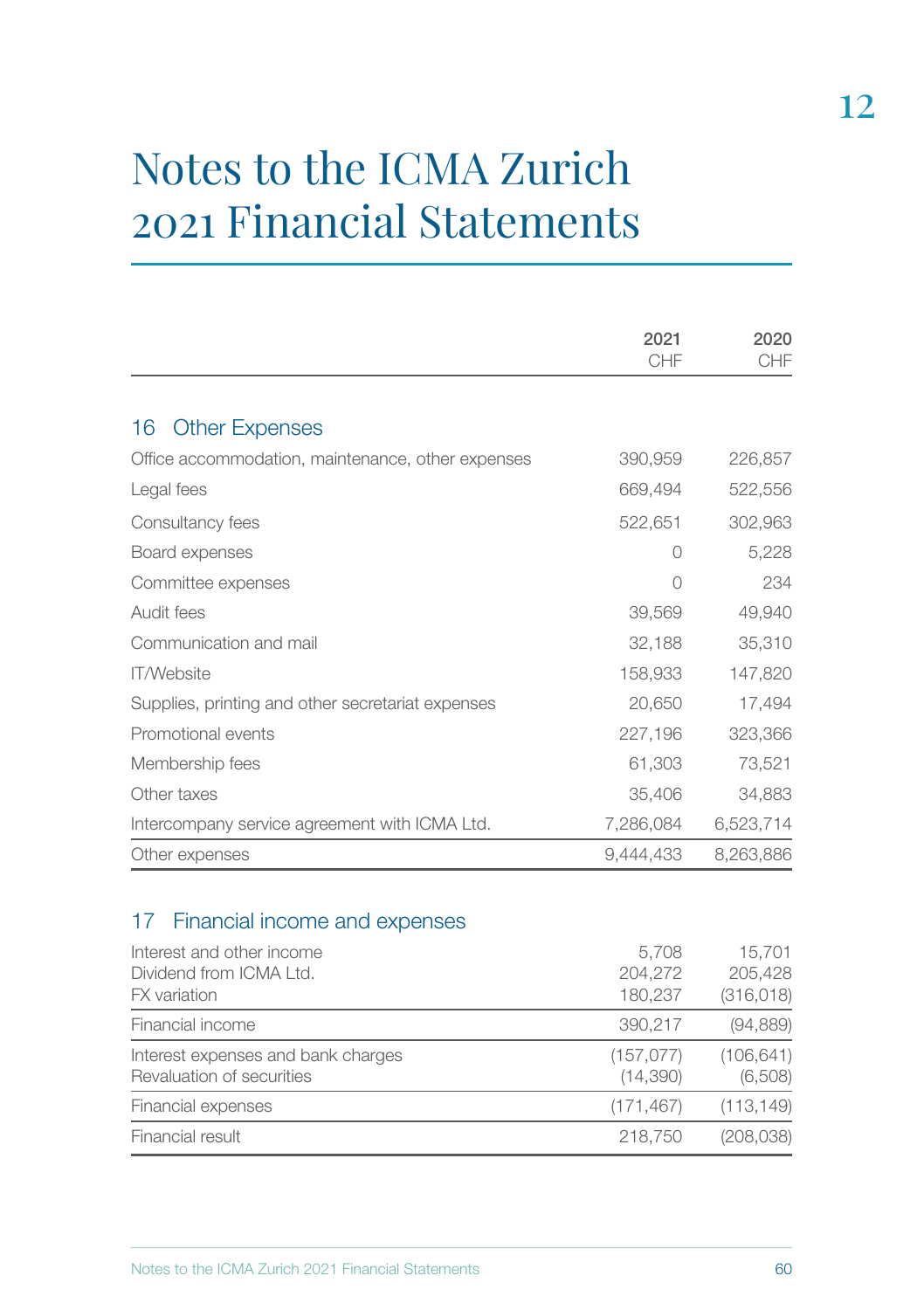|                                                   | 2021<br>CHF | 2020<br>CHF |
|---------------------------------------------------|-------------|-------------|
|                                                   |             |             |
| <b>Other Expenses</b><br>16                       |             |             |
| Office accommodation, maintenance, other expenses | 390,959     | 226,857     |
| Legal fees                                        | 669,494     | 522,556     |
| Consultancy fees                                  | 522,651     | 302,963     |
| Board expenses                                    | 0           | 5,228       |
| Committee expenses                                | Ω           | 234         |
| Audit fees                                        | 39,569      | 49,940      |
| Communication and mail                            | 32,188      | 35,310      |
| <b>IT/Website</b>                                 | 158,933     | 147,820     |
| Supplies, printing and other secretariat expenses | 20,650      | 17,494      |
| Promotional events                                | 227,196     | 323,366     |
| Membership fees                                   | 61,303      | 73,521      |
| Other taxes                                       | 35,406      | 34,883      |
| Intercompany service agreement with ICMA Ltd.     | 7,286,084   | 6,523,714   |
| Other expenses                                    | 9,444,433   | 8,263,886   |

### 17 Financial income and expenses

| Interest and other income<br>Dividend from ICMA Ltd.<br><b>FX</b> variation | 5,708<br>204.272<br>180.237 | 15.701<br>205.428<br>(316, 018) |
|-----------------------------------------------------------------------------|-----------------------------|---------------------------------|
| Financial income                                                            | 390.217                     | (94, 889)                       |
| Interest expenses and bank charges<br>Revaluation of securities             | (157, 077)<br>(14,390)      | (106, 641)<br>(6,508)           |
| Financial expenses                                                          | (171, 467)                  | (113, 149)                      |
| Financial result                                                            | 218,750                     | (208, 038)                      |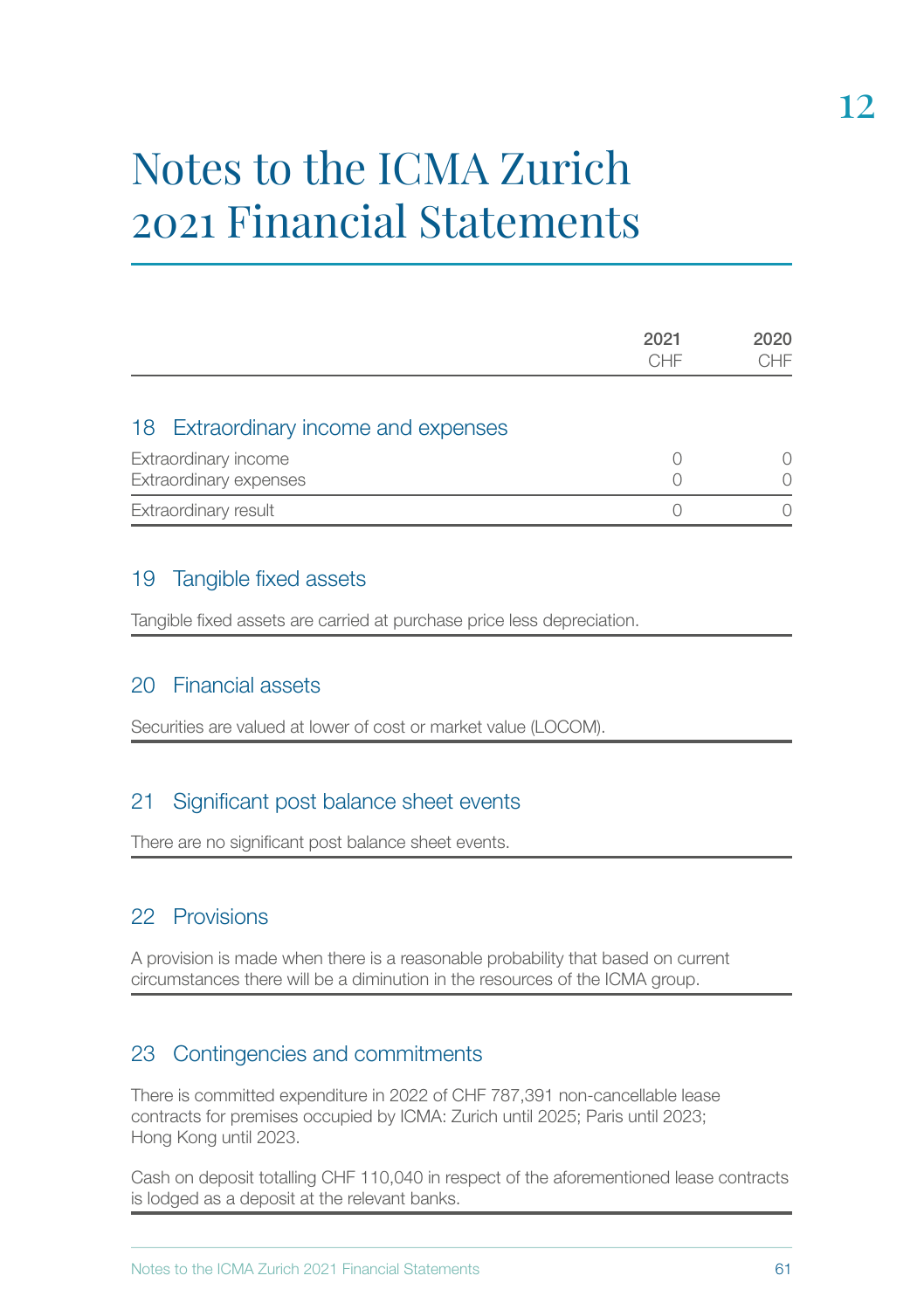|                                                | 2021<br>CHF | 2020<br>CHE |
|------------------------------------------------|-------------|-------------|
| 18 Extraordinary income and expenses           |             |             |
| Extraordinary income<br>Extraordinary expenses |             | 0           |
| Extraordinary result                           |             |             |

### 19 Tangible fixed assets

Tangible fixed assets are carried at purchase price less depreciation.

### 20 Financial assets

Securities are valued at lower of cost or market value (LOCOM).

### 21 Significant post balance sheet events

There are no significant post balance sheet events.

### 22 Provisions

A provision is made when there is a reasonable probability that based on current circumstances there will be a diminution in the resources of the ICMA group.

### 23 Contingencies and commitments

There is committed expenditure in 2022 of CHF 787,391 non-cancellable lease contracts for premises occupied by ICMA: Zurich until 2025; Paris until 2023; Hong Kong until 2023.

Cash on deposit totalling CHF 110,040 in respect of the aforementioned lease contracts is lodged as a deposit at the relevant banks.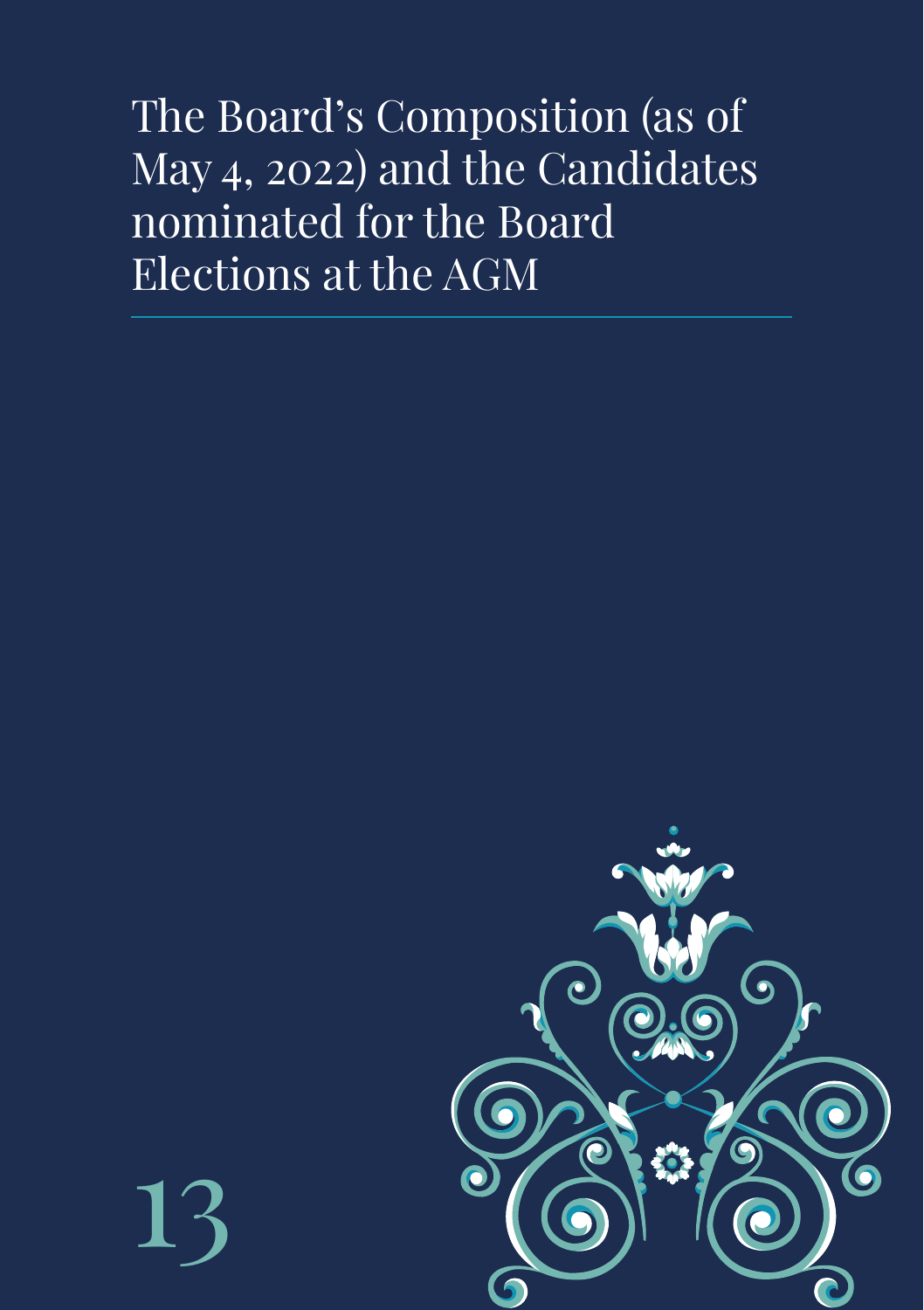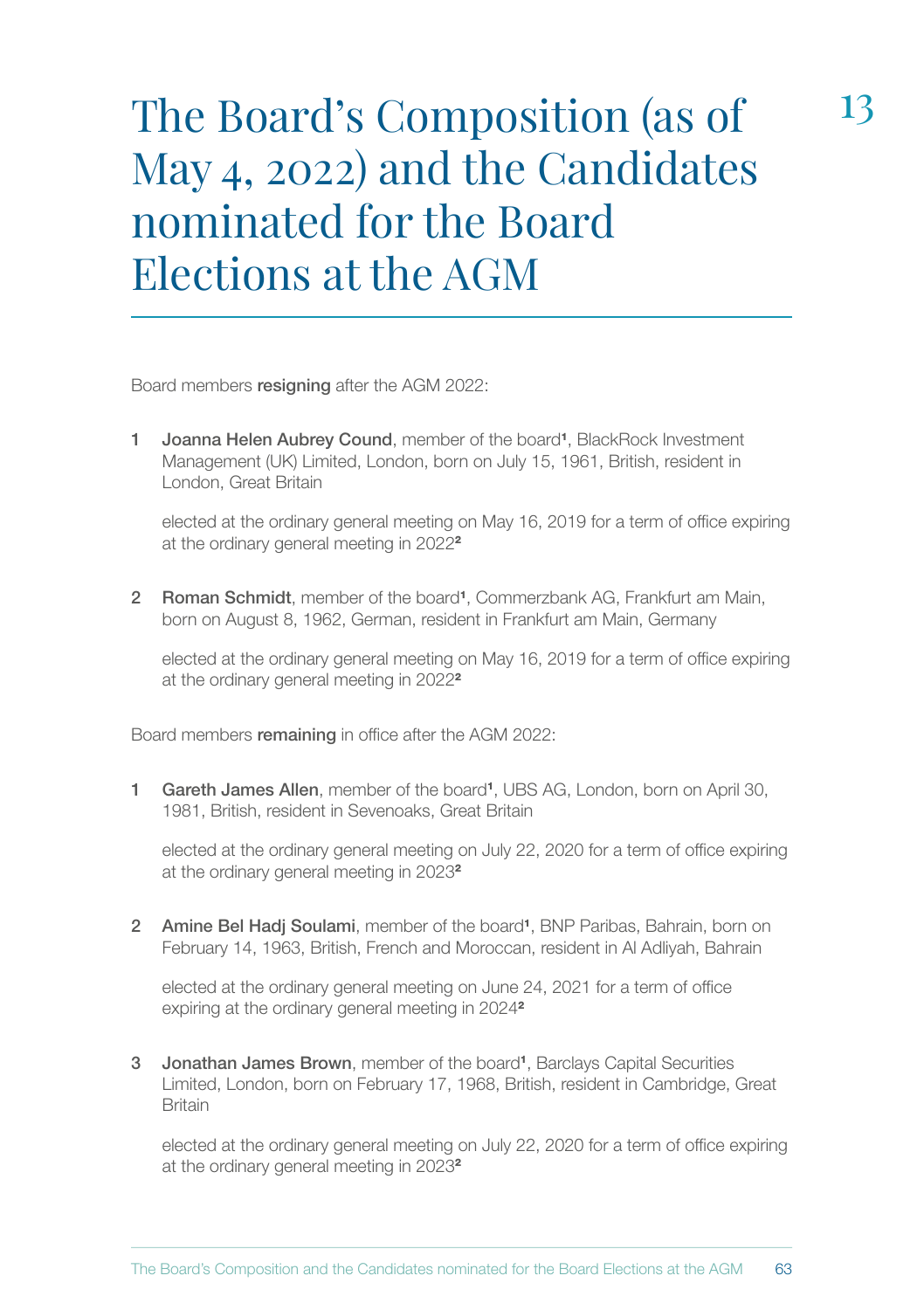Board members resigning after the AGM 2022:

1 Joanna Helen Aubrey Cound, member of the board<sup>1</sup>, BlackRock Investment Management (UK) Limited, London, born on July 15, 1961, British, resident in London, Great Britain

elected at the ordinary general meeting on May 16, 2019 for a term of office expiring at the ordinary general meeting in 2022<sup>2</sup>

2 Roman Schmidt, member of the board<sup>1</sup>, Commerzbank AG, Frankfurt am Main, born on August 8, 1962, German, resident in Frankfurt am Main, Germany

elected at the ordinary general meeting on May 16, 2019 for a term of office expiring at the ordinary general meeting in 2022<sup>2</sup>

Board members remaining in office after the AGM 2022:

1 Gareth James Allen, member of the board<sup>1</sup>, UBS AG, London, born on April 30, 1981, British, resident in Sevenoaks, Great Britain

 elected at the ordinary general meeting on July 22, 2020 for a term of office expiring at the ordinary general meeting in 2023<sup>2</sup>

2 Amine Bel Hadi Soulami, member of the board<sup>1</sup>, BNP Paribas, Bahrain, born on February 14, 1963, British, French and Moroccan, resident in Al Adliyah, Bahrain

 elected at the ordinary general meeting on June 24, 2021 for a term of office expiring at the ordinary general meeting in 2024<sup>2</sup>

3 Jonathan James Brown, member of the board<sup>1</sup>, Barclays Capital Securities Limited, London, born on February 17, 1968, British, resident in Cambridge, Great Britain

 elected at the ordinary general meeting on July 22, 2020 for a term of office expiring at the ordinary general meeting in 2023<sup>2</sup>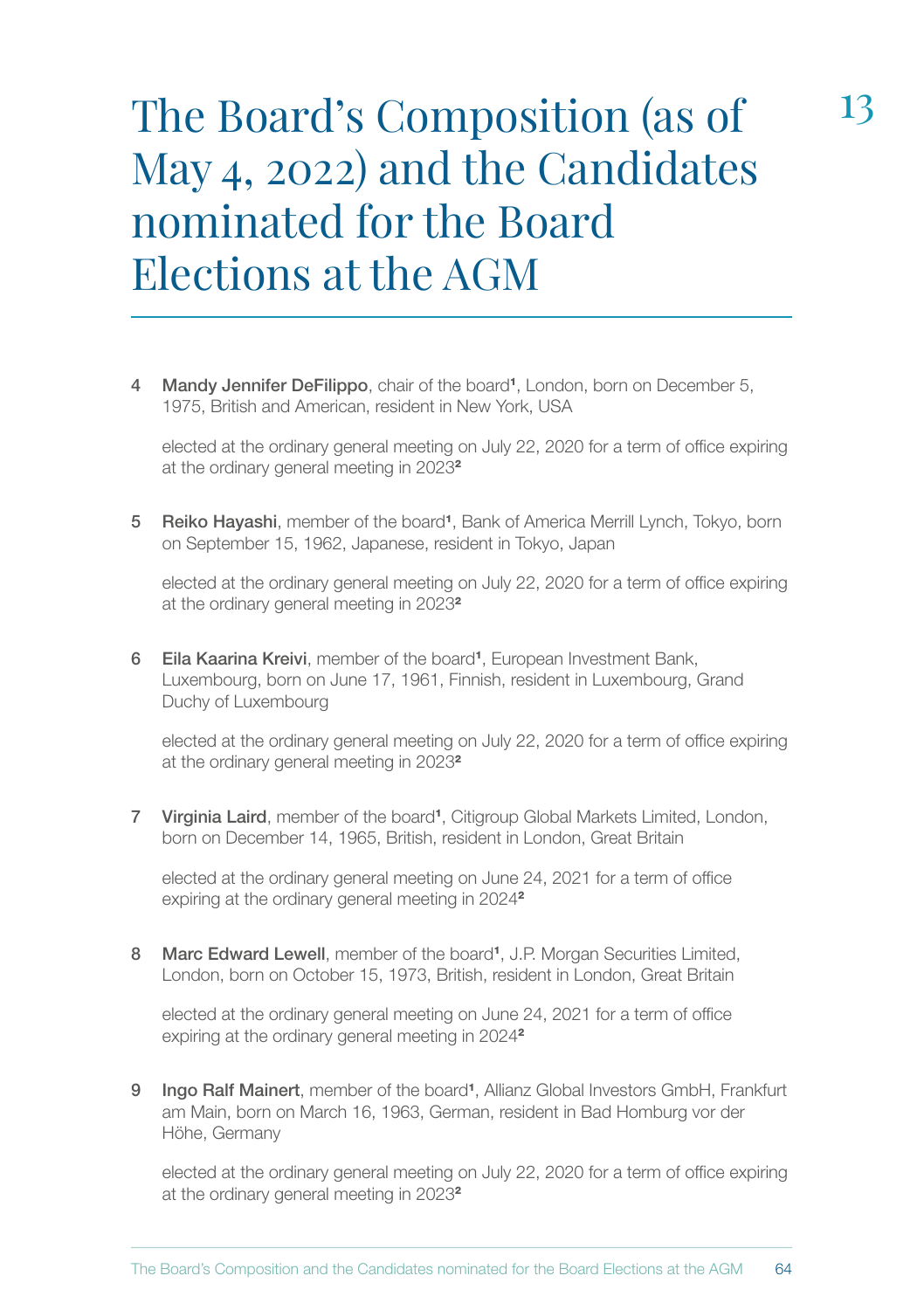4 Mandy Jennifer DeFilippo, chair of the board<sup>1</sup>, London, born on December 5, 1975, British and American, resident in New York, USA

 elected at the ordinary general meeting on July 22, 2020 for a term of office expiring at the ordinary general meeting in 2023<sup>2</sup>

5 Reiko Hayashi, member of the board1, Bank of America Merrill Lynch, Tokyo, born on September 15, 1962, Japanese, resident in Tokyo, Japan

 elected at the ordinary general meeting on July 22, 2020 for a term of office expiring at the ordinary general meeting in 2023<sup>2</sup>

6 Eila Kaarina Kreivi, member of the board<sup>1</sup>, European Investment Bank, Luxembourg, born on June 17, 1961, Finnish, resident in Luxembourg, Grand Duchy of Luxembourg

 elected at the ordinary general meeting on July 22, 2020 for a term of office expiring at the ordinary general meeting in 2023<sup>2</sup>

7 Virginia Laird, member of the board<sup>1</sup>, Citigroup Global Markets Limited, London, born on December 14, 1965, British, resident in London, Great Britain

 elected at the ordinary general meeting on June 24, 2021 for a term of office expiring at the ordinary general meeting in 2024<sup>2</sup>

8 Marc Edward Lewell, member of the board<sup>1</sup>, J.P. Morgan Securities Limited, London, born on October 15, 1973, British, resident in London, Great Britain

 elected at the ordinary general meeting on June 24, 2021 for a term of office expiring at the ordinary general meeting in 2024<sup>2</sup>

9 Ingo Ralf Mainert, member of the board<sup>1</sup>, Allianz Global Investors GmbH, Frankfurt am Main, born on March 16, 1963, German, resident in Bad Homburg vor der Höhe, Germany

elected at the ordinary general meeting on July 22, 2020 for a term of office expiring at the ordinary general meeting in 2023<sup>2</sup>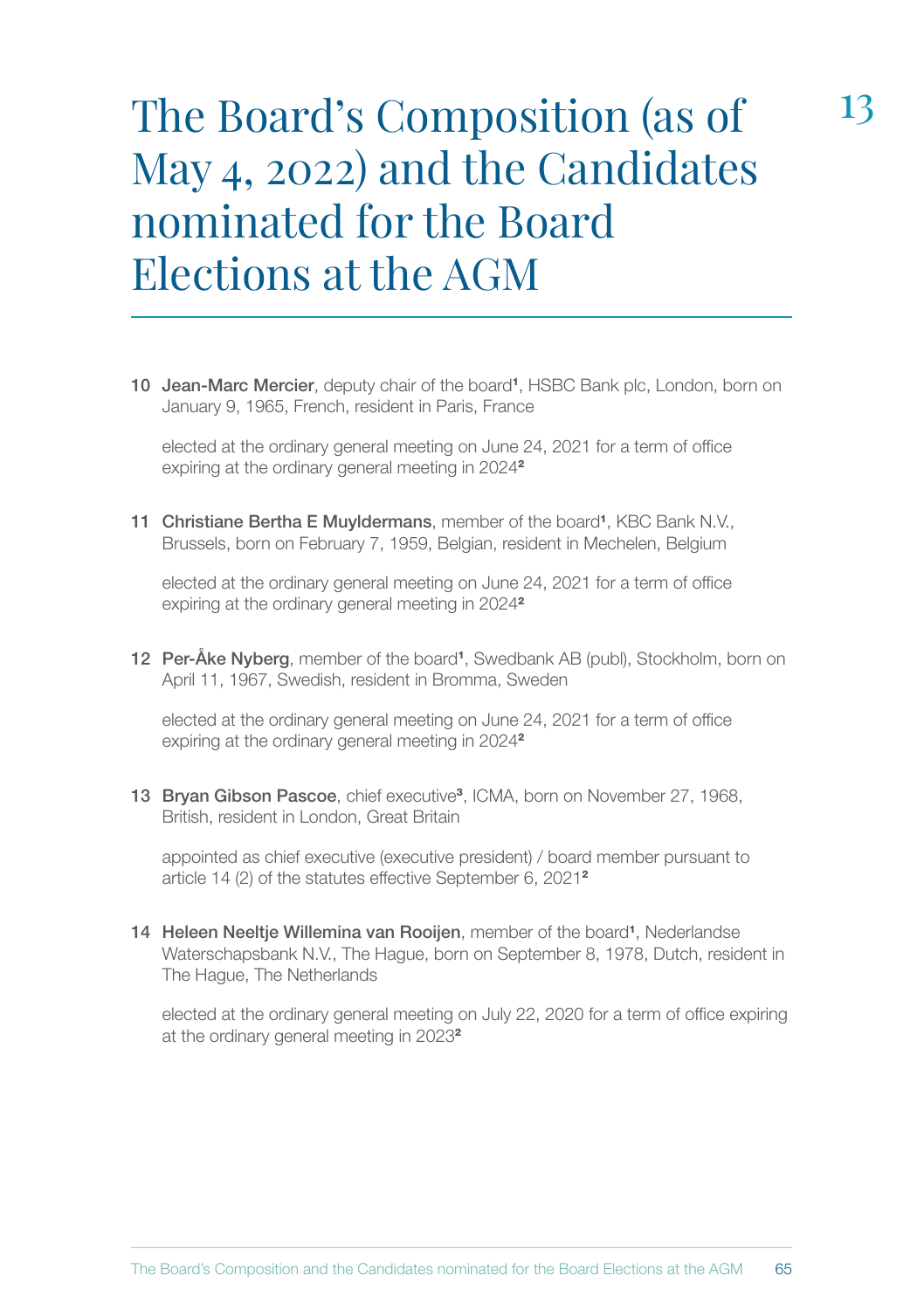10 Jean-Marc Mercier, deputy chair of the board<sup>1</sup>, HSBC Bank plc, London, born on January 9, 1965, French, resident in Paris, France

elected at the ordinary general meeting on June 24, 2021 for a term of office expiring at the ordinary general meeting in 2024<sup>2</sup>

11 Christiane Bertha E Muyldermans, member of the board<sup>1</sup>, KBC Bank N.V., Brussels, born on February 7, 1959, Belgian, resident in Mechelen, Belgium

elected at the ordinary general meeting on June 24, 2021 for a term of office expiring at the ordinary general meeting in 2024<sup>2</sup>

12 Per-Åke Nyberg, member of the board<sup>1</sup>, Swedbank AB (publ), Stockholm, born on April 11, 1967, Swedish, resident in Bromma, Sweden

 elected at the ordinary general meeting on June 24, 2021 for a term of office expiring at the ordinary general meeting in 2024<sup>2</sup>

13 Bryan Gibson Pascoe, chief executive<sup>3</sup>, ICMA, born on November 27, 1968, British, resident in London, Great Britain

 appointed as chief executive (executive president) / board member pursuant to article 14 (2) of the statutes effective September 6, 2021<sup>2</sup>

14 Heleen Neeltje Willemina van Rooijen, member of the board<sup>1</sup>, Nederlandse Waterschapsbank N.V., The Hague, born on September 8, 1978, Dutch, resident in The Hague, The Netherlands

 elected at the ordinary general meeting on July 22, 2020 for a term of office expiring at the ordinary general meeting in 2023<sup>2</sup>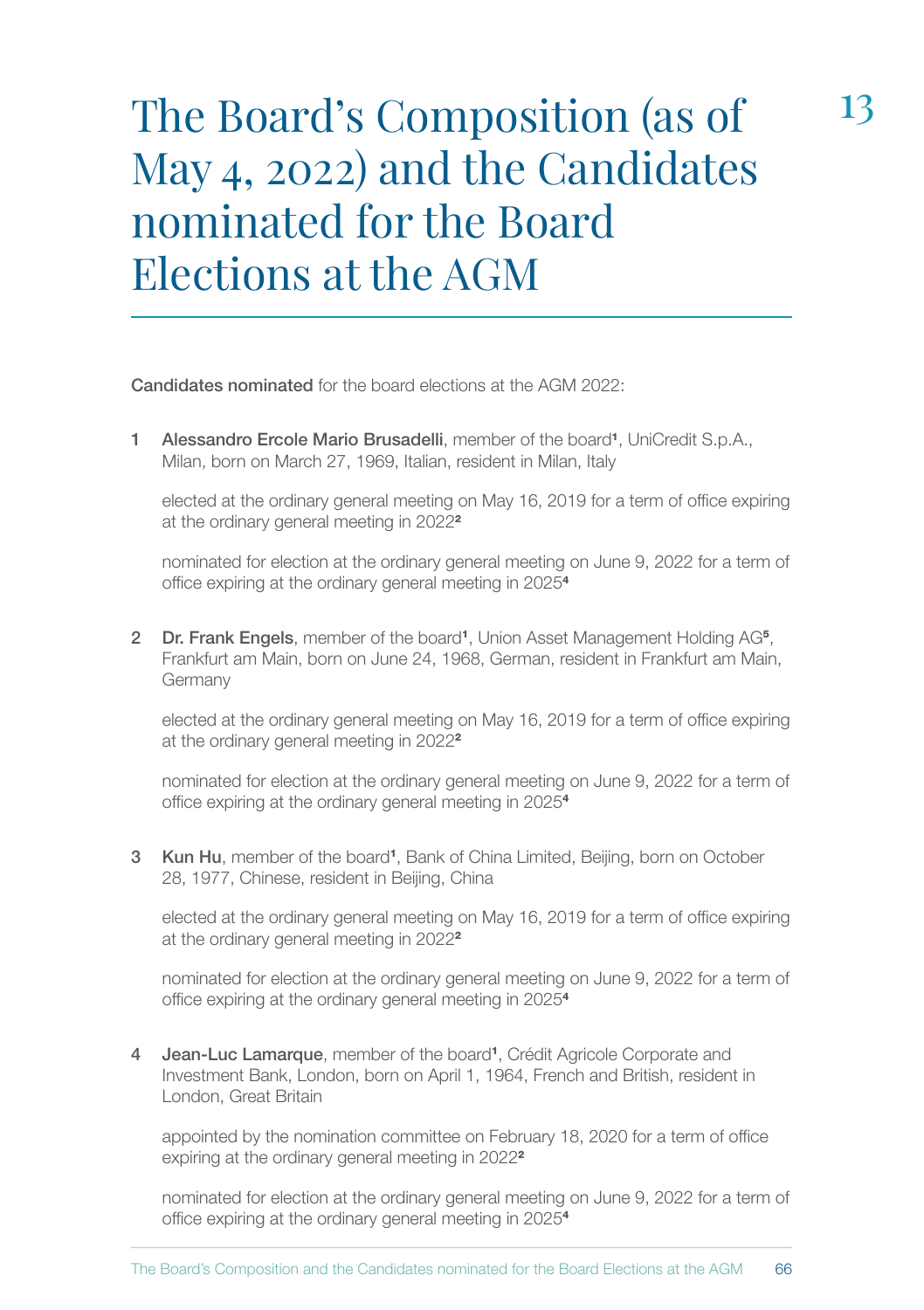Candidates nominated for the board elections at the AGM 2022:

1 Alessandro Ercole Mario Brusadelli, member of the board<sup>1</sup>, UniCredit S.p.A., Milan, born on March 27, 1969, Italian, resident in Milan, Italy

elected at the ordinary general meeting on May 16, 2019 for a term of office expiring at the ordinary general meeting in 2022<sup>2</sup>

nominated for election at the ordinary general meeting on June 9, 2022 for a term of office expiring at the ordinary general meeting in 2025<sup>4</sup>

2 Dr. Frank Engels, member of the board<sup>1</sup>, Union Asset Management Holding AG<sup>5</sup>, Frankfurt am Main, born on June 24, 1968, German, resident in Frankfurt am Main, Germany

 elected at the ordinary general meeting on May 16, 2019 for a term of office expiring at the ordinary general meeting in 2022<sup>2</sup>

 nominated for election at the ordinary general meeting on June 9, 2022 for a term of office expiring at the ordinary general meeting in 2025<sup>4</sup>

3 Kun Hu, member of the board<sup>1</sup>, Bank of China Limited, Beijing, born on October 28, 1977, Chinese, resident in Beijing, China

 elected at the ordinary general meeting on May 16, 2019 for a term of office expiring at the ordinary general meeting in 2022<sup>2</sup>

 nominated for election at the ordinary general meeting on June 9, 2022 for a term of office expiring at the ordinary general meeting in 2025<sup>4</sup>

4 Jean-Luc Lamarque, member of the board<sup>1</sup>, Crédit Agricole Corporate and Investment Bank, London, born on April 1, 1964, French and British, resident in London, Great Britain

 appointed by the nomination committee on February 18, 2020 for a term of office expiring at the ordinary general meeting in 2022<sup>2</sup>

 nominated for election at the ordinary general meeting on June 9, 2022 for a term of office expiring at the ordinary general meeting in 2025<sup>4</sup>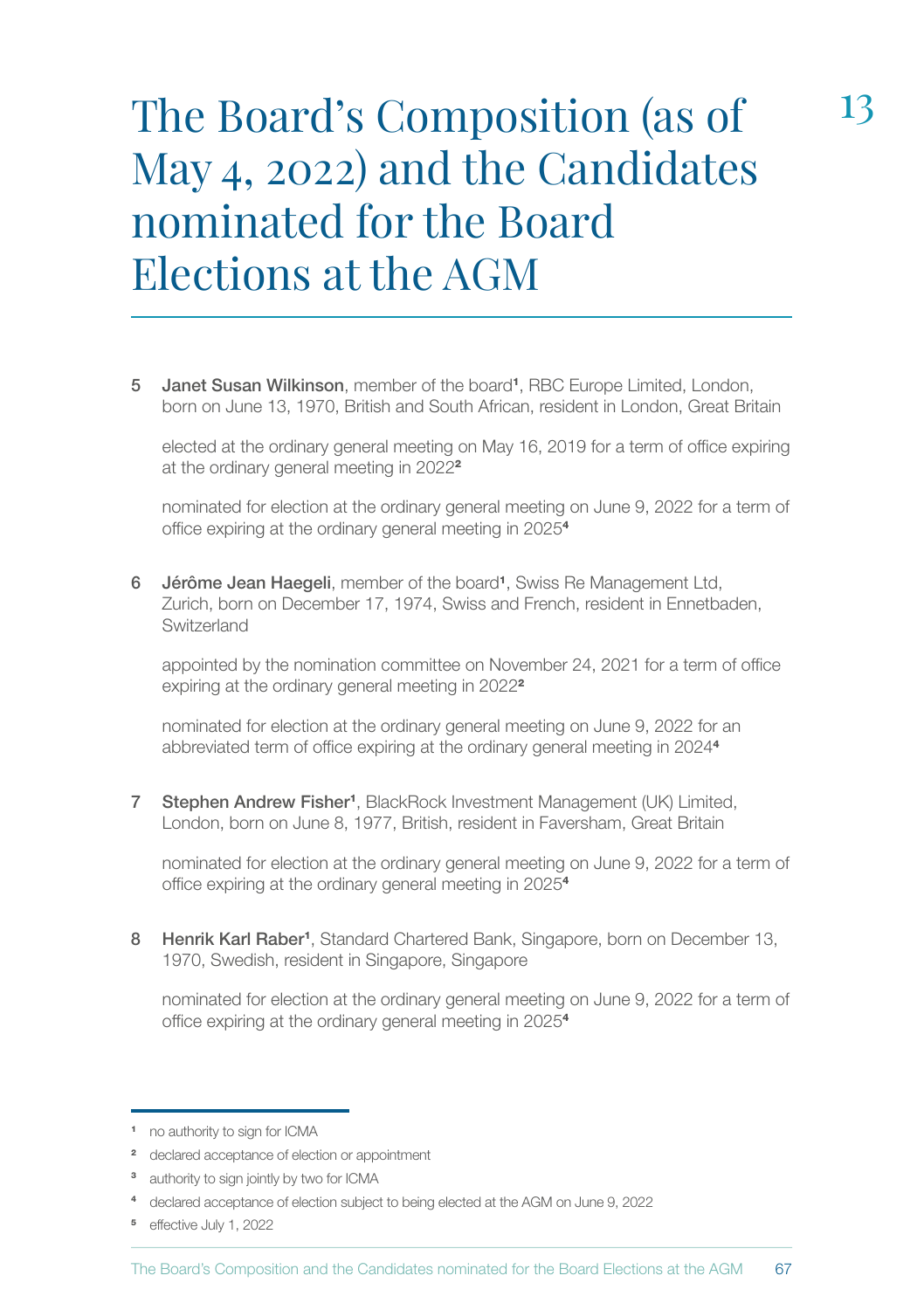5 Janet Susan Wilkinson, member of the board<sup>1</sup>, RBC Europe Limited, London, born on June 13, 1970, British and South African, resident in London, Great Britain

elected at the ordinary general meeting on May 16, 2019 for a term of office expiring at the ordinary general meeting in 2022<sup>2</sup>

 nominated for election at the ordinary general meeting on June 9, 2022 for a term of office expiring at the ordinary general meeting in 2025<sup>4</sup>

6 Jérôme Jean Haegeli, member of the board<sup>1</sup>, Swiss Re Management Ltd. Zurich, born on December 17, 1974, Swiss and French, resident in Ennetbaden, Switzerland

appointed by the nomination committee on November 24, 2021 for a term of office expiring at the ordinary general meeting in 2022<sup>2</sup>

 nominated for election at the ordinary general meeting on June 9, 2022 for an abbreviated term of office expiring at the ordinary general meeting in 2024<sup>4</sup>

7 Stephen Andrew Fisher<sup>1</sup>, BlackRock Investment Management (UK) Limited, London, born on June 8, 1977, British, resident in Faversham, Great Britain

 nominated for election at the ordinary general meeting on June 9, 2022 for a term of office expiring at the ordinary general meeting in 2025<sup>4</sup>

8 Henrik Karl Raber<sup>1</sup>, Standard Chartered Bank, Singapore, born on December 13, 1970, Swedish, resident in Singapore, Singapore

 nominated for election at the ordinary general meeting on June 9, 2022 for a term of office expiring at the ordinary general meeting in 2025<sup>4</sup>

<sup>1</sup> no authority to sign for ICMA

<sup>&</sup>lt;sup>2</sup> declared acceptance of election or appointment

<sup>&</sup>lt;sup>3</sup> authority to sign jointly by two for ICMA

<sup>4</sup> declared acceptance of election subject to being elected at the AGM on June 9, 2022

<sup>5</sup> effective July 1, 2022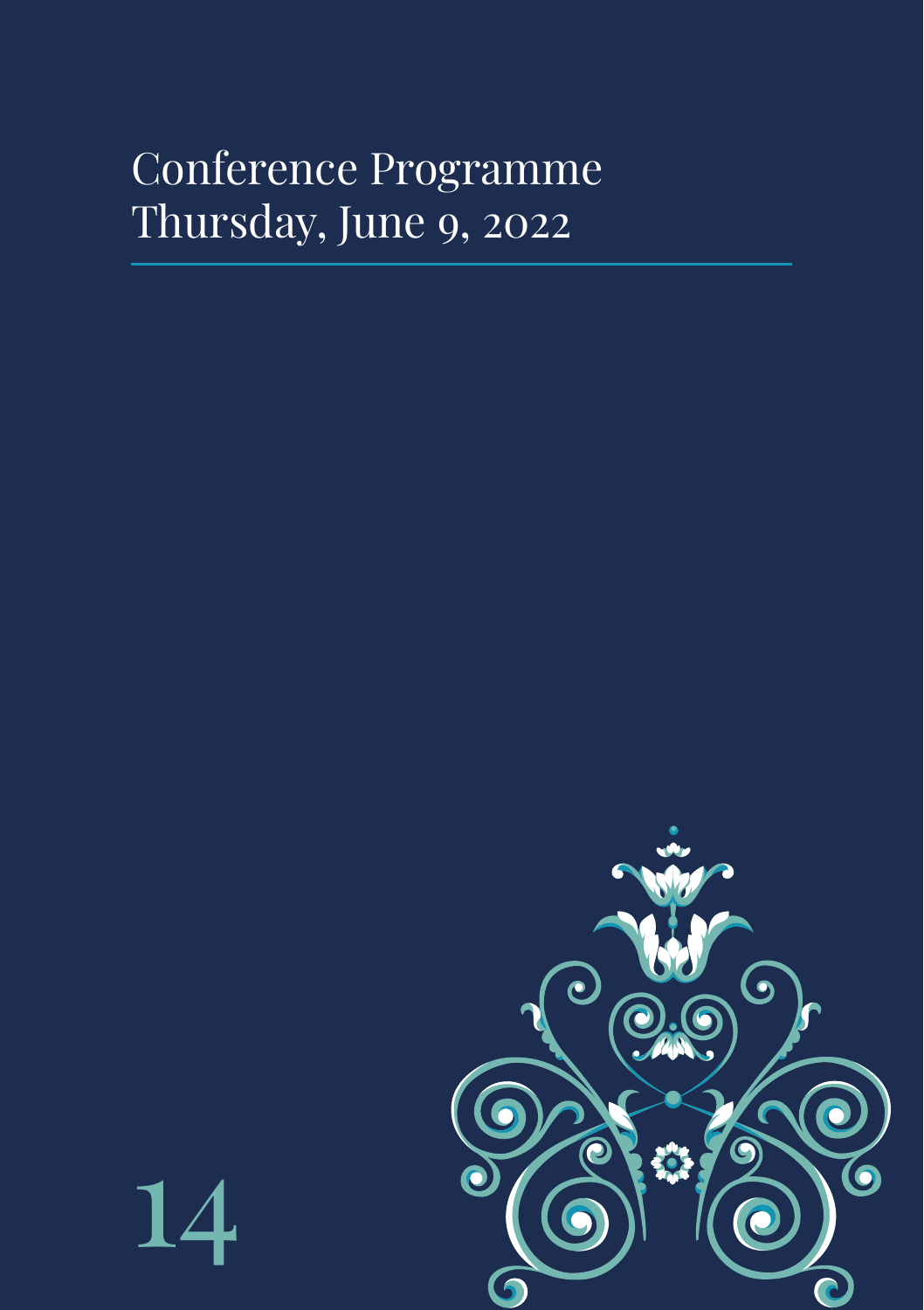

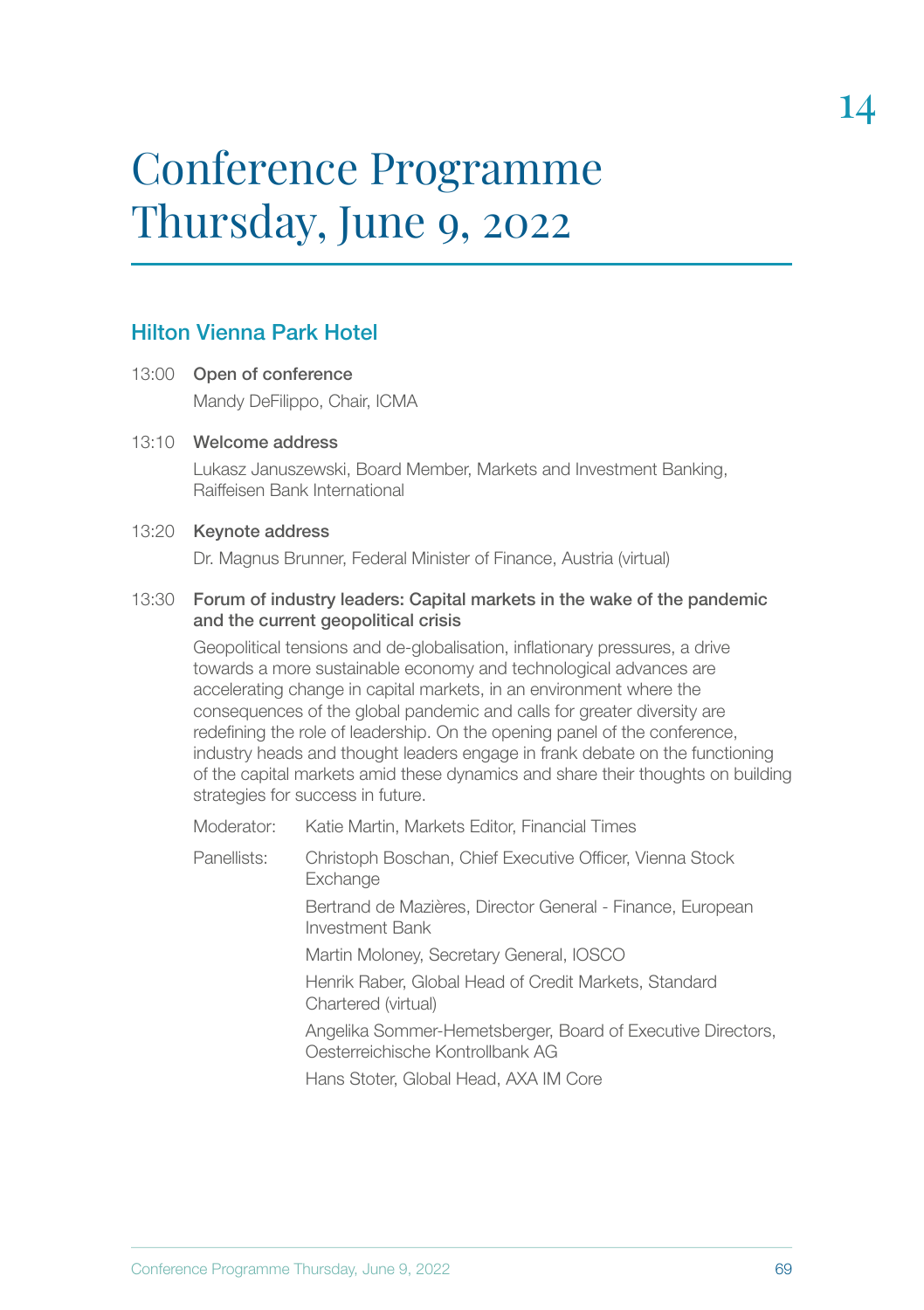### Hilton Vienna Park Hotel

13:00 Open of conference Mandy DeFilippo, Chair, ICMA

#### 13:10 Welcome address

Lukasz Januszewski, Board Member, Markets and Investment Banking, Raiffeisen Bank International

#### 13:20 Keynote address

Dr. Magnus Brunner, Federal Minister of Finance, Austria (virtual)

#### 13:30 Forum of industry leaders: Capital markets in the wake of the pandemic and the current geopolitical crisis

Geopolitical tensions and de-globalisation, inflationary pressures, a drive towards a more sustainable economy and technological advances are accelerating change in capital markets, in an environment where the consequences of the global pandemic and calls for greater diversity are redefining the role of leadership. On the opening panel of the conference, industry heads and thought leaders engage in frank debate on the functioning of the capital markets amid these dynamics and share their thoughts on building strategies for success in future.

Moderator: Katie Martin, Markets Editor, Financial Times Panellists: Christoph Boschan, Chief Executive Officer, Vienna Stock Exchange Bertrand de Mazières, Director General - Finance, European Investment Bank Martin Moloney, Secretary General, IOSCO Henrik Raber, Global Head of Credit Markets, Standard Chartered (virtual) Angelika Sommer-Hemetsberger, Board of Executive Directors, Oesterreichische Kontrollbank AG Hans Stoter, Global Head, AXA IM Core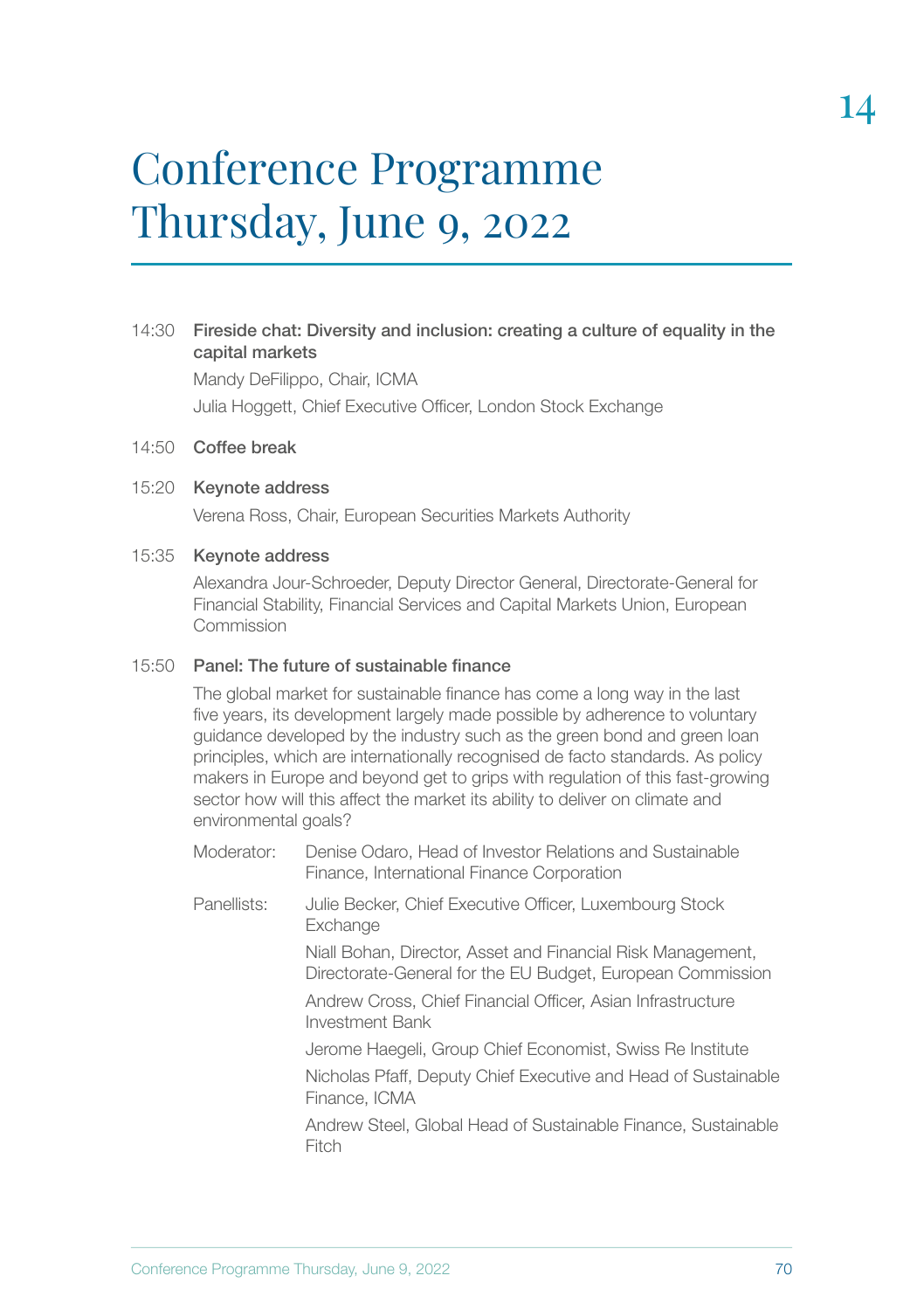#### 14:30 Fireside chat: Diversity and inclusion: creating a culture of equality in the capital markets

Mandy DeFilippo, Chair, ICMA Julia Hoggett, Chief Executive Officer, London Stock Exchange

#### 14:50 Coffee break

#### 15:20 Keynote address

Verena Ross, Chair, European Securities Markets Authority

#### 15:35 Keynote address

Alexandra Jour-Schroeder, Deputy Director General, Directorate-General for Financial Stability, Financial Services and Capital Markets Union, European Commission

#### 15:50 Panel: The future of sustainable finance

The global market for sustainable finance has come a long way in the last five years, its development largely made possible by adherence to voluntary guidance developed by the industry such as the green bond and green loan principles, which are internationally recognised de facto standards. As policy makers in Europe and beyond get to grips with regulation of this fast-growing sector how will this affect the market its ability to deliver on climate and environmental goals?

- Moderator: Denise Odaro, Head of Investor Relations and Sustainable Finance, International Finance Corporation
- Panellists: Julie Becker, Chief Executive Officer, Luxembourg Stock Exchange

Niall Bohan, Director, Asset and Financial Risk Management, Directorate-General for the EU Budget, European Commission Andrew Cross, Chief Financial Officer, Asian Infrastructure

Investment Bank

Jerome Haegeli, Group Chief Economist, Swiss Re Institute Nicholas Pfaff, Deputy Chief Executive and Head of Sustainable Finance, ICMA

Andrew Steel, Global Head of Sustainable Finance, Sustainable Fitch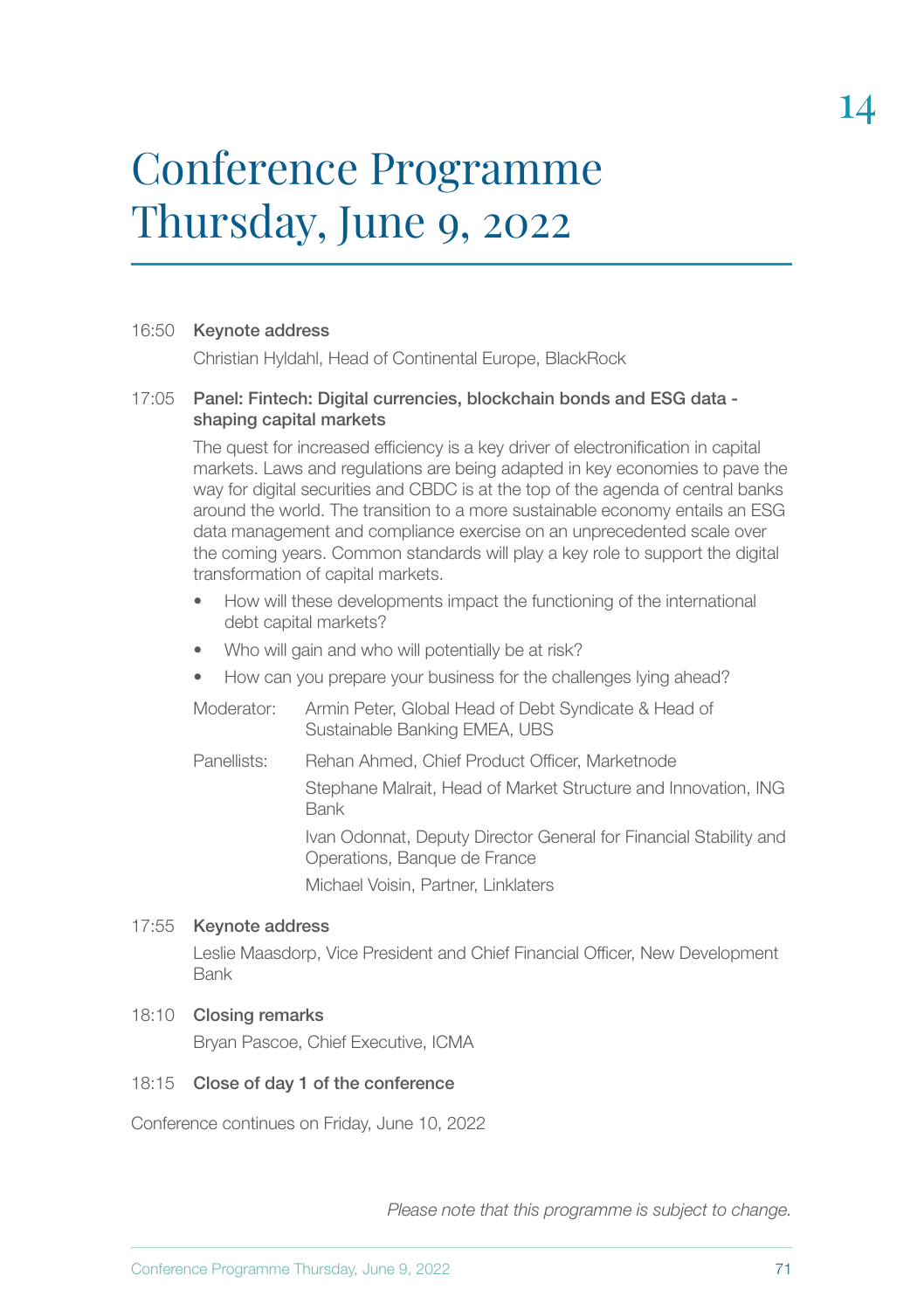#### 16:50 Keynote address

Christian Hyldahl, Head of Continental Europe, BlackRock

#### 17:05 Panel: Fintech: Digital currencies, blockchain bonds and ESG data shaping capital markets

The quest for increased efficiency is a key driver of electronification in capital markets. Laws and regulations are being adapted in key economies to pave the way for digital securities and CBDC is at the top of the agenda of central banks around the world. The transition to a more sustainable economy entails an ESG data management and compliance exercise on an unprecedented scale over the coming years. Common standards will play a key role to support the digital transformation of capital markets.

- How will these developments impact the functioning of the international debt capital markets?
- Who will gain and who will potentially be at risk?
- How can you prepare your business for the challenges lying ahead?
- Moderator: Armin Peter, Global Head of Debt Syndicate & Head of Sustainable Banking EMEA, UBS
- Panellists: Rehan Ahmed, Chief Product Officer, Marketnode

Stephane Malrait, Head of Market Structure and Innovation, ING Bank

Ivan Odonnat, Deputy Director General for Financial Stability and Operations, Banque de France

Michael Voisin, Partner, Linklaters

#### 17:55 Keynote address

Leslie Maasdorp, Vice President and Chief Financial Officer, New Development Bank

#### 18:10 Closing remarks

Bryan Pascoe, Chief Executive, ICMA

#### 18:15 Close of day 1 of the conference

Conference continues on Friday, June 10, 2022

*Please note that this programme is subject to change.*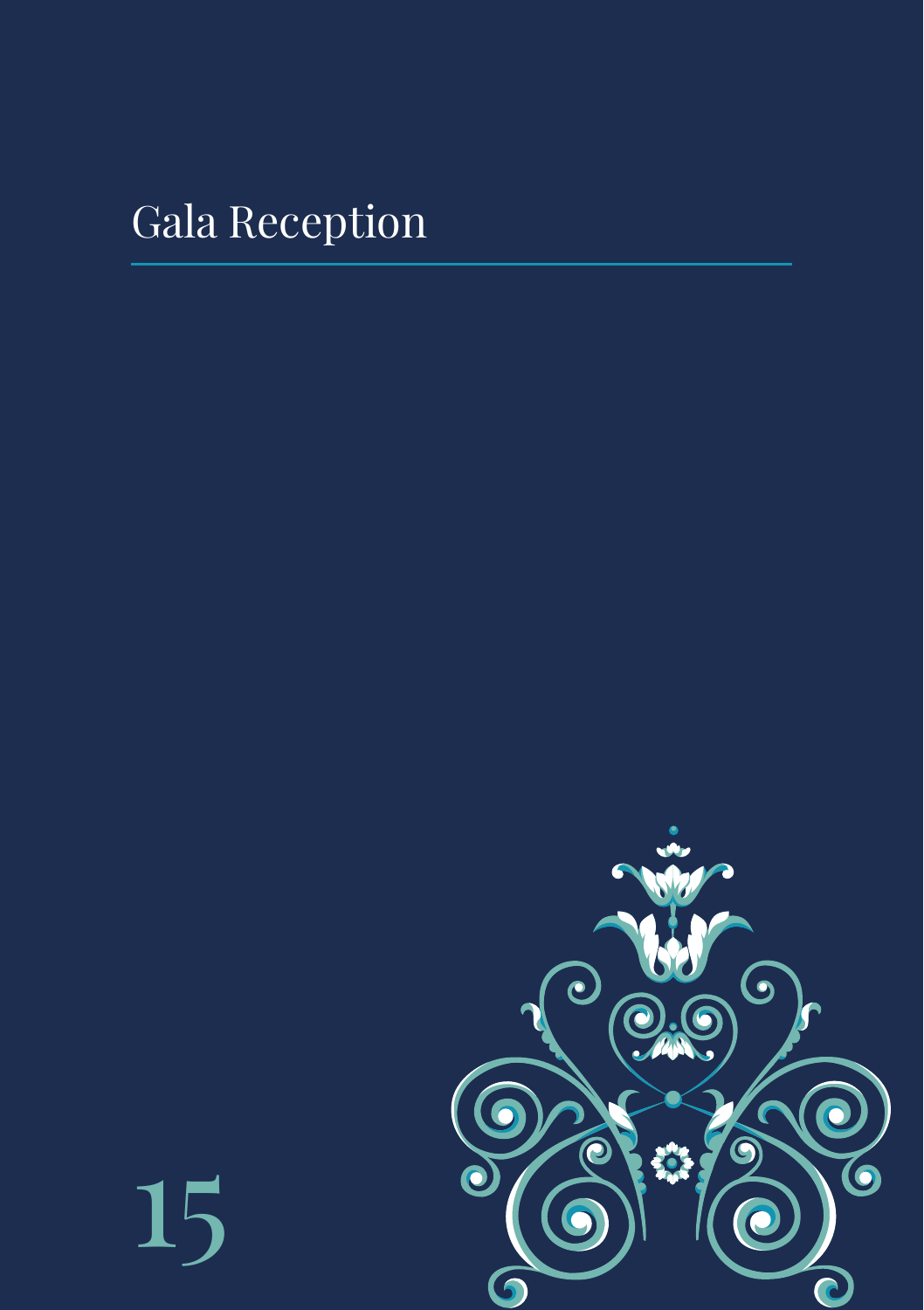# Gala Reception

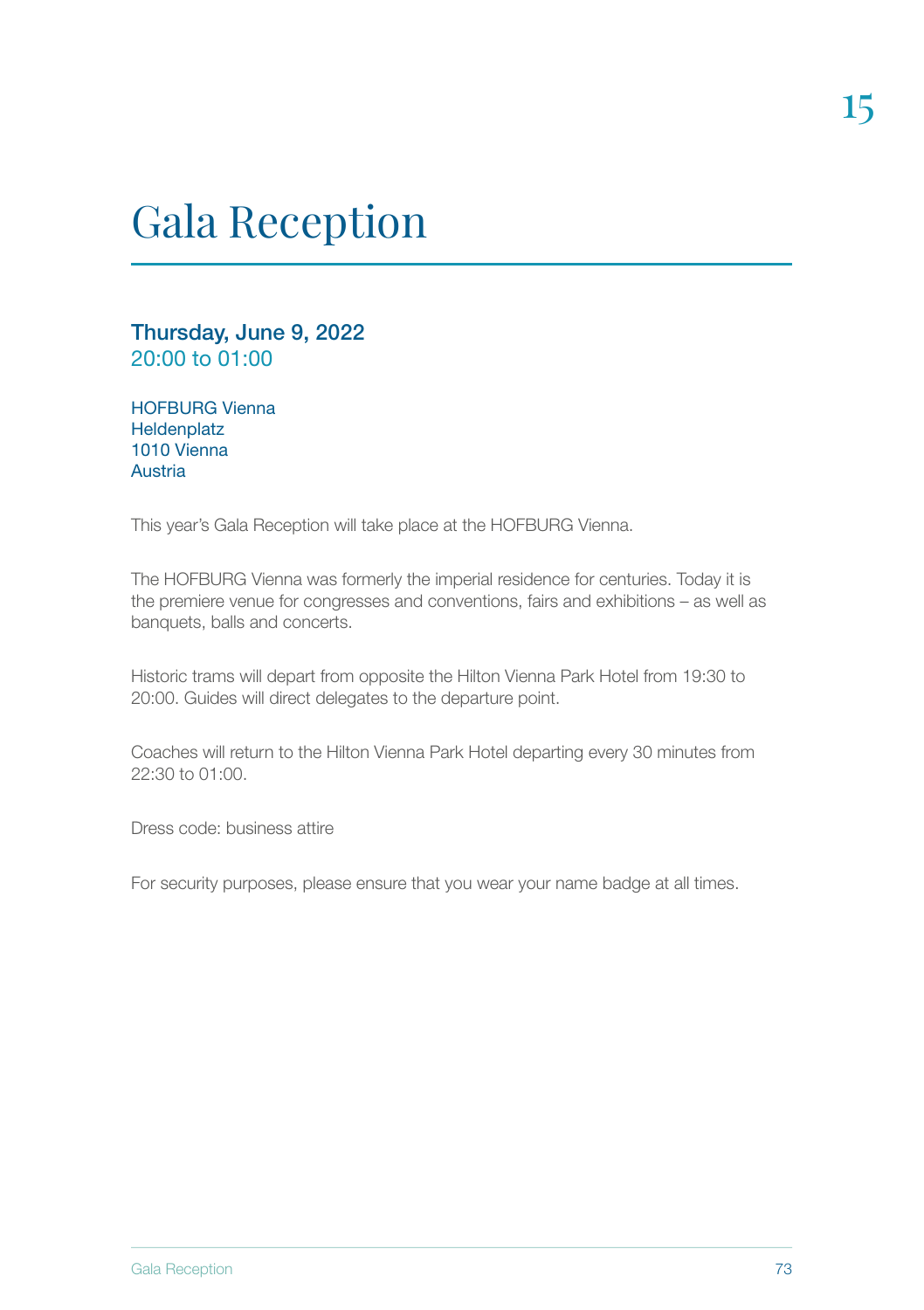### Gala Reception

### Thursday, June 9, 2022 20:00 to 01:00

HOFBURG Vienna **Heldenplatz** 1010 Vienna Austria

This year's Gala Reception will take place at the HOFBURG Vienna.

The HOFBURG Vienna was formerly the imperial residence for centuries. Today it is the premiere venue for congresses and conventions, fairs and exhibitions – as well as banquets, balls and concerts.

Historic trams will depart from opposite the Hilton Vienna Park Hotel from 19:30 to 20:00. Guides will direct delegates to the departure point.

Coaches will return to the Hilton Vienna Park Hotel departing every 30 minutes from 22:30 to 01:00.

Dress code: business attire

For security purposes, please ensure that you wear your name badge at all times.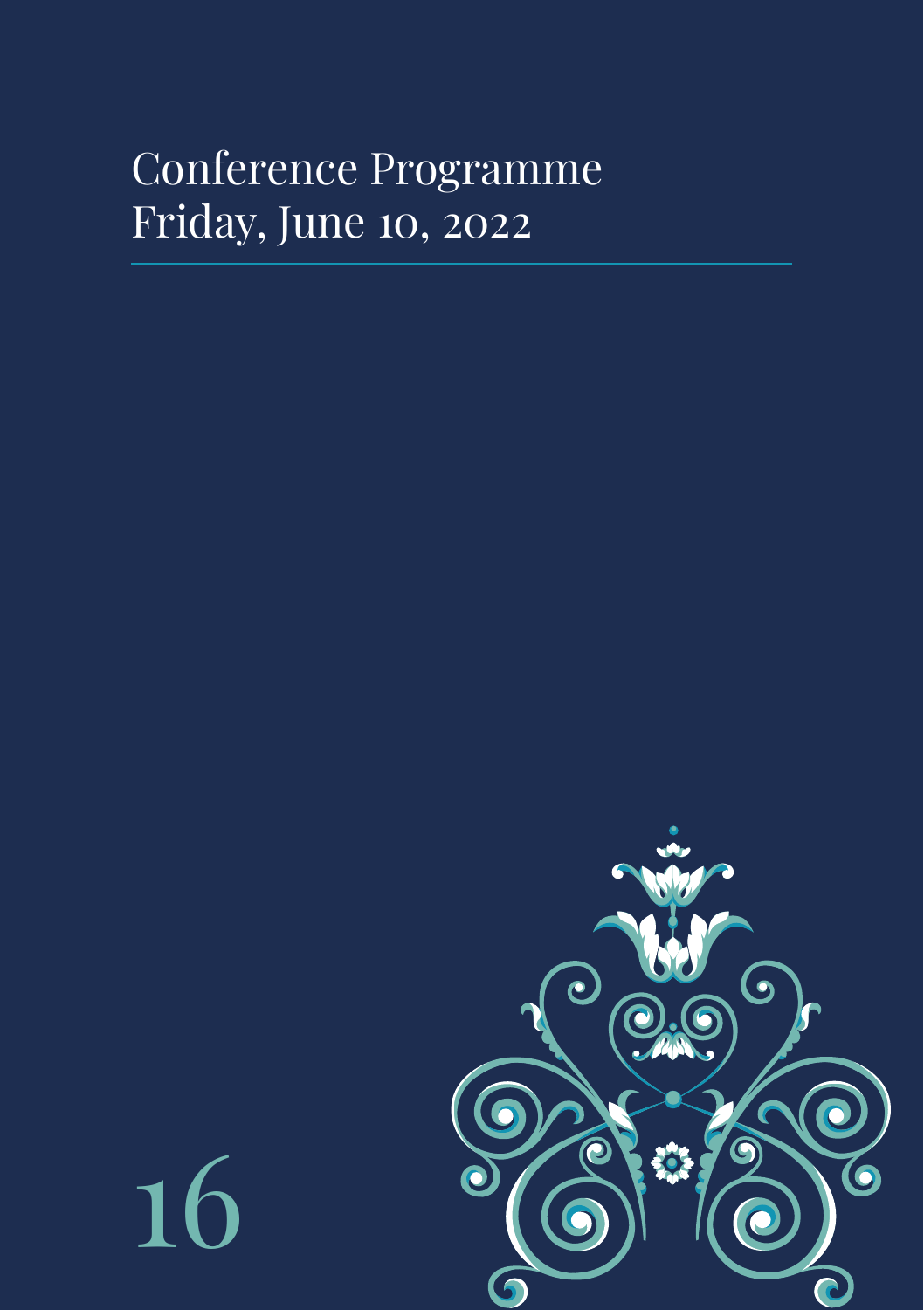

16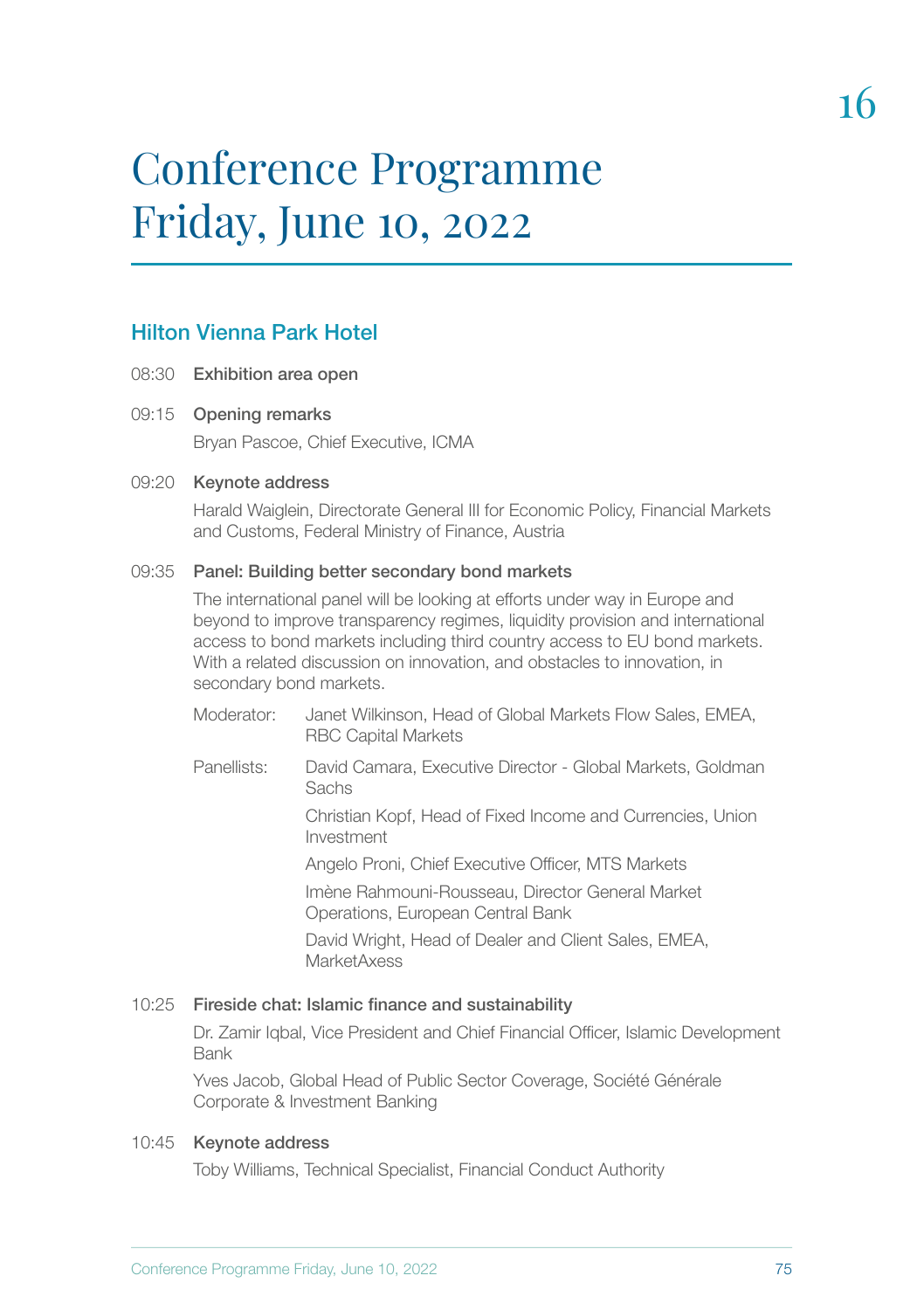### Hilton Vienna Park Hotel

- 08:30 Exhibition area open
- 09:15 Opening remarks Bryan Pascoe, Chief Executive, ICMA

#### 09:20 Keynote address

Harald Waiglein, Directorate General III for Economic Policy, Financial Markets and Customs, Federal Ministry of Finance, Austria

#### 09:35 Panel: Building better secondary bond markets

The international panel will be looking at efforts under way in Europe and beyond to improve transparency regimes, liquidity provision and international access to bond markets including third country access to EU bond markets. With a related discussion on innovation, and obstacles to innovation, in secondary bond markets.

- Moderator: Janet Wilkinson, Head of Global Markets Flow Sales, EMEA, RBC Capital Markets
- Panellists: David Camara, Executive Director Global Markets, Goldman Sachs

Christian Kopf, Head of Fixed Income and Currencies, Union Investment

Angelo Proni, Chief Executive Officer, MTS Markets

Imène Rahmouni-Rousseau, Director General Market Operations, European Central Bank

David Wright, Head of Dealer and Client Sales, EMEA, **MarketAxess** 

### 10:25 Fireside chat: Islamic finance and sustainability

Dr. Zamir Iqbal, Vice President and Chief Financial Officer, Islamic Development Bank

Yves Jacob, Global Head of Public Sector Coverage, Société Générale Corporate & Investment Banking

#### 10:45 Keynote address

Toby Williams, Technical Specialist, Financial Conduct Authority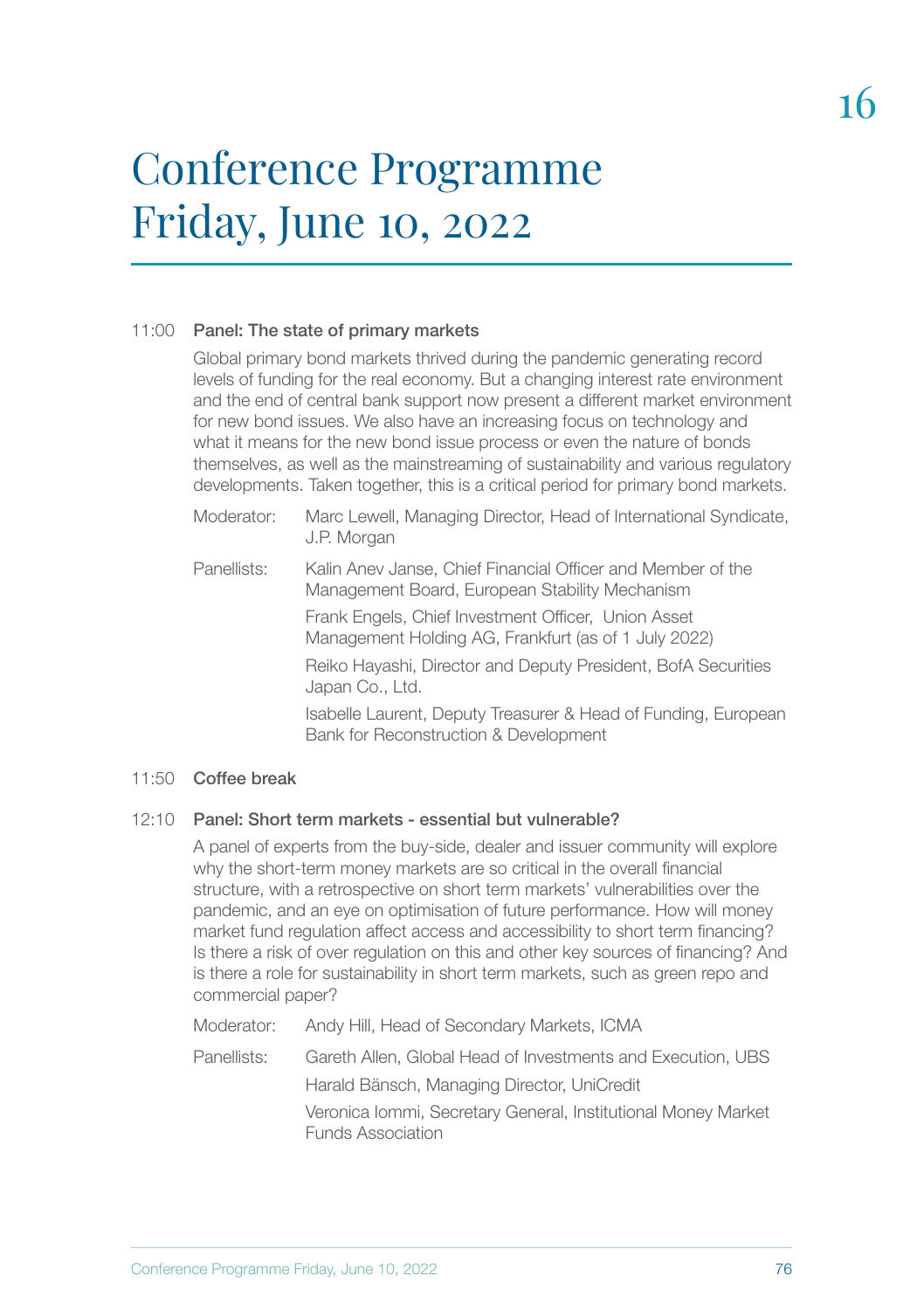#### 11:00 Panel: The state of primary markets

Global primary bond markets thrived during the pandemic generating record levels of funding for the real economy. But a changing interest rate environment and the end of central bank support now present a different market environment for new bond issues. We also have an increasing focus on technology and what it means for the new bond issue process or even the nature of bonds themselves, as well as the mainstreaming of sustainability and various regulatory developments. Taken together, this is a critical period for primary bond markets.

- Moderator: Marc Lewell, Managing Director, Head of International Syndicate, J.P. Morgan
- Panellists: Kalin Anev Janse, Chief Financial Officer and Member of the Management Board, European Stability Mechanism

Frank Engels, Chief Investment Officer, Union Asset Management Holding AG, Frankfurt (as of 1 July 2022)

Reiko Hayashi, Director and Deputy President, BofA Securities Japan Co., Ltd.

Isabelle Laurent, Deputy Treasurer & Head of Funding, European Bank for Reconstruction & Development

#### 11:50 Coffee break

#### 12:10 Panel: Short term markets - essential but vulnerable?

A panel of experts from the buy-side, dealer and issuer community will explore why the short-term money markets are so critical in the overall financial structure, with a retrospective on short term markets' vulnerabilities over the pandemic, and an eye on optimisation of future performance. How will money market fund regulation affect access and accessibility to short term financing? Is there a risk of over regulation on this and other key sources of financing? And is there a role for sustainability in short term markets, such as green repo and commercial paper?

| Moderator:  | Andy Hill, Head of Secondary Markets, ICMA                                                |
|-------------|-------------------------------------------------------------------------------------------|
| Panellists: | Gareth Allen, Global Head of Investments and Execution, UBS                               |
|             | Harald Bänsch, Managing Director, UniCredit                                               |
|             | Veronica Iommi, Secretary General, Institutional Money Market<br><b>Funds Association</b> |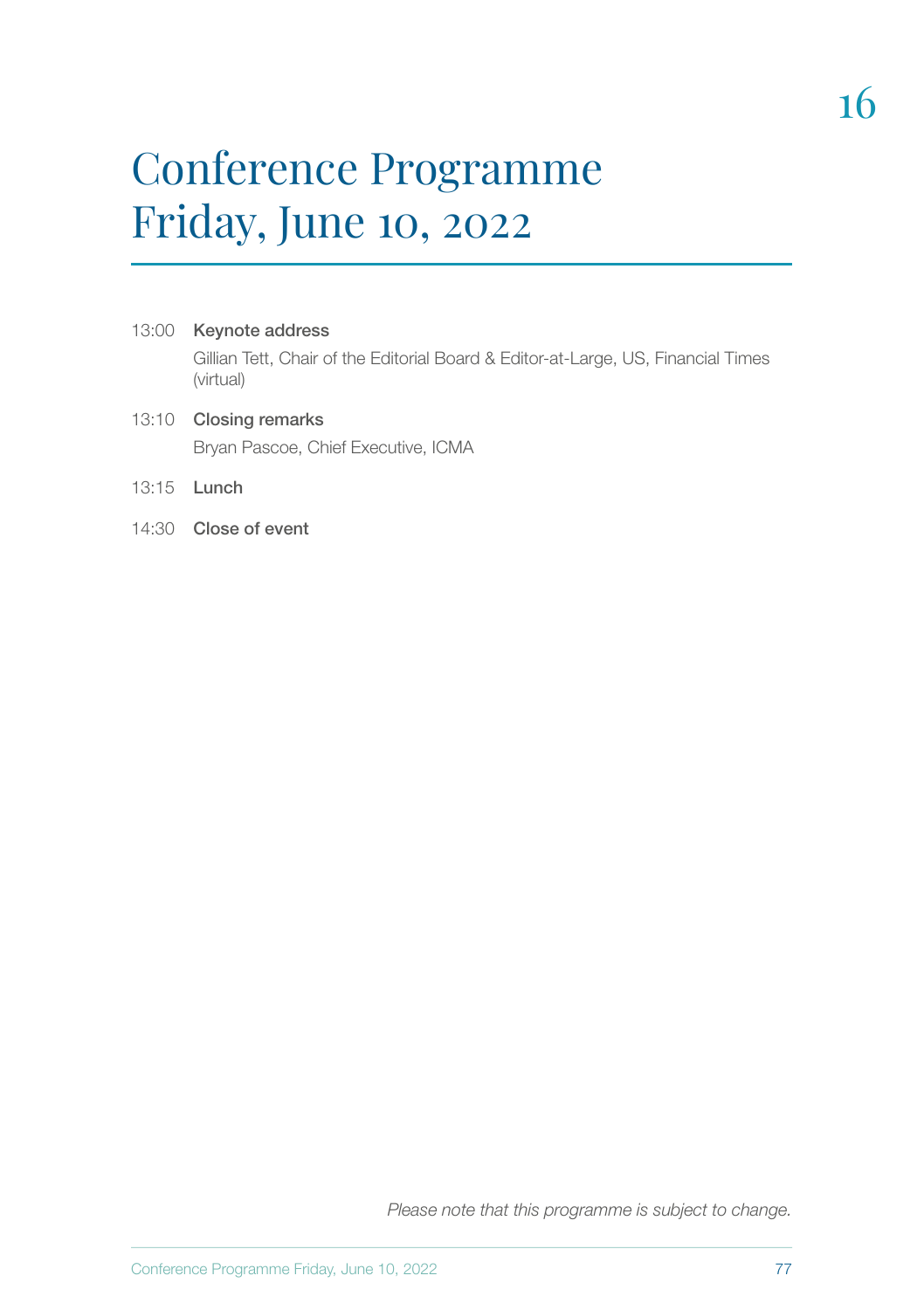#### 13:00 Keynote address

Gillian Tett, Chair of the Editorial Board & Editor-at-Large, US, Financial Times (virtual)

### 13:10 Closing remarks Bryan Pascoe, Chief Executive, ICMA

- 13:15 Lunch
- 14:30 Close of event

*Please note that this programme is subject to change.*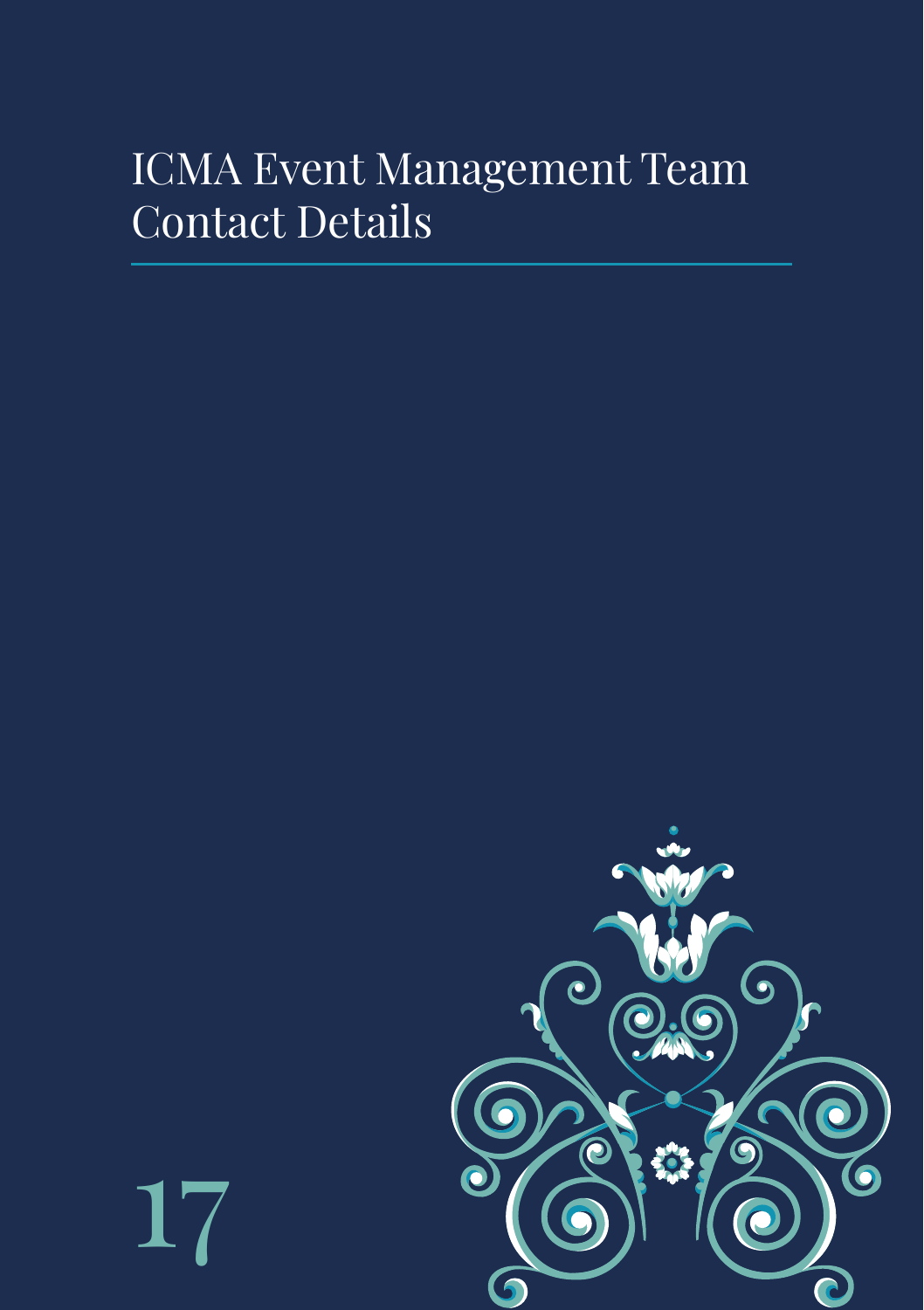# ICMA Event Management Team Contact Details

17

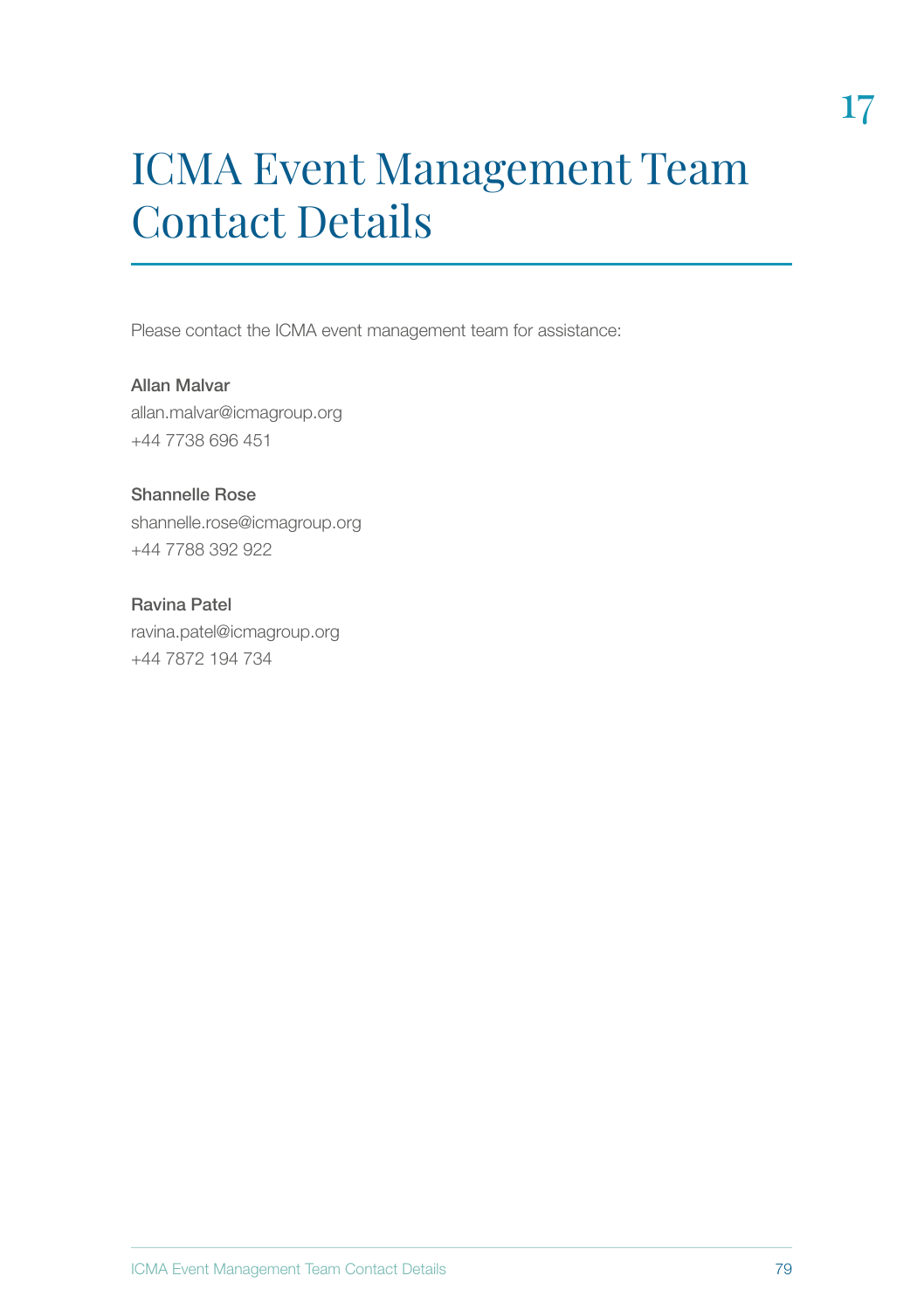# ICMA Event Management Team Contact Details

Please contact the ICMA event management team for assistance:

Allan Malvar allan.malvar@icmagroup.org +44 7738 696 451

Shannelle Rose shannelle.rose@icmagroup.org +44 7788 392 922

Ravina Patel ravina.patel@icmagroup.org +44 7872 194 734